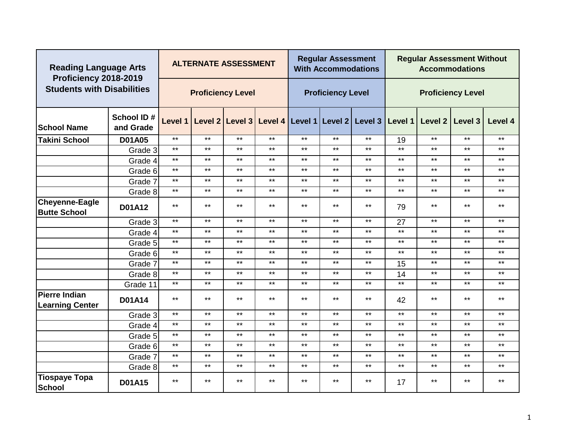| <b>Reading Language Arts</b><br>Proficiency 2018-2019 |                         |              | <b>ALTERNATE ASSESSMENT</b> |       |       |              | <b>Regular Assessment</b><br><b>With Accommodations</b> |                                                                 |       | <b>Regular Assessment Without</b> | <b>Accommodations</b>    |         |
|-------------------------------------------------------|-------------------------|--------------|-----------------------------|-------|-------|--------------|---------------------------------------------------------|-----------------------------------------------------------------|-------|-----------------------------------|--------------------------|---------|
| <b>Students with Disabilities</b>                     |                         |              | <b>Proficiency Level</b>    |       |       |              | <b>Proficiency Level</b>                                |                                                                 |       |                                   | <b>Proficiency Level</b> |         |
| <b>School Name</b>                                    | School ID#<br>and Grade |              |                             |       |       |              |                                                         | Level 1 Level 2 Level 3 Level 4 Level 1 Level 2 Level 3 Level 1 |       |                                   | Level 2 Level 3          | Level 4 |
| <b>Takini School</b>                                  | <b>D01A05</b>           | $***$        | $***$                       | $***$ | $***$ | $***$        | $***$                                                   | $***$                                                           | 19    | $***$                             | $***$                    | $***$   |
|                                                       | Grade 3                 | $***$        | $***$                       | $***$ | $***$ | $***$        | $***$                                                   | $***$                                                           | $***$ | $***$                             | $***$                    | $***$   |
|                                                       | Grade 4                 | $***$        | $***$                       | $***$ | $***$ | $***$        | $***$                                                   | $***$                                                           | $***$ | $***$                             | $***$                    | $***$   |
|                                                       | Grade 6                 | $***$        | $***$                       | $***$ | $***$ | $***$        | $***$                                                   | $***$                                                           | $***$ | $***$                             | $***$                    | $***$   |
|                                                       | Grade 7                 | $***$        | $\star\star$                | $***$ | $***$ | $***$        | $***$                                                   | $***$                                                           | $***$ | $***$                             | $***$                    | $***$   |
|                                                       | Grade 8                 | $***$        | $***$                       | $***$ | $***$ | $***$        | $***$                                                   | $***$                                                           | $***$ | $***$                             | $***$                    | $***$   |
| <b>Cheyenne-Eagle</b><br><b>Butte School</b>          | <b>D01A12</b>           | $***$        | $***$                       | $***$ | $***$ | $***$        | $***$                                                   | $***$                                                           | 79    | $***$                             | $***$                    | $***$   |
|                                                       | Grade 3                 | $***$        | $***$                       | $***$ | $***$ | $***$        | $***$                                                   | $***$                                                           | 27    | $***$                             | $***$                    | $***$   |
|                                                       | Grade 4                 | $***$        | $***$                       | $***$ | $***$ | $***$        | $***$                                                   | $***$                                                           | $***$ | $***$                             | $***$                    | $***$   |
|                                                       | Grade 5                 | $***$        | $***$                       | $***$ | $***$ | $***$        | $***$                                                   | $***$                                                           | $***$ | $***$                             | $***$                    | $***$   |
|                                                       | Grade 6                 | $***$        | $***$                       | $***$ | $***$ | $***$        | $***$                                                   | $***$                                                           | $***$ | $***$                             | $***$                    | $***$   |
|                                                       | Grade 7                 | $\star\star$ | $***$                       | $***$ | $***$ | $\star\star$ | $***$                                                   | $***$                                                           | 15    | $\star\star$                      | $***$                    | $***$   |
|                                                       | Grade 8                 | $***$        | $***$                       | $***$ | $***$ | $***$        | $***$                                                   | $***$                                                           | 14    | $***$                             | $\star\star$             | $***$   |
|                                                       | Grade 11                | $***$        | $***$                       | $***$ | $***$ | $***$        | $***$                                                   | $***$                                                           | $***$ | $***$                             | $***$                    | $***$   |
| <b>Pierre Indian</b><br><b>Learning Center</b>        | <b>D01A14</b>           | $***$        | $***$                       | $***$ | $***$ | $***$        | $***$                                                   | $***$                                                           | 42    | $***$                             | $***$                    | $***$   |
|                                                       | Grade 3                 | $***$        | $***$                       | $***$ | $***$ | $***$        | $***$                                                   | $***$                                                           | $***$ | $***$                             | $***$                    | $***$   |
|                                                       | Grade 4                 | $***$        | $***$                       | $***$ | $***$ | $***$        | $***$                                                   | $***$                                                           | $***$ | $***$                             | $***$                    | $***$   |
|                                                       | Grade 5                 | $***$        | $***$                       | $***$ | $***$ | $***$        | $***$                                                   | $***$                                                           | $***$ | $***$                             | $***$                    | $***$   |
|                                                       | Grade 6                 | $***$        | $***$                       | $***$ | $***$ | $***$        | $***$                                                   | $***$                                                           | $***$ | $\star\star$                      | $\star\star$             | $***$   |
|                                                       | Grade 7                 | $***$        | $***$                       | $***$ | $***$ | $***$        | $***$                                                   | $***$                                                           | $***$ | $***$                             | $***$                    | $***$   |
|                                                       | Grade 8                 | $***$        | $***$                       | $***$ | $***$ | $***$        | $***$                                                   | $***$                                                           | $***$ | $***$                             | $***$                    | $***$   |
| <b>Tiospaye Topa</b><br><b>School</b>                 | <b>D01A15</b>           | $***$        | $***$                       | $***$ | $***$ | $***$        | $***$                                                   | $***$                                                           | 17    | $***$                             | $***$                    | $***$   |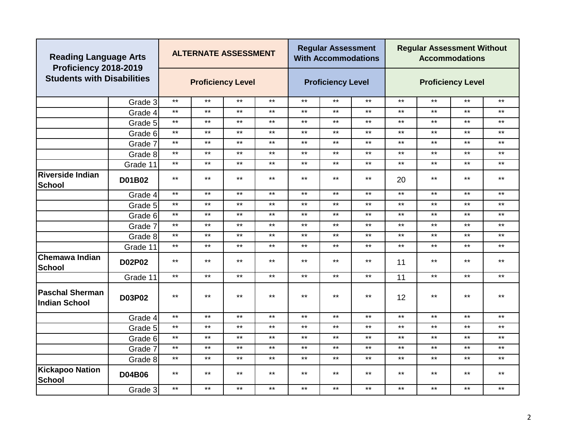| <b>Reading Language Arts</b><br>Proficiency 2018-2019 |               |       | <b>ALTERNATE ASSESSMENT</b> |              |              |              | <b>Regular Assessment</b><br><b>With Accommodations</b> |       |              | <b>Regular Assessment Without</b> | <b>Accommodations</b>    |              |
|-------------------------------------------------------|---------------|-------|-----------------------------|--------------|--------------|--------------|---------------------------------------------------------|-------|--------------|-----------------------------------|--------------------------|--------------|
| <b>Students with Disabilities</b>                     |               |       | <b>Proficiency Level</b>    |              |              |              | <b>Proficiency Level</b>                                |       |              |                                   | <b>Proficiency Level</b> |              |
|                                                       | Grade 3       | $***$ | $***$                       | $***$        | $***$        | $***$        | $***$                                                   | $***$ | $***$        | $***$                             | $***$                    | $***$        |
|                                                       | Grade 4       | $***$ | $***$                       | $***$        | $***$        | $***$        | $***$                                                   | $***$ | $***$        | $***$                             | $***$                    | $***$        |
|                                                       | Grade 5       | $***$ | $***$                       | $***$        | $***$        | $***$        | $***$                                                   | $***$ | $\star\star$ | $\star\star$                      | $***$                    | $***$        |
|                                                       | Grade 6       | $***$ | $***$                       | $\star\star$ | $***$        | $***$        | $***$                                                   | $***$ | $\star\star$ | $***$                             | $***$                    | $***$        |
|                                                       | Grade 7       | $***$ | $***$                       | $***$        | $\star\star$ | $***$        | $***$                                                   | $***$ | $\star\star$ | $***$                             | $***$                    | $\star\star$ |
|                                                       | Grade 8       | $***$ | $***$                       | $***$        | $\star\star$ | $***$        | $***$                                                   | $***$ | $\star\star$ | $***$                             | $***$                    | $\star\star$ |
|                                                       | Grade 11      | $***$ | $***$                       | $***$        | $\star\star$ | $***$        | $***$                                                   | $***$ | $\star\star$ | $***$                             | $***$                    | $\star\star$ |
| <b>Riverside Indian</b><br>School                     | D01B02        | $***$ | $***$                       | $***$        | $***$        | $***$        | $***$                                                   | $***$ | 20           | $***$                             | $***$                    | $***$        |
|                                                       | Grade 4       | $***$ | $***$                       | $***$        | $***$        | $***$        | $***$                                                   | $***$ | $***$        | $***$                             | $***$                    | $***$        |
|                                                       | Grade 5       | $***$ | $***$                       | $***$        | $\star\star$ | $***$        | $\star\star$                                            | $***$ | $\star\star$ | $***$                             | $***$                    | $\star\star$ |
|                                                       | Grade 6       | $***$ | $***$<br>$***$              |              | $***$        | $***$        | $***$                                                   | $***$ | $***$        | $***$                             | $***$                    | $***$        |
|                                                       | Grade 7       | $***$ | $***$                       | $***$        | $***$        | $***$        | $***$                                                   | $***$ | $***$        | $***$                             | $***$                    | $***$        |
|                                                       | Grade 8       | $***$ | $***$                       | $***$        | $***$        | $***$        | $***$                                                   | $***$ | $***$        | $***$                             | $***$                    | $***$        |
|                                                       | Grade 11      | $***$ | $***$                       | $***$        | $\star\star$ | $\star\star$ | $\star\star$                                            | $***$ | $\star\star$ | $\star\star$                      | $***$                    | $***$        |
| <b>Chemawa Indian</b><br><b>School</b>                | D02P02        | $***$ | $***$                       | $***$        | $***$        | $***$        | $***$                                                   | $***$ | 11           | $***$                             | $***$                    | $***$        |
|                                                       | Grade 11      | $***$ | $***$                       | $***$        | $\star\star$ | $\star\star$ | $***$                                                   | $***$ | 11           | $***$                             | $***$                    | $***$        |
| <b>Paschal Sherman</b><br><b>Indian School</b>        | D03P02        | $***$ | $***$                       | $***$        | $***$        | $***$        | $***$                                                   | $***$ | 12           | $***$                             | $***$                    | $***$        |
|                                                       | Grade 4       | $***$ | $***$                       | $***$        | $***$        | $***$        | $***$                                                   | $***$ | $***$        | $***$                             | $***$                    | $***$        |
|                                                       | Grade 5       | $***$ | $***$                       | $***$        | $\star\star$ | $***$        | $\star\star$                                            | $***$ | $***$        | $***$                             | $***$                    | $***$        |
|                                                       | Grade 6       | $***$ | $***$                       | $***$        | $***$        | $***$        | $***$                                                   | $***$ | $\star\star$ | $***$                             | $***$                    | $***$        |
|                                                       | Grade 7       | $***$ | $***$                       | $***$        | $***$        | $***$        | $***$                                                   | $***$ | $\star\star$ | $***$                             | $***$                    | $***$        |
|                                                       | Grade 8       | $***$ | $***$                       | $***$        | $\star\star$ | $***$        | $\star\star$                                            | $***$ | $\star\star$ | $***$                             | $***$                    | $***$        |
| <b>Kickapoo Nation</b><br><b>School</b>               | <b>D04B06</b> | $***$ | $***$                       | $***$        | $\star\star$ | $***$        | $***$                                                   | $***$ | $***$        | $***$                             | $***$                    | $***$        |
|                                                       | Grade 3       | $***$ | $***$                       | $***$        | $***$        | $***$        | $***$                                                   | $***$ | $***$        | $***$                             | $***$                    | $***$        |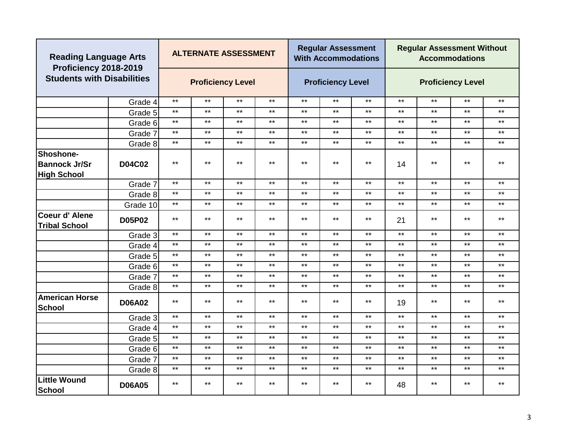| <b>Reading Language Arts</b><br>Proficiency 2018-2019 |               |              | <b>ALTERNATE ASSESSMENT</b> |              |              |       | <b>Regular Assessment</b><br><b>With Accommodations</b> |              |              | <b>Regular Assessment Without</b> | <b>Accommodations</b>    |              |
|-------------------------------------------------------|---------------|--------------|-----------------------------|--------------|--------------|-------|---------------------------------------------------------|--------------|--------------|-----------------------------------|--------------------------|--------------|
| <b>Students with Disabilities</b>                     |               |              | <b>Proficiency Level</b>    |              |              |       | <b>Proficiency Level</b>                                |              |              |                                   | <b>Proficiency Level</b> |              |
|                                                       | Grade 4       | $***$        | $***$                       | $***$        | $***$        | $***$ | $***$                                                   | $\star\star$ | $***$        | $***$                             | $***$                    | $***$        |
|                                                       | Grade 5       | $***$        | $***$                       | $***$        | $\star\star$ | $***$ | $\star\star$                                            | $***$        | $***$        | $***$                             | $***$                    | $***$        |
|                                                       | Grade 6       | $***$        | $\star\star$                | $***$        | $\star\star$ | $***$ | $***$                                                   | $***$        | $***$        | $***$                             | $***$                    | $\star\star$ |
|                                                       | Grade 7       | $\star\star$ | $***$                       | $***$        | $***$        | $***$ | $***$                                                   | $***$        | $***$        | $\star\star$                      | $***$                    | $\star\star$ |
|                                                       | Grade 8       | $***$        | $***$                       | $***$        | $***$        | $***$ | $***$                                                   | $***$        | $\star\star$ | $***$                             | $\star\star$             | $***$        |
| Shoshone-                                             |               |              |                             |              |              |       |                                                         |              |              |                                   |                          |              |
| <b>Bannock Jr/Sr</b>                                  | D04C02        | $***$        | $***$                       | $***$        | $***$        | $***$ | $***$                                                   | $***$        | 14           | $***$                             | $***$                    | $***$        |
| <b>High School</b>                                    |               |              |                             |              |              |       |                                                         |              |              |                                   |                          |              |
|                                                       | Grade 7       | $***$        | $\star\star$                | $***$        | $\star\star$ | $***$ | $\star\star$                                            | $***$        | $***$        | $***$                             | $***$                    | $***$        |
|                                                       | Grade 8       | $***$        | $\star\star$                | $***$        | $\star\star$ | $***$ | $***$                                                   | $***$        | $***$        | $***$                             | $***$                    | $***$        |
|                                                       | Grade 10      | $***$        | $***$                       | $***$        | $***$        | $***$ | $***$                                                   | $***$        | $***$        | $***$                             | $***$                    | $***$        |
| Coeur d' Alene<br><b>Tribal School</b>                | <b>D05P02</b> | $***$        | $***$                       | $***$        | $***$        | $***$ | $***$                                                   | $***$        | 21           | $***$                             | $***$                    | $***$        |
|                                                       | Grade 3       | $***$        | $***$                       | $***$        | $***$        | $***$ | $***$                                                   | $***$        | $***$        | $***$                             | $***$                    | $***$        |
|                                                       | Grade 4       | $***$        | $***$                       | $***$        | $***$        | $***$ | $***$                                                   | $***$        | $\star\star$ | $***$                             | $***$                    | $\star\star$ |
|                                                       | Grade 5       | $***$        | $***$                       | $***$        | $***$        | $***$ | $***$                                                   | $***$        | $\star\star$ | $***$                             | $***$                    | $***$        |
|                                                       | Grade 6       | $***$        | $\star\star$                | $***$        | $\star\star$ | $***$ | $***$                                                   | $***$        | $***$        | $***$                             | $***$                    | $***$        |
|                                                       | Grade 7       | $***$        | $***$                       | $***$        | $***$        | $***$ | $***$                                                   | $***$        | $***$        | $***$                             | $***$                    | $\star\star$ |
|                                                       | Grade 8       | $***$        | $\star\star$                | $***$        | $***$        | $***$ | $***$                                                   | $***$        | $***$        | $***$                             | $***$                    | $***$        |
| <b>American Horse</b><br>School                       | <b>D06A02</b> | $***$        | $***$                       | $***$        | $***$        | $***$ | $***$                                                   | $***$        | 19           | $***$                             | $***$                    | $***$        |
|                                                       | Grade 3       | $***$        | $***$                       | $***$        | $***$        | $***$ | $***$                                                   | $***$        | $***$        | $***$                             | $***$                    | $\star\star$ |
|                                                       | Grade 4       | $***$        | $***$                       | $***$        | $***$        | $***$ | $***$                                                   | $***$        | $\star\star$ | $***$                             | $***$                    | $***$        |
|                                                       | Grade 5       | $***$        | $***$                       | $***$        | $***$        | $***$ | $***$                                                   | $***$        | $***$        | $***$                             | $***$                    | $***$        |
|                                                       | Grade 6       | $***$        | $\star\star$                | $\star\star$ | $\star\star$ | $***$ | $***$                                                   | $\star\star$ | $***$        | $***$                             | $***$                    | $***$        |
|                                                       | Grade 7       | $***$        | $***$                       | $***$        | $***$        | $***$ | $***$                                                   | $***$        | $***$        | $***$                             | $***$                    | $***$        |
|                                                       | Grade 8       | $***$        | $***$                       | $***$        | $***$        | $***$ | $***$                                                   | $***$        | $***$        | $***$                             | $***$                    | $***$        |
| Little Wound<br>School                                | <b>D06A05</b> | $***$        | $***$                       | $***$        | $***$        | $***$ | $***$                                                   | $***$        | 48           | $***$                             | $***$                    | $***$        |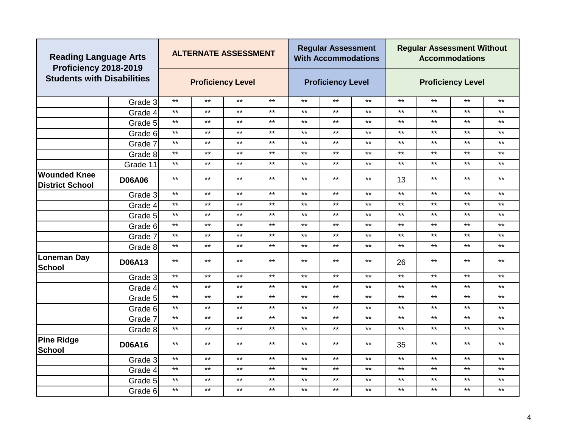| <b>Reading Language Arts</b><br>Proficiency 2018-2019 |               |              | <b>ALTERNATE ASSESSMENT</b> |       |              |       | <b>Regular Assessment</b><br><b>With Accommodations</b> |              |              | <b>Regular Assessment Without</b> | <b>Accommodations</b>    |              |
|-------------------------------------------------------|---------------|--------------|-----------------------------|-------|--------------|-------|---------------------------------------------------------|--------------|--------------|-----------------------------------|--------------------------|--------------|
| <b>Students with Disabilities</b>                     |               |              | <b>Proficiency Level</b>    |       |              |       | <b>Proficiency Level</b>                                |              |              |                                   | <b>Proficiency Level</b> |              |
|                                                       | Grade 3       | $***$        | $***$                       | $***$ | $***$        | $***$ | $***$                                                   | $***$        | $***$        | $\star\star$                      | $***$                    | $***$        |
|                                                       | Grade 4       | $***$        | $***$                       | $***$ | $\star\star$ | $***$ | $***$                                                   | $***$        | $***$        | $***$                             | $***$                    | $***$        |
|                                                       | Grade 5       | $***$        | $***$                       | $***$ | $***$        | $***$ | $***$                                                   | $***$        | $***$        | $***$                             | $***$                    | $***$        |
|                                                       | Grade 6       | $***$        | $***$                       | $***$ | $***$        | $***$ | $***$                                                   | $***$        | $***$        | $***$                             | $***$                    | $***$        |
|                                                       | Grade 7       | $***$        | $***$                       | $***$ | $***$        | $***$ | $***$                                                   | $***$        | $***$        | $***$                             | $***$                    | $***$        |
|                                                       | Grade 8       | $***$        | $***$                       | $***$ | $\star\star$ | $***$ | $***$                                                   | $\star\star$ | $***$        | $\star\star$                      | $***$                    | $***$        |
|                                                       | Grade 11      | $***$        | $***$                       | $***$ | $***$        | $***$ | $***$                                                   | $***$        | $***$        | $***$                             | $***$                    | $***$        |
| <b>Wounded Knee</b><br><b>District School</b>         | <b>D06A06</b> | $***$        | $***$                       | $***$ | $***$        | $***$ | $***$                                                   | $***$        | 13           | $***$                             | $***$                    | $***$        |
|                                                       | Grade 3       | $***$        | $***$                       | $***$ | $\star\star$ | $***$ | $***$                                                   | $***$        | $***$        | $\star\star$                      | $***$                    | $\star\star$ |
|                                                       | Grade 4       | $***$        | $***$                       | $***$ | $***$        | $***$ | $***$                                                   | $\star\star$ | $***$        | $***$                             | $***$                    | $***$        |
|                                                       | Grade 5       | $***$        | $***$                       | $***$ | $***$        | $***$ | $***$                                                   | $***$        | $***$        | $***$                             | $***$                    | $***$        |
|                                                       | Grade 6       | $***$        | $***$                       | $***$ | $***$        | $***$ | $***$                                                   | $***$        | $***$        | $***$                             | $***$                    | $***$        |
|                                                       | Grade 7       | $***$        | $***$                       | $***$ | $***$        | $***$ | $***$                                                   | $***$        | $***$        | $***$                             | $***$                    | $***$        |
|                                                       | Grade 8       | $***$        | $***$                       | $***$ | $\star\star$ | $***$ | $***$                                                   | $***$        | $***$        | $***$                             | $***$                    | $***$        |
| <b>Loneman Day</b><br>School                          | <b>D06A13</b> | $***$        | $***$                       | $***$ | $***$        | $***$ | $***$                                                   | $***$        | 26           | $***$                             | $***$                    | $***$        |
|                                                       | Grade 3       | $***$        | $***$                       | $***$ | $***$        | $***$ | $***$                                                   | $***$        | $***$        | $***$                             | $***$                    | $***$        |
|                                                       | Grade 4       | $***$        | $***$                       | $***$ | $\star\star$ | $***$ | $***$                                                   | $\star\star$ | $***$        | $***$                             | $***$                    | $***$        |
|                                                       | Grade 5       | $***$        | $***$                       | $***$ | $\star\star$ | $***$ | $***$                                                   | $***$        | $***$        | $***$                             | $***$                    | $***$        |
|                                                       | Grade 6       | $***$        | $***$                       | $***$ | $***$        | $***$ | $***$                                                   | $***$        | $***$        | $***$                             | $***$                    | $***$        |
|                                                       | Grade 7       | $***$        | $***$                       | $***$ | $\star\star$ | $***$ | $***$                                                   | $***$        | $\star\star$ | $***$                             | $***$                    | $\star\star$ |
|                                                       | Grade 8       | $***$        | $***$                       | $***$ | $\star\star$ | $***$ | $***$                                                   | $***$        | $\star\star$ | $***$                             | $***$                    | $***$        |
| <b>Pine Ridge</b><br><b>School</b>                    | <b>D06A16</b> | $***$        | $***$                       | $***$ | $\star\star$ | $***$ | $***$                                                   | $***$        | 35           | $***$                             | $***$                    | $\star\star$ |
|                                                       | Grade 3       | $\star\star$ | $***$                       | $***$ | $***$        | $***$ | $***$                                                   | $***$        | $\star\star$ | $***$                             | $***$                    | $***$        |
|                                                       | Grade 4       | $***$        | $***$                       | $***$ | $\star\star$ | $***$ | $***$                                                   | $\star\star$ | $***$        | $\star\star$                      | $***$                    | $\star\star$ |
|                                                       | Grade 5       | $***$        | $***$                       | $***$ | $\star\star$ | $***$ | $***$                                                   | $***$        | $***$        | $***$                             | $***$                    | $\star\star$ |
|                                                       | Grade 6       | $***$        | $***$                       | $***$ | $***$        | $***$ | $***$                                                   | $***$        | $***$        | $***$                             | $***$                    | $\star\star$ |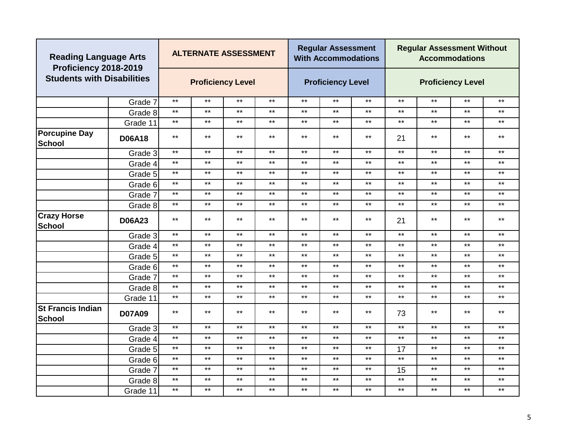| <b>Reading Language Arts</b><br>Proficiency 2018-2019 |               |              | <b>ALTERNATE ASSESSMENT</b> |              |              |       | <b>Regular Assessment</b><br><b>With Accommodations</b> |              |              | <b>Regular Assessment Without</b> | <b>Accommodations</b>    |              |
|-------------------------------------------------------|---------------|--------------|-----------------------------|--------------|--------------|-------|---------------------------------------------------------|--------------|--------------|-----------------------------------|--------------------------|--------------|
| <b>Students with Disabilities</b>                     |               |              | <b>Proficiency Level</b>    |              |              |       | <b>Proficiency Level</b>                                |              |              |                                   | <b>Proficiency Level</b> |              |
|                                                       | Grade 7       | $***$        | $***$                       | $***$        | $\star\star$ | $***$ | $\star\star$                                            | $***$        | $***$        | $***$                             | $***$                    | $***$        |
|                                                       | Grade 8       | $***$        | $***$                       | $***$        | $***$        | $***$ | $***$                                                   | $***$        | $\star\star$ | $***$                             | $***$                    | $***$        |
|                                                       | Grade 11      | $***$        | $***$                       | $***$        | $\star\star$ | $***$ | $***$                                                   | $***$        | $***$        | $***$                             | $***$                    | $\star\star$ |
| <b>Porcupine Day</b><br><b>School</b>                 | <b>D06A18</b> | $***$        | $***$                       | $***$        | $\star\star$ | $***$ | $***$                                                   | $***$        | 21           | $***$                             | $***$                    | $\star\star$ |
|                                                       | Grade 3       | $***$        | $***$                       | $***$        | $***$        | $***$ | $***$                                                   | $***$        | $***$        | $\star\star$                      | $***$                    | $***$        |
|                                                       | Grade 4       | $***$        | $***$                       | $***$        | $\star\star$ | $***$ | $***$                                                   | $\star\star$ | $***$        | $***$                             | $***$                    | $\star\star$ |
|                                                       | Grade 5       | $***$        | $***$                       | $***$        | $***$        | $***$ | $***$                                                   | $***$        | $***$        | $***$                             | $***$                    | $***$        |
|                                                       | Grade 6       | $***$        | $***$                       | $***$        | $\star\star$ | $***$ | $***$                                                   | $***$        | $***$        | $***$                             | $***$                    | $\star\star$ |
|                                                       | Grade 7       | $\star\star$ | $***$                       | $***$        | $\star\star$ | $***$ | $***$                                                   | $***$        | $***$        | $***$                             | $\star\star$             | $\star\star$ |
|                                                       | Grade 8       | $\star\star$ | $***$                       | $***$        | $\star\star$ | $***$ | $***$                                                   | $***$        | $***$        | $***$                             | $***$                    | $***$        |
| <b>Crazy Horse</b><br><b>School</b>                   | <b>D06A23</b> | $***$        | $***$                       | $***$        | $***$        | $***$ | $***$                                                   | $***$        | 21           | $***$                             | $\star\star$             | $\star\star$ |
|                                                       | Grade 3       | $***$        | $\star\star$                | $***$        | $***$        | $***$ | $***$                                                   | $***$        | $***$        | $***$                             | $***$                    | $***$        |
|                                                       | Grade 4       | $***$        | $***$                       | $***$        | $***$        | $***$ | $***$                                                   | $***$        | $***$        | $***$                             | $***$                    | $***$        |
|                                                       | Grade 5       | $***$        | $***$                       | $***$        | $***$        | $***$ | $***$                                                   | $***$        | $***$        | $***$                             | $***$                    | $***$        |
|                                                       | Grade 6       | $***$        | $***$                       | $***$        | $\star\star$ | $***$ | $***$                                                   | $***$        | $***$        | $***$                             | $***$                    | $\star\star$ |
|                                                       | Grade 7       | $***$        | $***$                       | $***$        | $***$        | $***$ | $***$                                                   | $***$        | $***$        | $***$                             | $***$                    | $***$        |
|                                                       | Grade 8       | $***$        | $***$                       | $***$        | $\star\star$ | $***$ | $***$                                                   | $***$        | $\star\star$ | $***$                             | $***$                    | $\star\star$ |
|                                                       | Grade 11      | $***$        | $\star\star$                | $***$        | $***$        | $***$ | $***$                                                   | $***$        | $***$        | $***$                             | $***$                    | $***$        |
| <b>St Francis Indian</b><br>School                    | <b>D07A09</b> | $***$        | $***$                       | $***$        | $***$        | $***$ | $***$                                                   | $***$        | 73           | $***$                             | $***$                    | $***$        |
|                                                       | Grade 3       | $***$        | $***$                       | $\star\star$ | $***$        | $***$ | $***$                                                   | $***$        | $***$        | $***$                             | $***$                    | $\star\star$ |
|                                                       | Grade 4       | $\star\star$ | $***$                       | $***$        | $***$        | $***$ | $***$                                                   | $***$        | $***$        | $***$                             | $***$                    | $\star\star$ |
|                                                       | Grade 5       | $\star\star$ | $***$                       | $***$        | $***$        | $***$ | $***$                                                   | $\star\star$ | 17           | $\star\star$                      | $***$                    | $***$        |
|                                                       | Grade 6       | $***$        | $***$                       | $***$        | $\star\star$ | $***$ | $***$                                                   | $***$        | $***$        | $***$                             | $***$                    | $\star\star$ |
|                                                       | Grade 7       | $***$        | $\star\star$                | $***$        | $***$        | $***$ | $***$                                                   | $***$        | 15           | $***$                             | $***$                    | $***$        |
|                                                       | Grade 8       | $***$        | $***$                       | $***$        | $***$        | $***$ | $***$                                                   | $***$        | $***$        | $***$                             | $***$                    | $***$        |
|                                                       | Grade 11      | $***$        | $***$                       | $***$        | $***$        | $***$ | $***$                                                   | $***$        | $***$        | $***$                             | $***$                    | $***$        |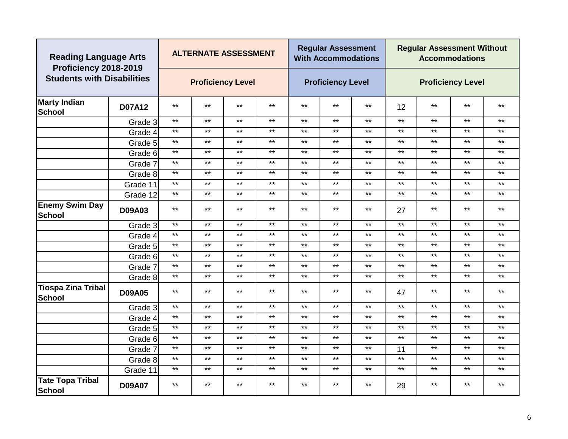| <b>Reading Language Arts</b><br>Proficiency 2018-2019 |               |       | <b>ALTERNATE ASSESSMENT</b> |              |              |              | <b>Regular Assessment</b><br><b>With Accommodations</b> |              |              | <b>Regular Assessment Without</b> | <b>Accommodations</b>    |              |
|-------------------------------------------------------|---------------|-------|-----------------------------|--------------|--------------|--------------|---------------------------------------------------------|--------------|--------------|-----------------------------------|--------------------------|--------------|
| <b>Students with Disabilities</b>                     |               |       | <b>Proficiency Level</b>    |              |              |              | <b>Proficiency Level</b>                                |              |              |                                   | <b>Proficiency Level</b> |              |
| <b>Marty Indian</b><br>School                         | <b>D07A12</b> | $***$ | $***$                       | $***$        | $***$        | $***$        | $***$                                                   | $***$        | 12           | $***$                             | $***$                    | $***$        |
|                                                       | Grade 3       | $***$ | $\star\star$                | $\star\star$ | $\star\star$ | $***$        | $***$                                                   | $***$        | $***$        | $***$                             | $***$                    | $\star\star$ |
|                                                       | Grade 4       | $***$ | $\star\star$                | $***$        | $\star\star$ | $***$        | $***$                                                   | $***$        | $***$        | $***$                             | $***$                    | $***$        |
|                                                       | Grade 5       | $***$ | $\star\star$                | $***$        | $\star\star$ | $***$        | $***$                                                   | $***$        | $***$        | $***$                             | $***$                    | $\star\star$ |
|                                                       | Grade 6       | $***$ | $\star\star$                | $***$        | $\star\star$ | $***$        | $***$                                                   | $\star\star$ | $***$        | $***$                             | $***$                    | $***$        |
|                                                       | Grade 7       | $***$ | $\star\star$                | $***$        | $\star\star$ | $***$        | $***$                                                   | $***$        | $***$        | $***$                             | $***$                    | $***$        |
|                                                       | Grade 8       | $***$ | $\star\star$                | $***$        | $\star\star$ | $***$        | $***$                                                   | $***$        | $***$        | $***$                             | $***$                    | $***$        |
|                                                       | Grade 11      | $***$ | $***$                       | $***$        | $***$        | $***$        | $***$                                                   | $***$        | $***$        | $***$                             | $***$                    | $***$        |
|                                                       | Grade 12      | $***$ | $\star\star$                | $***$        | $\star\star$ | $***$        | $***$                                                   | $***$        | $\star\star$ | $***$                             | $***$                    | $***$        |
| <b>Enemy Swim Day</b><br><b>School</b>                | <b>D09A03</b> | $***$ | $***$                       | $***$        | $***$        | $\star\star$ | $***$                                                   | $***$        | 27           | $***$                             | $***$                    | $***$        |
|                                                       | Grade 3       | $***$ | $***$                       | $\star\star$ | $***$        | $***$        | $***$                                                   | $***$        | $***$        | $***$                             | $***$                    | $***$        |
|                                                       | Grade 4       | $***$ | $***$                       | $***$        | $***$        | $***$        | $***$                                                   | $***$        | $***$        | $***$                             | $***$                    | $***$        |
|                                                       | Grade 5       | $***$ | $\star\star$                | $\star\star$ | $\star\star$ | $***$        | $***$                                                   | $***$        | $***$        | $***$                             | $***$                    | $***$        |
|                                                       | Grade 6       | $***$ | $***$                       | $***$        | $***$        | $***$        | $***$                                                   | $***$        | $***$        | $***$                             | $***$                    | $***$        |
|                                                       | Grade 7       | $***$ | $***$                       | $***$        | $***$        | $***$        | $***$                                                   | $***$        | $***$        | $***$                             | $***$                    | $***$        |
|                                                       | Grade 8       | $***$ | $***$                       | $***$        | $***$        | $***$        | $***$                                                   | $***$        | $***$        | $***$                             | $***$                    | $***$        |
| Tiospa Zina Tribal<br>School                          | <b>D09A05</b> | $***$ | $\star\star$                | $***$        | $\star\star$ | $***$        | $***$                                                   | $***$        | 47           | $***$                             | $***$                    | $\star\star$ |
|                                                       | Grade 3       | $***$ | $***$                       | $***$        | $***$        | $***$        | $***$                                                   | $***$        | $***$        | $***$                             | $***$                    | $***$        |
|                                                       | Grade 4       | $***$ | $\star\star$                | $***$        | $\star\star$ | $***$        | $***$                                                   | $***$        | $***$        | $***$                             | $***$                    | $***$        |
|                                                       | Grade 5       | $***$ | $\star\star$                | $***$        | $\star\star$ | $***$        | $***$                                                   | $***$        | $***$        | $***$                             | $***$                    | $***$        |
|                                                       | Grade 6       | $***$ | $***$                       | $***$        | $***$        | $***$        | $***$                                                   | $***$        | $***$        | $***$                             | $***$                    | $***$        |
|                                                       | Grade 7       | $***$ | $\star\star$                | $\star\star$ | $\star\star$ | $***$        | $***$                                                   | $***$        | 11           | $***$                             | $***$                    | $***$        |
|                                                       | Grade 8       | $***$ | $\star\star$                | $***$        | $***$        | $***$        | $\star\star$                                            | $***$        | $***$        | $***$                             | $***$                    | $***$        |
|                                                       | Grade 11      | $***$ | $***$                       | $***$        | $***$        | $***$        | $***$                                                   | $***$        | $***$        | $***$                             | $***$                    | $***$        |
| Tate Topa Tribal<br>School                            | <b>D09A07</b> | $***$ | $***$                       | $***$        | $***$        | $***$        | $***$                                                   | $***$        | 29           | $***$                             | $***$                    | $***$        |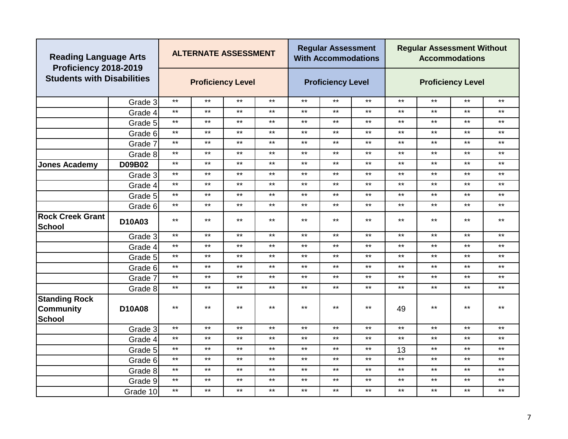| <b>Reading Language Arts</b><br>Proficiency 2018-2019 |               |                                                                            | <b>ALTERNATE ASSESSMENT</b> |              |       |       | <b>Regular Assessment</b><br><b>With Accommodations</b> |              |              | <b>Regular Assessment Without</b> | <b>Accommodations</b>    |              |
|-------------------------------------------------------|---------------|----------------------------------------------------------------------------|-----------------------------|--------------|-------|-------|---------------------------------------------------------|--------------|--------------|-----------------------------------|--------------------------|--------------|
| <b>Students with Disabilities</b>                     |               |                                                                            | <b>Proficiency Level</b>    |              |       |       | <b>Proficiency Level</b>                                |              |              |                                   | <b>Proficiency Level</b> |              |
|                                                       | Grade 3       | $***$                                                                      | $***$                       | $***$        | $***$ | $***$ | $***$                                                   | $***$        | $***$        | $***$                             | $***$                    | $***$        |
|                                                       | Grade 4       | $***$                                                                      | $***$                       | $***$        | $***$ | $***$ | $***$                                                   | $***$        | $***$        | $***$                             | $***$                    | $***$        |
|                                                       | Grade 5       | $***$                                                                      | $\star\star$                | $***$        | $***$ | $***$ | $***$                                                   | $***$        | $\star\star$ | $***$                             | $***$                    | $***$        |
|                                                       | Grade 6       | $***$                                                                      | $***$                       | $***$        | $***$ | $***$ | $***$                                                   | $***$        | $***$        | $***$                             | $***$                    | $***$        |
|                                                       | Grade 7       | $***$                                                                      | $***$                       | $***$        | $***$ | $***$ | $***$                                                   | $***$        | $***$        | $\star\star$                      | $***$                    | $***$        |
|                                                       | Grade 8       | $***$                                                                      | $\star\star$                | $***$        | $***$ | $***$ | $***$                                                   | $***$        | $\star\star$ | $***$                             | $***$                    | $***$        |
| <b>Jones Academy</b>                                  | D09B02        | $***$                                                                      | $***$                       | $***$        | $***$ | $***$ | $***$                                                   | $***$        | $***$        | $***$                             | $***$                    | $***$        |
|                                                       | Grade 3       | $***$                                                                      | $***$                       | $***$        | $***$ | $***$ | $***$                                                   | $***$        | $***$        | $\star\star$                      | $***$                    | $***$        |
|                                                       | Grade 4       | $***$                                                                      | $\star\star$                | $***$        | $***$ | $***$ | $***$                                                   | $***$        | $***$        | $***$                             | $***$                    | $\star\star$ |
|                                                       | Grade 5       | $***$                                                                      | $\star\star$                | $***$        | $***$ | $***$ | $***$                                                   | $***$        | $***$        | $***$                             | $***$                    | $***$        |
|                                                       | Grade 6       | $***$                                                                      | $\star\star$                | $***$        | $***$ | $***$ | $***$                                                   | $***$        | $\star\star$ | $***$                             | $***$                    | $\star\star$ |
| <b>Rock Creek Grant</b><br>School                     | D10A03        | $***$                                                                      | $***$                       | $***$        | $***$ | $***$ | $***$                                                   | $***$        | $***$        | $***$                             | $***$                    | $***$        |
|                                                       | Grade 3       | $***$                                                                      | $\star\star$                | $***$        | $***$ | $***$ | $***$                                                   | $***$        | $***$        | $***$                             | $***$                    | $***$        |
|                                                       | Grade 4       | $***$                                                                      | $***$                       | $***$        | $***$ | $***$ | $***$                                                   | $***$        | $***$        | $***$                             | $***$                    | $***$        |
|                                                       | Grade 5       | $***$                                                                      | $***$                       | $***$        | $***$ | $***$ | $***$                                                   | $***$        | $\star\star$ | $***$                             | $***$                    | $***$        |
|                                                       | Grade 6       | $***$                                                                      | $\star\star$                | $***$        | $***$ | $***$ | $***$                                                   | $***$        | $\star\star$ | $***$                             | $***$                    | $***$        |
|                                                       | Grade 7       | $***$                                                                      | $\star\star$                | $***$        | $***$ | $***$ | $***$                                                   | $***$        | $\star\star$ | $***$                             | $***$                    | $***$        |
|                                                       | Grade 8       | $***$                                                                      | $\star\star$                | $***$        | $***$ | $***$ | $***$                                                   | $***$        | $\star\star$ | $***$                             | $***$                    | $***$        |
| <b>Standing Rock</b><br>Community<br>School           | <b>D10A08</b> | $***$<br>$***$<br>$***$<br>$***$<br>$***$<br>$***$<br>$***$<br>$***$<br>49 |                             |              |       |       |                                                         | $***$        | $***$        |                                   |                          |              |
|                                                       | Grade 3       | $***$                                                                      | $***$                       | $***$        | $***$ | $***$ | $***$                                                   | $***$        | $***$        | $\star\star$                      | $***$                    | $***$        |
|                                                       | Grade 4       | $***$                                                                      | $\star\star$                | $***$        | $***$ | $***$ | $***$                                                   | $***$        | $***$        | $***$                             | $***$                    | $\star\star$ |
|                                                       | Grade 5       | $***$                                                                      | $***$                       | $***$        | $***$ | $***$ | $***$                                                   | $***$        | 13           | $***$                             | $***$                    | $***$        |
|                                                       | Grade 6       | $***$                                                                      | $***$                       | $\star\star$ | $***$ | $***$ | $***$                                                   | $***$        | $***$        | $\star\star$                      | $***$                    | $***$        |
|                                                       | Grade 8       | $***$                                                                      | $\star\star$                | $***$        | $***$ | $***$ | $***$                                                   | $\star\star$ | $***$        | $***$                             | $***$                    | $\star\star$ |
|                                                       | Grade 9       | $***$                                                                      | $\star\star$                | $***$        | $***$ | $***$ | $***$                                                   | $***$        | $***$        | $***$                             | $***$                    | $\star\star$ |
|                                                       | Grade 10      | $***$                                                                      | $***$                       | $***$        | $***$ | $***$ | $***$                                                   | $***$        | $***$        | $***$                             | $***$                    | $***$        |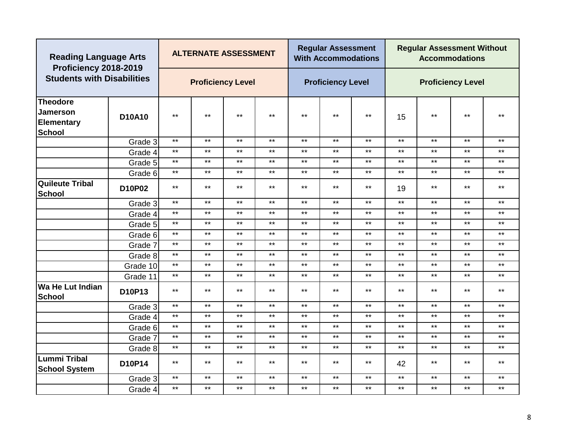| <b>Reading Language Arts</b><br>Proficiency 2018-2019                    |               |              | <b>ALTERNATE ASSESSMENT</b> |       |              |       | <b>Regular Assessment</b><br><b>With Accommodations</b> |       |              | <b>Regular Assessment Without</b> | <b>Accommodations</b>    |              |
|--------------------------------------------------------------------------|---------------|--------------|-----------------------------|-------|--------------|-------|---------------------------------------------------------|-------|--------------|-----------------------------------|--------------------------|--------------|
| <b>Students with Disabilities</b>                                        |               |              | <b>Proficiency Level</b>    |       |              |       | <b>Proficiency Level</b>                                |       |              |                                   | <b>Proficiency Level</b> |              |
| <b>Theodore</b><br><b>Jamerson</b><br><b>Elementary</b><br><b>School</b> | <b>D10A10</b> | $***$        | $***$                       | $***$ | $\star\star$ | $***$ | $***$                                                   | $***$ | 15           | $\star\star$                      | $***$                    | $*$          |
|                                                                          | Grade 3       | $\star\star$ | $\star\star$                | $***$ | $***$        | $***$ | $***$                                                   | $***$ | $\star\star$ | $\star\star$                      | $***$                    | $***$        |
|                                                                          | Grade 4       | $***$        | $***$                       | $***$ | $***$        | $***$ | $***$                                                   | $***$ | $***$        | $***$                             | $***$                    | $***$        |
|                                                                          | Grade 5       | $***$        | $***$                       | $***$ | $***$        | $***$ | $***$                                                   | $***$ | $***$        | $***$                             | $***$                    | $***$        |
|                                                                          | Grade 6       | $***$        | $***$                       | $***$ | $\star\star$ | $***$ | $***$                                                   | $***$ | $***$        | $***$                             | $***$                    | $***$        |
| <b>Quileute Tribal</b><br>School                                         | D10P02        | $***$        | $***$                       | $***$ | $***$        | $***$ | $***$                                                   | $***$ | 19           | $***$                             | $***$                    | $***$        |
|                                                                          | Grade 3       | $***$        | $***$                       | $***$ | $***$        | $***$ | $***$                                                   | $***$ | $***$        | $***$                             | $***$                    | $***$        |
|                                                                          | Grade 4       | $\star\star$ | $***$                       | $***$ | $***$        | $***$ | $***$                                                   | $***$ | $\star\star$ | $***$                             | $***$                    | $***$        |
|                                                                          | Grade 5       | $***$        | $***$                       | $***$ | $\star\star$ | $***$ | $***$                                                   | $***$ | $***$        | $***$                             | $***$                    | $***$        |
|                                                                          | Grade 6       | $***$        | $***$                       | $***$ | $\star\star$ | $***$ | $***$                                                   | $***$ | $***$        | $***$                             | $***$                    | $***$        |
|                                                                          | Grade 7       | $***$        | $***$                       | $***$ | $***$        | $***$ | $***$                                                   | $***$ | $***$        | $***$                             | $***$                    | $***$        |
|                                                                          | Grade 8       | $***$        | $***$                       | $***$ | $\star\star$ | $***$ | $***$                                                   | $***$ | $***$        | $\star\star$                      | $***$                    | $\star\star$ |
|                                                                          | Grade 10      | $***$        | $***$                       | $***$ | $***$        | $***$ | $***$                                                   | $***$ | $***$        | $***$                             | $***$                    | $\star\star$ |
|                                                                          | Grade 11      | $***$        | $***$                       | $***$ | $***$        | $***$ | $***$                                                   | $***$ | $***$        | $***$                             | $***$                    | $***$        |
| Wa He Lut Indian<br><b>School</b>                                        | D10P13        | $***$        | $***$                       | $***$ | $***$        | $***$ | $***$                                                   | $***$ | $***$        | $***$                             | $***$                    | $***$        |
|                                                                          | Grade 3       | $\star\star$ | $***$                       | $***$ | $***$        | $***$ | $***$                                                   | $***$ | $***$        | $***$                             | $***$                    | $***$        |
|                                                                          | Grade 4       | $***$        | $***$                       | $***$ | $***$        | $***$ | $***$                                                   | $***$ | $***$        | $***$                             | $***$                    | $***$        |
|                                                                          | Grade 6       | $***$        | $***$                       | $***$ | $***$        | $***$ | $***$                                                   | $***$ | $***$        | $***$                             | $***$                    | $***$        |
|                                                                          | Grade 7       | $***$        | $***$                       | $***$ | $\star\star$ | $***$ | $***$                                                   | $***$ | $***$        | $\star\star$                      | $***$                    | $***$        |
|                                                                          | Grade 8       | $***$        | $***$                       | $***$ | $***$        | $***$ | $***$                                                   | $***$ | $***$        | $\star\star$                      | $***$                    | $***$        |
| <b>Lummi Tribal</b><br><b>School System</b>                              | D10P14        | $***$        | $\star\star$                | $***$ | $\star\star$ | $***$ | $***$                                                   | $***$ | 42           | $\star\star$                      | $***$                    | $***$        |
|                                                                          | Grade 3       | $***$        | $***$                       | $***$ | $***$        | $***$ | $***$                                                   | $***$ | $***$        | $***$                             | $***$                    | $***$        |
|                                                                          | Grade 4       | $***$        | $***$                       | $***$ | $***$        | $***$ | $***$                                                   | $***$ | $\star\star$ | $***$                             | $***$                    | $***$        |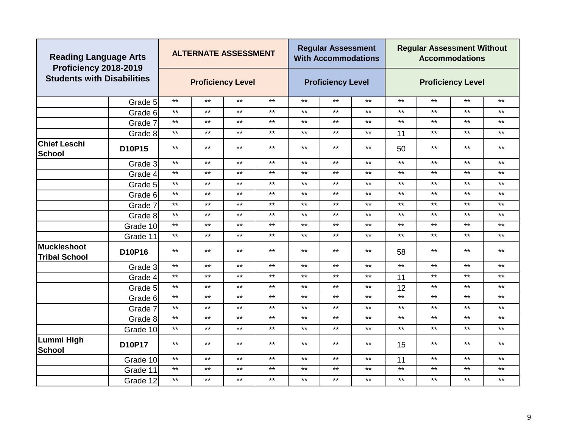| <b>Reading Language Arts</b><br>Proficiency 2018-2019 |          |              |       | <b>ALTERNATE ASSESSMENT</b> |              |              | <b>Regular Assessment</b><br><b>With Accommodations</b> |       |              | <b>Regular Assessment Without</b> | <b>Accommodations</b>    |              |
|-------------------------------------------------------|----------|--------------|-------|-----------------------------|--------------|--------------|---------------------------------------------------------|-------|--------------|-----------------------------------|--------------------------|--------------|
| <b>Students with Disabilities</b>                     |          |              |       | <b>Proficiency Level</b>    |              |              | <b>Proficiency Level</b>                                |       |              |                                   | <b>Proficiency Level</b> |              |
|                                                       | Grade 5  | $\star\star$ | $***$ | $***$                       | $***$        | $***$        | $***$                                                   | $***$ | $***$        | $***$                             | $***$                    | $***$        |
|                                                       | Grade 6  | $\star\star$ | $***$ | $***$                       | $***$        | $***$        | $***$                                                   | $***$ | $\star\star$ | $***$                             | $***$                    | $***$        |
|                                                       | Grade 7  | $***$        | $***$ | $***$                       | $***$        | $***$        | $***$                                                   | $***$ | $***$        | $***$                             | $***$                    | $***$        |
|                                                       | Grade 8  | $***$        | $***$ | $***$                       | $\star\star$ | $***$        | $***$                                                   | $***$ | 11           | $\star\star$                      | $***$                    | $***$        |
| <b>Chief Leschi</b><br><b>School</b>                  | D10P15   | $***$        | $***$ | $***$                       | $***$        | $***$        | $***$                                                   | $***$ | 50           | $***$                             | $***$                    | $***$        |
|                                                       | Grade 3  | $\star\star$ | $***$ | $***$                       | $\star\star$ | $\star\star$ | $\star\star$                                            | $***$ | $\star\star$ | $\star\star$                      | $***$                    | $\star\star$ |
|                                                       | Grade 4  | $***$        | $***$ | $***$                       | $\star\star$ | $***$        | $***$                                                   | $***$ | $***$        | $\star\star$                      | $***$                    | $\star\star$ |
|                                                       | Grade 5  | $***$        | $***$ | $***$                       | $***$        | $***$        | $***$                                                   | $***$ | $***$        | $***$                             | $***$                    | $***$        |
|                                                       | Grade 6  | $***$        | $***$ | $***$                       | $***$        | $***$        | $***$                                                   | $***$ | $***$        | $***$                             | $***$                    | $***$        |
|                                                       | Grade 7  | $***$        | $***$ | $***$                       | $\star\star$ | $***$        | $***$                                                   | $***$ | $***$        | $***$                             | $***$                    | $***$        |
|                                                       | Grade 8  | $***$        | $***$ | $***$                       | $\star\star$ | $***$        | $***$                                                   | $***$ | $***$        | $***$                             | $***$                    | $***$        |
|                                                       | Grade 10 | $***$        | $***$ | $***$                       | $***$        | $***$        | $***$                                                   | $***$ | $***$        | $***$                             | $***$                    | $***$        |
|                                                       | Grade 11 | $***$        | $***$ | $***$                       | $***$        | $***$        | $***$                                                   | $***$ | $***$        | $***$                             | $***$                    | $***$        |
| <b>Muckleshoot</b><br><b>Tribal School</b>            | D10P16   | $***$        | $***$ | $***$                       | $\star\star$ | $***$        | $***$                                                   | $***$ | 58           | $\star\star$                      | $***$                    | $\star\star$ |
|                                                       | Grade 3  | $***$        | $***$ | $***$                       | $***$        | $***$        | $***$                                                   | $***$ | $***$        | $\star\star$                      | $***$                    | $***$        |
|                                                       | Grade 4  | $***$        | $***$ | $***$                       | $***$        | $***$        | $***$                                                   | $***$ | 11           | $***$                             | $***$                    | $***$        |
|                                                       | Grade 5  | $***$        | $***$ | $***$                       | $\star\star$ | $***$        | $***$                                                   | $***$ | 12           | $\star\star$                      | $***$                    | $\star\star$ |
|                                                       | Grade 6  | $***$        | $***$ | $***$                       | $***$        | $***$        | $***$                                                   | $***$ | $***$        | $***$                             | $***$                    | $\star\star$ |
|                                                       | Grade 7  | $***$        | $***$ | $***$                       | $\star\star$ | $***$        | $***$                                                   | $***$ | $***$        | $\star\star$                      | $***$                    | $***$        |
|                                                       | Grade 8  | $***$        | $***$ | $***$                       | $\star\star$ | $***$        | $***$                                                   | $***$ | $***$        | $\star\star$                      | $***$                    | $***$        |
|                                                       | Grade 10 | $***$        | $***$ | $***$                       | $***$        | $***$        | $***$                                                   | $***$ | $***$        | $***$                             | $***$                    | $***$        |
| Lummi High<br>School                                  | D10P17   | $***$        | $***$ | $***$                       | $***$        | $***$        | $***$                                                   | $***$ | 15           | **                                | $***$                    | **           |
|                                                       | Grade 10 | $***$        | $***$ | $***$                       | $***$        | $***$        | $***$                                                   | $***$ | 11           | $***$                             | $***$                    | $\star\star$ |
|                                                       | Grade 11 | $***$        | $***$ | $***$                       | $\star\star$ | $***$        | $***$                                                   | $***$ | $***$        | $***$                             | $***$                    | $***$        |
|                                                       | Grade 12 | $***$        | $***$ | $***$                       | $***$        | $***$        | $***$                                                   | $***$ | $***$        | $***$                             | $***$                    | $***$        |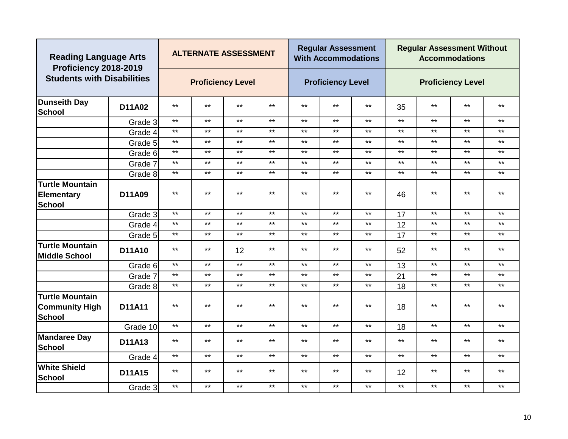| <b>Reading Language Arts</b><br>Proficiency 2018-2019     |          |              | <b>ALTERNATE ASSESSMENT</b> |              |              |              | <b>Regular Assessment</b><br><b>With Accommodations</b> |       |       | <b>Regular Assessment Without</b> | <b>Accommodations</b>    |              |
|-----------------------------------------------------------|----------|--------------|-----------------------------|--------------|--------------|--------------|---------------------------------------------------------|-------|-------|-----------------------------------|--------------------------|--------------|
| <b>Students with Disabilities</b>                         |          |              | <b>Proficiency Level</b>    |              |              |              | <b>Proficiency Level</b>                                |       |       |                                   | <b>Proficiency Level</b> |              |
| <b>Dunseith Day</b><br>School                             | D11A02   | $***$        | $***$                       | $***$        | $***$        | $***$        | $***$                                                   | $***$ | 35    | $***$                             | $***$                    | $***$        |
|                                                           | Grade 3  | $***$        | $***$                       | $***$        | $***$        | $***$        | $***$                                                   | $***$ | $***$ | $***$                             | $***$                    | $***$        |
|                                                           | Grade 4  | $***$        | $***$                       | $***$        | $***$        | $***$        | $***$                                                   | $***$ | $***$ | $***$                             | $***$                    | $***$        |
|                                                           | Grade 5  | $\star\star$ | $***$                       | $***$        | $***$        | $***$        | $***$                                                   | $***$ | $***$ | $***$                             | $***$                    | $***$        |
|                                                           | Grade 6  | $***$        | $***$                       | $***$        | $***$        | $***$        | $***$                                                   | $***$ | $***$ | $***$                             | $***$                    | $***$        |
|                                                           | Grade 7  | $***$        | $\star\star$                | $***$        | $\star\star$ | $***$        | $***$                                                   | $***$ | $***$ | $***$                             | $***$                    | $***$        |
|                                                           | Grade 8  | $***$        | $***$                       | $***$        | $***$        | $***$        | $***$                                                   | $***$ | $***$ | $***$                             | $***$                    | $***$        |
| Turtle Mountain                                           |          |              |                             |              |              |              |                                                         |       |       |                                   |                          |              |
| <b>Elementary</b><br>School                               | D11A09   | $***$        | $\star\star$                | $***$        | $\star\star$ | $***$        | $***$                                                   | $***$ | 46    | $***$                             | $***$                    | $***$        |
|                                                           | Grade 3  | $***$        | $***$                       | $***$        | $***$        | $***$        | $***$                                                   | $***$ | 17    | $***$                             | $***$                    | $***$        |
|                                                           | Grade 4  | $***$        | $***$                       | $***$        | $***$        | $***$        | $***$                                                   | $***$ | 12    | $***$                             | $***$                    | $***$        |
|                                                           | Grade 5  | $***$        | $***$                       | $***$        | $***$        | $***$        | $***$                                                   | $***$ | 17    | $***$                             | $***$                    | $***$        |
| <b>Turtle Mountain</b><br><b>Middle School</b>            | D11A10   | $***$        | $***$                       | 12           | $***$        | $***$        | $***$                                                   | $***$ | 52    | $***$                             | $***$                    | $***$        |
|                                                           | Grade 6  | $***$        | $***$                       | $\star\star$ | $***$        | $***$        | $***$                                                   | $***$ | 13    | $***$                             | $***$                    | $***$        |
|                                                           | Grade 7  | $***$        | $\star\star$                | $***$        | $\star\star$ | $***$        | $***$                                                   | $***$ | 21    | $***$                             | $***$                    | $***$        |
|                                                           | Grade 8  | $***$        | $***$                       | $***$        | $***$        | $***$        | $***$                                                   | $***$ | 18    | $***$                             | $***$                    | $***$        |
| <b>Turtle Mountain</b><br><b>Community High</b><br>School | D11A11   | $***$        | $***$                       | $***$        | $***$        | $***$        | $***$                                                   | $***$ | 18    | $***$                             | $***$                    | $***$        |
|                                                           | Grade 10 | $***$        | $***$                       | $***$        | $\star\star$ | $***$        | $***$                                                   | $***$ | 18    | $***$                             | $***$                    | $\star\star$ |
| <b>Mandaree Day</b><br>School                             | D11A13   | $***$        | $\star\star$                | $***$        | $\star\star$ | $***$        | $***$                                                   | $***$ | $***$ | $***$                             | $***$                    | $***$        |
|                                                           | Grade 4  | $***$        | $\star\star$                | $***$        | $\star\star$ | $\star\star$ | $\star\star$                                            | $***$ | $***$ | $***$                             | $***$                    | $***$        |
| <b>White Shield</b><br>School                             | D11A15   | $***$        | $***$                       | $***$        | $***$        | $***$        | $***$                                                   | $***$ | 12    | $***$                             | $***$                    | $***$        |
|                                                           | Grade 3  | $***$        | $***$                       | $***$        | $***$        | $***$        | $***$                                                   | $***$ | $***$ | $***$                             | $***$                    | $***$        |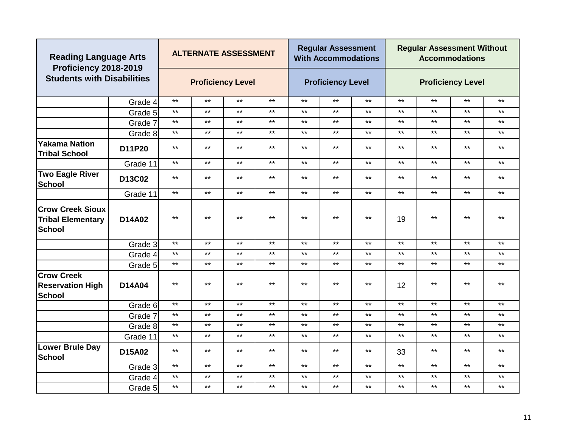| <b>Reading Language Arts</b><br>Proficiency 2018-2019                |          |              | <b>ALTERNATE ASSESSMENT</b> |       |              |              | <b>Regular Assessment</b><br><b>With Accommodations</b> |       |              | <b>Regular Assessment Without</b> | <b>Accommodations</b>    |              |
|----------------------------------------------------------------------|----------|--------------|-----------------------------|-------|--------------|--------------|---------------------------------------------------------|-------|--------------|-----------------------------------|--------------------------|--------------|
| <b>Students with Disabilities</b>                                    |          |              | <b>Proficiency Level</b>    |       |              |              | <b>Proficiency Level</b>                                |       |              |                                   | <b>Proficiency Level</b> |              |
|                                                                      | Grade 4  | $***$        | $***$                       | $***$ | $***$        | $***$        | $***$                                                   | $***$ | $***$        | $***$                             | $***$                    | $***$        |
|                                                                      | Grade 5  | $***$        | $***$                       | $***$ | $***$        | $***$        | $***$                                                   | $***$ | $\star\star$ | $***$                             | $***$                    | $***$        |
|                                                                      | Grade 7  | $***$        | $***$                       | $***$ | $\star\star$ | $***$        | $***$                                                   | $***$ | $\star\star$ | $***$                             | $***$                    | $\star\star$ |
|                                                                      | Grade 8  | $***$        | $***$                       | $***$ | $***$        | $***$        | $***$                                                   | $***$ | $***$        | $***$                             | $***$                    | $***$        |
| <b>Yakama Nation</b><br><b>Tribal School</b>                         | D11P20   | $***$        | $***$                       | $***$ | $***$        | $***$        | $***$                                                   | $***$ | $***$        | $***$                             | $***$                    | $***$        |
|                                                                      | Grade 11 | $***$        | $***$                       | $***$ | $***$        | $***$        | $***$                                                   | $***$ | $***$        | $***$                             | $***$                    | $***$        |
| <b>Two Eagle River</b><br><b>School</b>                              | D13C02   | $***$        | $***$                       | $***$ | $***$        | $***$        | $***$                                                   | $***$ | $***$        | $***$                             | $***$                    | $***$        |
|                                                                      | Grade 11 | $***$        | $***$                       | $***$ | $\star\star$ | $\star\star$ | $***$                                                   | $***$ | $\star\star$ | $\star\star$                      | $***$                    | $\star\star$ |
| <b>Crow Creek Sioux</b><br><b>Tribal Elementary</b><br><b>School</b> | D14A02   | $***$        | $***$                       | $***$ | $***$        | $***$        | $***$                                                   | $***$ | 19           | $***$                             | $***$                    | $***$        |
|                                                                      | Grade 3  | $***$        | $***$                       | $***$ | $***$        | $*$          | $***$                                                   | $***$ | $***$        | $***$                             | $***$                    | $***$        |
|                                                                      | Grade 4  | $***$        | $***$                       | $***$ | $\star\star$ | $***$        | $***$                                                   | $***$ | $\star\star$ | $***$                             | $***$                    | $\star\star$ |
|                                                                      | Grade 5  | $***$        | $***$                       | $***$ | $\star\star$ | $***$        | $***$                                                   | $***$ | $***$        | $***$                             | $***$                    | $***$        |
| <b>Crow Creek</b><br><b>Reservation High</b><br><b>School</b>        | D14A04   | $***$        | $***$                       | $***$ | $***$        | $***$        | $***$                                                   | $***$ | 12           | $***$                             | $***$                    | $***$        |
|                                                                      | Grade 6  | $\star\star$ | $***$                       | $***$ | $***$        | $***$        | $***$                                                   | $***$ | $***$        | $***$                             | $***$                    | $***$        |
|                                                                      | Grade 7  | $***$        | $***$                       | $***$ | $***$        | $***$        | $***$                                                   | $***$ | $***$        | $***$                             | $***$                    | $***$        |
|                                                                      | Grade 8  | $***$        | $***$                       | $***$ | $***$        | $***$        | $***$                                                   | $***$ | $***$        | $***$                             | $***$                    | $***$        |
|                                                                      | Grade 11 | $***$        | $***$                       | $***$ | $\star\star$ | $***$        | $***$                                                   | $***$ | $\star\star$ | $***$                             | $***$                    | $***$        |
| <b>Lower Brule Day</b><br><b>School</b>                              | D15A02   | $***$        | $***$                       | $***$ | $***$        | $***$        | $***$                                                   | $***$ | 33           | $***$                             | $***$                    | $***$        |
|                                                                      | Grade 3  | $***$        | $***$                       | $***$ | $***$        | $***$        | $***$                                                   | $***$ | $***$        | $***$                             | $***$                    | $***$        |
|                                                                      | Grade 4  | $***$        | $***$                       | $***$ | $***$        | $***$        | $***$                                                   | $***$ | $***$        | $***$                             | $***$                    | $***$        |
|                                                                      | Grade 5  | $***$        | $***$                       | $***$ | $***$        | $***$        | $***$                                                   | $***$ | $***$        | $***$                             | $***$                    | $***$        |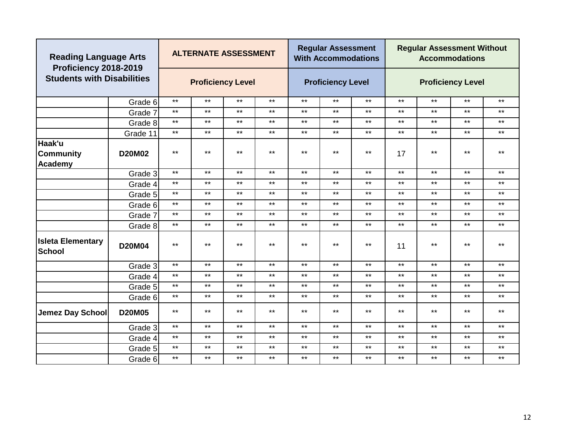| <b>Reading Language Arts</b><br>Proficiency 2018-2019 |               |              | <b>ALTERNATE ASSESSMENT</b>      |       |       |       | <b>Regular Assessment</b><br><b>With Accommodations</b> |       |              | <b>Regular Assessment Without</b> | <b>Accommodations</b>    |       |
|-------------------------------------------------------|---------------|--------------|----------------------------------|-------|-------|-------|---------------------------------------------------------|-------|--------------|-----------------------------------|--------------------------|-------|
| <b>Students with Disabilities</b>                     |               |              | <b>Proficiency Level</b>         |       |       |       | <b>Proficiency Level</b>                                |       |              |                                   | <b>Proficiency Level</b> |       |
|                                                       | Grade 6       | $\star\star$ | $***$                            | $***$ | $***$ | $***$ | $***$                                                   | $***$ | $***$        | $***$                             | $***$                    | $***$ |
|                                                       | Grade 7       | $***$        | $\star\star$                     | $***$ | $***$ | $***$ | $***$                                                   | $***$ | $\star\star$ | $***$                             | $***$                    | $***$ |
|                                                       | Grade 8       | $***$        | $***$                            | $***$ | $***$ | $***$ | $***$                                                   | $***$ | $***$        | $***$                             | $***$                    | $***$ |
|                                                       | Grade 11      | $***$        | $***$                            | $***$ | $***$ | $***$ | $***$                                                   | $***$ | $***$        | $***$                             | $***$                    | $***$ |
| Haak'u<br>Community<br>Academy                        | <b>D20M02</b> | $***$        | $***$                            | $***$ | $***$ | $***$ | $***$                                                   | $***$ | 17           | $***$                             | $***$                    | $***$ |
|                                                       | Grade 3       | $***$        | $***$                            | $***$ | $***$ | $***$ | $***$                                                   | $***$ | $***$        | $***$                             | $***$                    | $***$ |
|                                                       | Grade 4       | $***$        | $***$<br>$***$<br>$***$<br>$***$ |       |       |       | $***$                                                   | $***$ | $***$        | $***$                             | $***$                    | $***$ |
|                                                       | Grade 5       | $***$        | $***$                            | $***$ | $***$ | $***$ | $***$                                                   | $***$ | $\star\star$ | $***$                             | $***$                    | $***$ |
|                                                       | Grade 6       | $***$        | $***$                            | $***$ | $***$ | $***$ | $***$                                                   | $***$ | $***$        | $***$                             | $***$                    | $***$ |
|                                                       | Grade 7       | $***$        | $***$                            | $***$ | $***$ | $***$ | $***$                                                   | $***$ | $***$        | $***$                             | $***$                    | $***$ |
|                                                       | Grade 8       | $***$        | $***$                            | $***$ | $***$ | $***$ | $***$                                                   | $***$ | $***$        | $***$                             | $***$                    | $***$ |
| <b>Isleta Elementary</b><br>School                    | D20M04        | $***$        | $***$                            | $***$ | $***$ | $***$ | $***$                                                   | $***$ | 11           | $***$                             | $***$                    | $***$ |
|                                                       | Grade 3       | $***$        | $***$                            | $***$ | $***$ | $***$ | $***$                                                   | $***$ | $***$        | $***$                             | $***$                    | $***$ |
|                                                       | Grade 4       | $***$        | $\star\star$                     | $***$ | $***$ | $***$ | $***$                                                   | $***$ | $***$        | $***$                             | $***$                    | $***$ |
|                                                       | Grade 5       | $***$        | $***$                            | $***$ | $***$ | $***$ | $***$                                                   | $***$ | $***$        | $***$                             | $***$                    | $***$ |
|                                                       | Grade 6       | $***$        | $\star\star$                     | $***$ | $***$ | $***$ | $***$                                                   | $***$ | $***$        | $***$                             | $***$                    | $***$ |
| Jemez Day School                                      | <b>D20M05</b> | $***$        | $***$                            | $***$ | $***$ | $***$ | $***$                                                   | $***$ | $***$        | $***$                             | $***$                    | $***$ |
|                                                       | Grade 3       | $***$        | $***$                            | $***$ | $***$ | $***$ | $***$                                                   | $***$ | $***$        | $***$                             | $***$                    | $***$ |
|                                                       | Grade 4       | $***$        | $***$                            | $***$ | $***$ | $***$ | $***$                                                   | $***$ | $***$        | $***$                             | $***$                    | $***$ |
|                                                       | Grade 5       | $***$        | $\star\star$                     | $***$ | $***$ | $***$ | $***$                                                   | $***$ | $\star\star$ | $***$                             | $***$                    | $***$ |
|                                                       | Grade 6       | $***$        | $***$                            | $***$ | $***$ | $***$ | $***$                                                   | $***$ | $***$        | $***$                             | $***$                    | $***$ |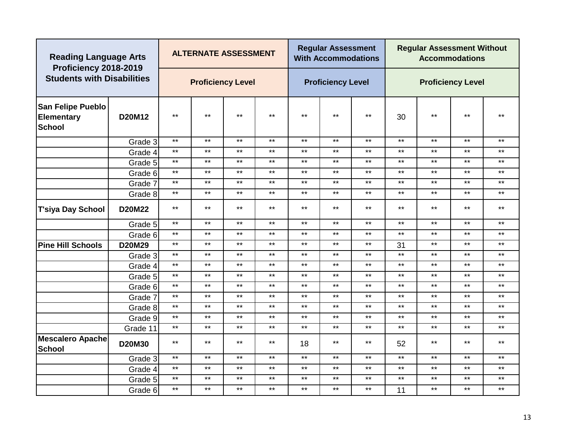|                                                         | <b>Reading Language Arts</b><br>Proficiency 2018-2019<br><b>Students with Disabilities</b> |              | <b>ALTERNATE ASSESSMENT</b> |              |              |              | <b>Regular Assessment</b><br><b>With Accommodations</b> |              |              | <b>Regular Assessment Without</b> | <b>Accommodations</b>    |              |
|---------------------------------------------------------|--------------------------------------------------------------------------------------------|--------------|-----------------------------|--------------|--------------|--------------|---------------------------------------------------------|--------------|--------------|-----------------------------------|--------------------------|--------------|
|                                                         |                                                                                            |              | <b>Proficiency Level</b>    |              |              |              | <b>Proficiency Level</b>                                |              |              |                                   | <b>Proficiency Level</b> |              |
| <b>San Felipe Pueblo</b><br><b>Elementary</b><br>School | D20M12                                                                                     | $***$        | $***$                       | $***$        | $***$        | $***$        | $***$                                                   | $***$        | 30           | $***$                             | $***$                    | $***$        |
|                                                         | Grade 3                                                                                    | $\star\star$ | $***$                       | $***$        | $***$        | $***$        | $***$                                                   | $***$        | $***$        | $***$                             | $***$                    | $***$        |
|                                                         | Grade 4                                                                                    | $***$        | $***$                       | $***$        | $***$        | $***$        | $***$                                                   | $***$        | $***$        | $***$                             | $***$                    | $***$        |
|                                                         | Grade 5                                                                                    | $***$        | $***$                       | $***$        | $***$        | $***$        | $***$                                                   | $***$        | $***$        | $***$                             | $***$                    | $***$        |
|                                                         | Grade 6                                                                                    | $***$        | $\star\star$                | $***$        | $\star\star$ | $***$        | $***$                                                   | $***$        | $***$        | $***$                             | $***$                    | $***$        |
|                                                         | Grade 7                                                                                    | $***$        | $***$                       | $***$        | $***$        | $***$        | $***$                                                   | $***$        | $***$        | $***$                             | $***$                    | $***$        |
|                                                         | Grade 8                                                                                    | $***$        | $***$                       | $***$        | $***$        | $***$        | $***$                                                   | $***$        | $***$        | $***$                             | $***$                    | $***$        |
| T'siya Day School                                       | <b>D20M22</b>                                                                              | $***$        | $***$<br>$***$<br>$***$     |              | $***$        | $***$        | $***$                                                   | $***$        | $***$        | $***$                             | $***$                    | **           |
|                                                         | Grade 5                                                                                    | $***$        |                             | $***$        | $***$        | $***$        | $***$                                                   | $***$        | $\star\star$ | $***$                             | $***$                    | $***$        |
|                                                         | Grade 6                                                                                    | $***$        | $\star\star$                | $\star\star$ | $\star\star$ | $\star\star$ | $***$                                                   | $***$        | $***$        | $***$                             | $***$                    | $***$        |
| <b>Pine Hill Schools</b>                                | D20M29                                                                                     | $***$        | $***$                       | $***$        | $***$        | $***$        | $***$                                                   | $***$        | 31           | $***$                             | $***$                    | $***$        |
|                                                         | Grade 3                                                                                    | $***$        | $***$                       | $***$        | $***$        | $***$        | $***$                                                   | $***$        | $***$        | $***$                             | $***$                    | $***$        |
|                                                         | Grade 4                                                                                    | $***$        | $***$                       | $***$        | $***$        | $***$        | $***$                                                   | $***$        | $***$        | $***$                             | $***$                    | $***$        |
|                                                         | Grade 5                                                                                    | $***$        | $***$                       | $***$        | $***$        | $***$        | $***$                                                   | $***$        | $***$        | $***$                             | $***$                    | $***$        |
|                                                         | Grade 6                                                                                    | $***$        | $\star\star$                | $\star\star$ | $***$        | $\star\star$ | $\star\star$                                            | $\star\star$ | $***$        | $***$                             | $***$                    | $***$        |
|                                                         | Grade 7                                                                                    | $***$        | $\star\star$                | $\star\star$ | $\star\star$ | $***$        | $***$                                                   | $\star\star$ | $***$        | $***$                             | $***$                    | $***$        |
|                                                         | Grade 8                                                                                    | $***$        | $\star\star$                | $\star\star$ | $\star\star$ | $***$        | $***$                                                   | $\star\star$ | $***$        | $***$                             | $***$                    | $\star\star$ |
|                                                         | Grade 9                                                                                    | $***$        | $***$                       | $***$        | $***$        | $***$        | $***$                                                   | $***$        | $***$        | $***$                             | $***$                    | $***$        |
|                                                         | Grade 11                                                                                   | $***$        | $***$                       | $***$        | $***$        | $***$        | $***$                                                   | $***$        | $***$        | $***$                             | $***$                    | $***$        |
| Mescalero Apache<br>School                              | D20M30                                                                                     | $***$        | $\star\star$                | $***$        | $***$        | 18           | $***$                                                   | $***$        | 52           | $***$                             | $\star\star$             | $\star\star$ |
|                                                         | Grade 3                                                                                    | $***$        | $***$                       | $***$        | $***$        | $***$        | $***$                                                   | $***$        | $***$        | $***$                             | $***$                    | $***$        |
|                                                         | Grade 4                                                                                    | $***$        | $\star\star$                | $\star\star$ | $\star\star$ | $***$        | $***$                                                   | $***$        | $***$        | $***$                             | $***$                    | $***$        |
|                                                         | Grade 5                                                                                    | $***$        | $***$                       | $***$        | $***$        | $***$        | $***$                                                   | $***$        | $***$        | $***$                             | $***$                    | $***$        |
|                                                         | Grade 6                                                                                    | $***$        | $***$                       | $***$        | $***$        | $***$        | $***$                                                   | $***$        | 11           | $***$                             | $***$                    | $***$        |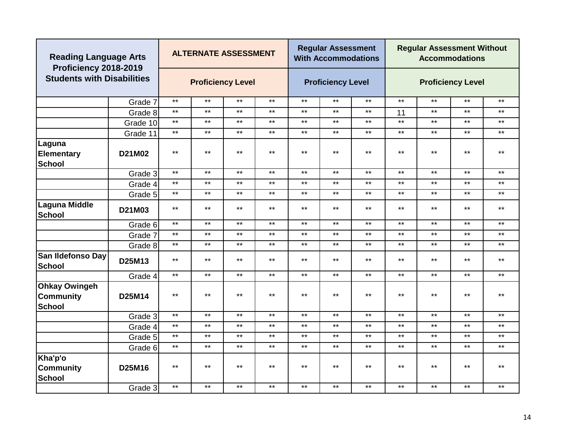|                                                           | <b>Reading Language Arts</b><br>Proficiency 2018-2019<br><b>Students with Disabilities</b> |              | <b>ALTERNATE ASSESSMENT</b> |       |              |       | <b>Regular Assessment</b><br><b>With Accommodations</b> |       |              | <b>Regular Assessment Without</b> | <b>Accommodations</b>    |              |
|-----------------------------------------------------------|--------------------------------------------------------------------------------------------|--------------|-----------------------------|-------|--------------|-------|---------------------------------------------------------|-------|--------------|-----------------------------------|--------------------------|--------------|
|                                                           |                                                                                            |              | <b>Proficiency Level</b>    |       |              |       | <b>Proficiency Level</b>                                |       |              |                                   | <b>Proficiency Level</b> |              |
|                                                           | Grade 7                                                                                    | $***$        | $***$                       | $***$ | $\star\star$ | $***$ | $***$                                                   | $***$ | $\star\star$ | $***$                             | $***$                    | $\star\star$ |
|                                                           | Grade 8                                                                                    | $***$        | $***$                       | $***$ | $***$        | $***$ | $***$                                                   | $***$ | 11           | $***$                             | $***$                    | $***$        |
|                                                           | Grade 10                                                                                   | $***$        | $***$                       | $***$ | $***$        | $***$ | $***$                                                   | $***$ | $***$        | $***$                             | $***$                    | $***$        |
|                                                           | Grade 11                                                                                   | $***$        | $***$                       | $***$ | $***$        | $***$ | $***$                                                   | $***$ | $***$        | $***$                             | $***$                    | $***$        |
| Laguna                                                    |                                                                                            |              |                             |       |              |       |                                                         |       |              |                                   |                          |              |
| <b>Elementary</b><br>School                               | D21M02                                                                                     | $***$        | $***$                       | $***$ | $***$        | $***$ | $***$                                                   | $***$ | $***$        | $***$                             | $***$                    | $***$        |
|                                                           | Grade 3                                                                                    | $***$        | $***$                       | $***$ | $***$        | $***$ | $***$                                                   | $***$ | $\star\star$ | $***$                             | $***$                    | $***$        |
|                                                           | Grade 4                                                                                    | $***$        | $\star\star$                | $***$ | $\star\star$ | $***$ | $***$                                                   | $***$ | $***$        | $***$                             | $***$                    | $***$        |
|                                                           | Grade 5                                                                                    | $***$        | $***$                       | $***$ | $\star\star$ | $***$ | $***$                                                   | $***$ | $***$        | $\star\star$                      | $***$                    | $***$        |
| <b>Laguna Middle</b><br><b>School</b>                     | D21M03                                                                                     | $***$        | $***$                       | $***$ | $***$        | $***$ | $***$                                                   | $***$ | $***$        | $***$                             | $***$                    | $***$        |
|                                                           | Grade 6                                                                                    | $***$        | $***$                       | $***$ | $***$        | $***$ | $***$                                                   | $***$ | $***$        | $***$                             | $***$                    | $***$        |
|                                                           | Grade 7                                                                                    | $***$        | $***$                       | $***$ | $***$        | $***$ | $***$                                                   | $***$ | $***$        | $***$                             | $***$                    | $***$        |
|                                                           | Grade 8                                                                                    | $***$        | $***$                       | $***$ | $\star\star$ | $***$ | $***$                                                   | $***$ | $***$        | $***$                             | $\star\star$             | $\star\star$ |
| San Ildefonso Day<br><b>School</b>                        | D25M13                                                                                     | $***$        | $***$                       | $***$ | $***$        | $***$ | $***$                                                   | $***$ | $***$        | $***$                             | $***$                    | $***$        |
|                                                           | Grade 4                                                                                    | $***$        | $***$                       | $***$ | $***$        | $***$ | $***$                                                   | $***$ | $***$        | $***$                             | $***$                    | $***$        |
| <b>Ohkay Owingeh</b><br><b>Community</b><br><b>School</b> | D25M14                                                                                     | $***$        | $***$                       | $***$ | $\star\star$ | $***$ | $***$                                                   | $***$ | $***$        | $\star\star$                      | $***$                    | $\star\star$ |
|                                                           | Grade 3                                                                                    | $\star\star$ | $***$                       | $***$ | $***$        | $***$ | $***$                                                   | $***$ | $***$        | $***$                             | $***$                    | $***$        |
|                                                           | Grade 4                                                                                    | $***$        | $***$                       | $***$ | $***$        | $***$ | $***$                                                   | $***$ | $***$        | $***$                             | $***$                    | $***$        |
|                                                           | Grade 5                                                                                    | $***$        | $***$                       | $***$ | $***$        | $***$ | $***$                                                   | $***$ | $***$        | $***$                             | $***$                    | $***$        |
|                                                           | Grade 6                                                                                    | $***$        | $***$                       | $***$ | $***$        | $***$ | $***$                                                   | $***$ | $***$        | $***$                             | $***$                    | $***$        |
| Kha'p'o<br><b>Community</b><br><b>School</b>              | D25M16                                                                                     | $***$        | $***$                       | $***$ | $***$        | $***$ | $***$                                                   | $***$ | $***$        | $***$                             | $***$                    | $***$        |
|                                                           | Grade 3                                                                                    | $\star\star$ | $***$                       | $***$ | $***$        | $***$ | $***$                                                   | $***$ | $***$        | $***$                             | $***$                    | $***$        |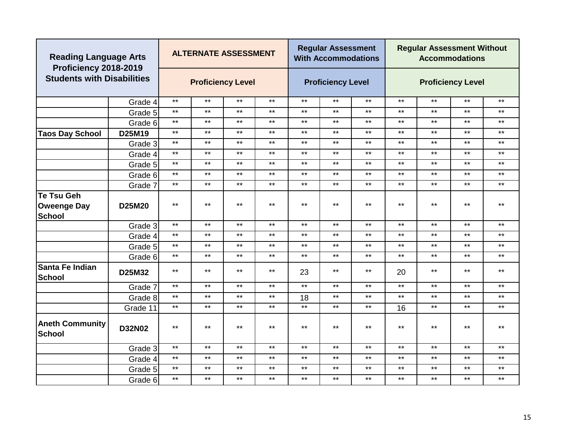| <b>Reading Language Arts</b><br>Proficiency 2018-2019 |               |              |              | <b>ALTERNATE ASSESSMENT</b> |              |       | <b>Regular Assessment</b><br><b>With Accommodations</b> |              |              | <b>Regular Assessment Without</b> | <b>Accommodations</b>    |              |
|-------------------------------------------------------|---------------|--------------|--------------|-----------------------------|--------------|-------|---------------------------------------------------------|--------------|--------------|-----------------------------------|--------------------------|--------------|
| <b>Students with Disabilities</b>                     |               |              |              | <b>Proficiency Level</b>    |              |       | <b>Proficiency Level</b>                                |              |              |                                   | <b>Proficiency Level</b> |              |
|                                                       | Grade 4       | $***$        | $***$        | $***$                       | $***$        | $***$ | $***$                                                   | $***$        | $***$        | $***$                             | $***$                    | $***$        |
|                                                       | Grade 5       | $***$        | $***$        | $***$                       | $***$        | $***$ | $***$                                                   | $***$        | $***$        | $***$                             | $***$                    | $***$        |
|                                                       | Grade 6       | $***$        | $***$        | $***$                       | $***$        | $***$ | $***$                                                   | $***$        | $***$        | $***$                             | $***$                    | $***$        |
| <b>Taos Day School</b>                                | D25M19        | $***$        | $***$        | $***$                       | $***$        | $***$ | $***$                                                   | $***$        | $***$        | $***$                             | $***$                    | $***$        |
|                                                       | Grade 3       | $***$        | $***$        | $***$                       | $***$        | $***$ | $***$                                                   | $***$        | $***$        | $***$                             | $***$                    | $***$        |
|                                                       | Grade 4       | $***$        | $***$        | $***$                       | $***$        | $***$ | $***$                                                   | $***$        | $\star\star$ | $***$                             | $***$                    | $\star\star$ |
|                                                       | Grade 5       | $***$        | $***$        | $***$                       | $\star\star$ | $***$ | $***$                                                   | $***$        | $\star\star$ | $***$                             | $***$                    | $***$        |
|                                                       | Grade 6       | $***$        | $***$        | $***$                       | $\star\star$ | $***$ | $***$                                                   | $***$        | $\star\star$ | $***$                             | $***$                    | $\star\star$ |
|                                                       | Grade 7       | $***$        | $***$        | $***$                       | $\star\star$ | $***$ | $***$                                                   | $***$        | $\star\star$ | $***$                             | $***$                    | $\star\star$ |
| Te Tsu Geh<br><b>Oweenge Day</b><br><b>School</b>     | D25M20        | $***$        | $***$        | $***$                       | $***$        | $***$ | $***$                                                   | $***$        | $***$        | $***$                             | $***$                    | $***$        |
|                                                       | Grade 3       | $***$        | $***$        | $***$                       | $***$        | $***$ | $***$                                                   | $***$        | $***$        | $***$                             | $***$                    | $***$        |
|                                                       | Grade 4       | $***$        | $***$        | $***$                       | $***$        | $***$ | $***$                                                   | $***$        | $***$        | $***$                             | $***$                    | $***$        |
|                                                       | Grade 5       | $***$        | $***$        | $***$                       | $***$        | $***$ | $***$                                                   | $***$        | $***$        | $***$                             | $***$                    | $***$        |
|                                                       | Grade 6       | $***$        | $***$        | $***$                       | $***$        | $***$ | $***$                                                   | $***$        | $***$        | $***$                             | $***$                    | $***$        |
| Santa Fe Indian<br>School                             | D25M32        | $***$        | $***$        | $***$                       | $***$        | 23    | $***$                                                   | $***$        | 20           | $***$                             | $***$                    | $***$        |
|                                                       | Grade 7       | $***$        | $***$        | $\star\star$                | $***$        | $***$ | $***$                                                   | $***$        | $***$        | $\star\star$                      | $***$                    | $\star\star$ |
|                                                       | Grade 8       | $\star\star$ | $***$        | $***$                       | $***$        | 18    | $***$                                                   | $***$        | $\star\star$ | $***$                             | $***$                    | $\star\star$ |
|                                                       | Grade 11      | $***$        | $\star\star$ | $***$                       | $***$        | $*$   | $***$                                                   | $\star\star$ | 16           | $***$                             | $***$                    | $***$        |
| <b>Aneth Community</b><br><b>School</b>               | <b>D32N02</b> | $***$        | $***$        | $***$                       | $***$        | $***$ | $***$                                                   | $***$        | $***$        | $***$                             | $***$                    | $***$        |
|                                                       | Grade 3       | $***$        | $***$        | $***$                       | $\star\star$ | $***$ | $***$                                                   | $***$        | $***$        | $***$                             | $***$                    | $\star\star$ |
|                                                       | Grade 4       | $***$        | $***$        | $\star\star$                | $***$        | $***$ | $\star\star$                                            | $***$        | $\star\star$ | $***$                             | $***$                    | $***$        |
|                                                       | Grade 5       | $***$        | $***$        | $***$                       | $\star\star$ | $***$ | $***$                                                   | $***$        | $\star\star$ | $***$                             | $***$                    | $\star\star$ |
|                                                       | Grade 6       | $***$        | $***$        | $***$                       | $***$        | $***$ | $***$                                                   | $***$        | $***$        | $***$                             | $***$                    | $***$        |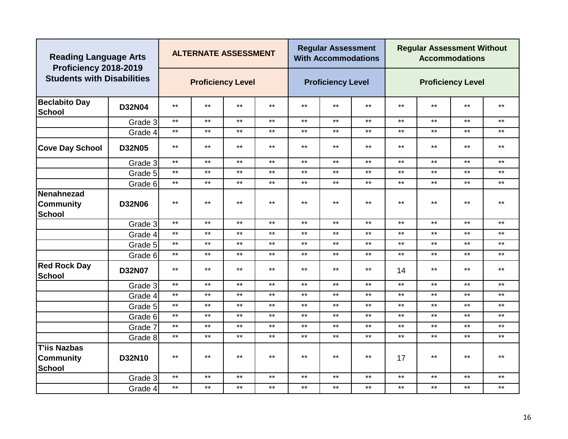| <b>Reading Language Arts</b><br>Proficiency 2018-2019    |               |              | <b>ALTERNATE ASSESSMENT</b> |       |              |              | <b>Regular Assessment</b><br><b>With Accommodations</b> |       |              | <b>Regular Assessment Without</b> | <b>Accommodations</b>    |              |
|----------------------------------------------------------|---------------|--------------|-----------------------------|-------|--------------|--------------|---------------------------------------------------------|-------|--------------|-----------------------------------|--------------------------|--------------|
| <b>Students with Disabilities</b>                        |               |              | <b>Proficiency Level</b>    |       |              |              | <b>Proficiency Level</b>                                |       |              |                                   | <b>Proficiency Level</b> |              |
| <b>Beclabito Day</b><br><b>School</b>                    | <b>D32N04</b> | $***$        | $***$                       | $***$ | $\star\star$ | $***$        | $***$                                                   | $***$ | $***$        | $***$                             | $***$                    | $***$        |
|                                                          | Grade 3       | $***$        | $***$                       | $***$ | $***$        | $***$        | $***$                                                   | $***$ | $***$        | $***$                             | $***$                    | $***$        |
|                                                          | Grade 4       | $***$        | $***$                       | $***$ | $***$        | $***$        | $***$                                                   | $***$ | $***$        | $***$                             | $***$                    | $***$        |
| <b>Cove Day School</b>                                   | <b>D32N05</b> | $\star\star$ | $***$                       | $***$ | $\star\star$ | $\star\star$ | $***$                                                   | $***$ | $\star\star$ | $***$                             | $***$                    | $\star\star$ |
|                                                          | Grade 3       | $***$        | $***$                       | $***$ | $***$        | $***$        | $***$                                                   | $***$ | $***$        | $***$                             | $***$                    | $***$        |
|                                                          | Grade 5       | $***$        | $***$                       | $***$ | $***$        | $***$        | $***$                                                   | $***$ | $***$        | $***$                             | $***$                    | $***$        |
|                                                          | Grade 6       | $***$        | $***$                       | $***$ | $***$        | $***$        | $***$                                                   | $***$ | $***$        | $***$                             | $***$                    | $***$        |
| <b>Nenahnezad</b><br><b>Community</b><br><b>School</b>   | <b>D32N06</b> | $***$        | $\star\star$                | $***$ | $\star\star$ | $***$        | $***$                                                   | $***$ | $***$        | $***$                             | $***$                    | $\star\star$ |
|                                                          | Grade 3       | $***$        | $\star\star$                | $***$ | $***$        | $***$        | $***$                                                   | $***$ | $***$        | $***$                             | $***$                    | $***$        |
|                                                          | Grade 4       | $***$        | $***$                       | $***$ | $***$        | $***$        | $***$                                                   | $***$ | $***$        | $***$                             | $***$                    | $***$        |
|                                                          | Grade 5       | $***$        | $***$                       | $***$ | $***$        | $***$        | $***$                                                   | $***$ | $***$        | $***$                             | $***$                    | $***$        |
|                                                          | Grade 6       | $***$        | $***$                       | $***$ | $***$        | $***$        | $***$                                                   | $***$ | $***$        | $***$                             | $***$                    | $***$        |
| <b>Red Rock Day</b><br><b>School</b>                     | <b>D32N07</b> | $***$        | $***$                       | $***$ | $***$        | $***$        | $***$                                                   | $***$ | 14           | $***$                             | $***$                    | $***$        |
|                                                          | Grade 3       | $***$        | $***$                       | $***$ | $\star\star$ | $***$        | $***$                                                   | $***$ | $***$        | $***$                             | $***$                    | $\star\star$ |
|                                                          | Grade 4       | $***$        | $***$                       | $***$ | $\star\star$ | $***$        | $***$                                                   | $***$ | $***$        | $***$                             | $***$                    | $***$        |
|                                                          | Grade 5       | $***$        | $***$                       | $***$ | $***$        | $***$        | $***$                                                   | $***$ | $***$        | $***$                             | $***$                    | $***$        |
|                                                          | Grade 6       | $***$        | $***$                       | $***$ | $***$        | $***$        | $***$                                                   | $***$ | $***$        | $***$                             | $***$                    | $***$        |
|                                                          | Grade 7       | $***$        | $***$                       | $***$ | $***$        | $***$        | $***$                                                   | $***$ | $***$        | $***$                             | $***$                    | $***$        |
|                                                          | Grade 8       | $***$        | $***$                       | $***$ | $\star\star$ | $***$        | $***$                                                   | $***$ | $***$        | $***$                             | $***$                    | $***$        |
| <b>T'iis Nazbas</b><br><b>Community</b><br><b>School</b> | D32N10        | $***$        | $***$                       | $***$ | $***$        | $***$        | $***$                                                   | $***$ | 17           | $***$                             | $***$                    | $***$        |
|                                                          | Grade 3       | $***$        | $***$                       | $***$ | $***$        | $***$        | $***$                                                   | $***$ | $***$        | $***$                             | $***$                    | $***$        |
|                                                          | Grade 4       | $***$        | $***$                       | $***$ | $***$        | $***$        | $***$                                                   | $***$ | $***$        | $***$                             | $***$                    | $***$        |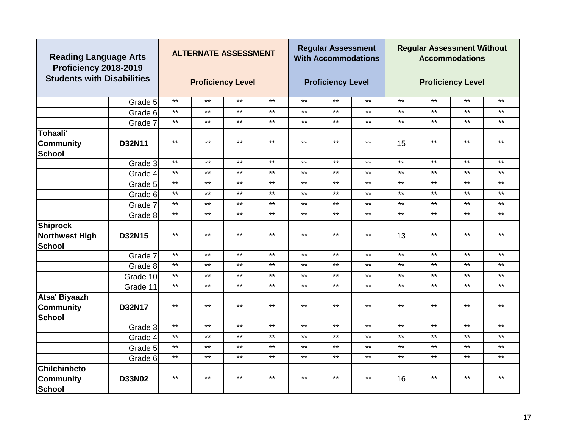|                                                           | <b>Reading Language Arts</b><br>Proficiency 2018-2019<br><b>Students with Disabilities</b> |              |              | <b>ALTERNATE ASSESSMENT</b> |              |       | <b>Regular Assessment</b><br><b>With Accommodations</b> |              |              | <b>Regular Assessment Without</b> | <b>Accommodations</b>    |              |
|-----------------------------------------------------------|--------------------------------------------------------------------------------------------|--------------|--------------|-----------------------------|--------------|-------|---------------------------------------------------------|--------------|--------------|-----------------------------------|--------------------------|--------------|
|                                                           |                                                                                            |              |              | <b>Proficiency Level</b>    |              |       | <b>Proficiency Level</b>                                |              |              |                                   | <b>Proficiency Level</b> |              |
|                                                           | Grade 5                                                                                    | $***$        | $***$        | $***$                       | $***$        | $***$ | $***$                                                   | $***$        | $***$        | $***$                             | $***$                    | $***$        |
|                                                           | Grade 6                                                                                    | $***$        | $***$        | $***$                       | $***$        | $***$ | $***$                                                   | $***$        | $***$        | $***$                             | $***$                    | $***$        |
|                                                           | Grade 7                                                                                    | $***$        | $***$        | $***$                       | $***$        | $***$ | $***$                                                   | $***$        | $***$        | $***$                             | $***$                    | $***$        |
| Tohaali'<br><b>Community</b><br><b>School</b>             | D32N11                                                                                     | $***$        | $***$        | $***$                       | $\star\star$ | $***$ | $\star\star$                                            | $***$        | 15           | $***$                             | $***$                    | $***$        |
|                                                           | Grade 3                                                                                    | $***$        | $***$        | $***$                       | $***$        | $***$ | $***$                                                   | $***$        | $***$        | $***$                             | $***$                    | $***$        |
|                                                           | Grade 4                                                                                    | $***$        | $***$        | $***$                       | $***$        | $***$ | $***$                                                   | $***$        | $***$        | $***$                             | $***$                    | $***$        |
|                                                           | Grade 5                                                                                    | $\star\star$ | $\star\star$ | $***$                       | $***$        | $***$ | $***$                                                   | $***$        | $***$        | $***$                             | $***$                    | $***$        |
|                                                           | Grade 6                                                                                    | $***$        | $***$        | $***$                       | $***$        | $***$ | $***$                                                   | $***$        | $\star\star$ | $***$                             | $***$                    | $***$        |
|                                                           | Grade 7                                                                                    | $***$        | $***$        | $***$                       | $***$        | $***$ | $***$                                                   | $***$        | $***$        | $***$                             | $***$                    | $***$        |
|                                                           | Grade 8                                                                                    | $***$        | $***$        | $\star\star$                | $***$        | $***$ | $***$                                                   | $\star\star$ | $***$        | $***$                             | $***$                    | $***$        |
| <b>Shiprock</b><br><b>Northwest High</b><br><b>School</b> | D32N15                                                                                     | $***$        | $***$        | $***$                       | $***$        | $***$ | $***$                                                   | $***$        | 13           | $***$                             | $***$                    | $***$        |
|                                                           | Grade 7                                                                                    | $***$        | $***$        | $***$                       | $***$        | $***$ | $***$                                                   | $***$        | $***$        | $***$                             | $***$                    | $***$        |
|                                                           | Grade 8                                                                                    | $***$        | $***$        | $\star\star$                | $\star\star$ | $***$ | $***$                                                   | $***$        | $\star\star$ | $***$                             | $***$                    | $***$        |
|                                                           | Grade 10                                                                                   | $***$        | $***$        | $***$                       | $***$        | $***$ | $***$                                                   | $***$        | $\star\star$ | $***$                             | $***$                    | $\star\star$ |
|                                                           | Grade 11                                                                                   | $***$        | $***$        | $***$                       | $***$        | $***$ | $***$                                                   | $***$        | $***$        | $***$                             | $***$                    | $***$        |
| Atsa' Biyaazh<br><b>Community</b><br><b>School</b>        | D32N17                                                                                     | $***$        | $***$        | $***$                       | $***$        | $***$ | $***$                                                   | $***$        | $***$        | $***$                             | $***$                    | $***$        |
|                                                           | Grade 3                                                                                    | $\star\star$ | $***$        | $***$                       | $***$        | $***$ | $***$                                                   | $***$        | $***$        | $***$                             | $***$                    | $***$        |
|                                                           | Grade 4                                                                                    | $***$        | $***$        | $\star\star$                | $\star\star$ | $***$ | $***$                                                   | $***$        | $\star\star$ | $***$                             | $***$                    | $***$        |
|                                                           | Grade 5                                                                                    | $***$        | $\star\star$ | $***$                       | $***$        | $***$ | $***$                                                   | $***$        | $***$        | $***$                             | $***$                    | $***$        |
|                                                           | Grade 6                                                                                    | $***$        | $***$        | $***$                       | $***$        | $***$ | $***$                                                   | $***$        | $***$        | $***$                             | $***$                    | $***$        |
| <b>Chilchinbeto</b><br><b>Community</b><br><b>School</b>  | <b>D33N02</b>                                                                              | $***$        | $***$        | $***$                       | $***$        | $***$ | $***$                                                   | $***$        | 16           | $***$                             | $***$                    | $***$        |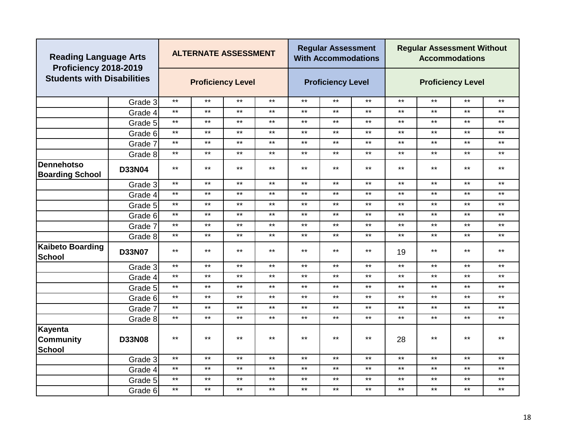| <b>Reading Language Arts</b><br>Proficiency 2018-2019 |               |              | <b>ALTERNATE ASSESSMENT</b> |              |              |              | <b>Regular Assessment</b><br><b>With Accommodations</b> |              |              | <b>Regular Assessment Without</b> | <b>Accommodations</b>    |              |
|-------------------------------------------------------|---------------|--------------|-----------------------------|--------------|--------------|--------------|---------------------------------------------------------|--------------|--------------|-----------------------------------|--------------------------|--------------|
| <b>Students with Disabilities</b>                     |               |              | <b>Proficiency Level</b>    |              |              |              | <b>Proficiency Level</b>                                |              |              |                                   | <b>Proficiency Level</b> |              |
|                                                       | Grade 3       | $***$        | $***$                       | $\star\star$ | $***$        | $***$        | $***$                                                   | $***$        | $\star\star$ | $***$                             | $***$                    | $***$        |
|                                                       | Grade 4       | $***$        | $***$                       | $***$        | $***$        | $***$        | $***$                                                   | $***$        | $\star\star$ | $***$                             | $***$                    | $***$        |
|                                                       | Grade 5       | $***$        | $***$                       | $***$        | $\star\star$ | $***$        | $\star\star$                                            | $***$        | $\star\star$ | $***$                             | $***$                    | $***$        |
|                                                       | Grade 6       | $***$        | $***$                       | $***$        | $\star\star$ | $\star\star$ | $***$                                                   | $***$        | $\star\star$ | $***$                             | $***$                    | $\star\star$ |
|                                                       | Grade 7       | $***$        | $***$                       | $***$        | $***$        | $***$        | $***$                                                   | $***$        | $\star\star$ | $***$                             | $***$                    | $***$        |
|                                                       | Grade 8       | $***$        | $***$                       | $***$        | $***$        | $***$        | $***$                                                   | $***$        | $***$        | $***$                             | $***$                    | $***$        |
| <b>Dennehotso</b><br><b>Boarding School</b>           | <b>D33N04</b> | $***$        | $***$                       | $***$        | $\star\star$ | $***$        | $\star\star$                                            | $***$        | $\star\star$ | $***$                             | $***$                    | $***$        |
|                                                       | Grade 3       | $***$        | $***$                       | $***$        | $***$        | $***$        | $***$                                                   | $***$        | $***$        | $***$                             | $***$                    | $***$        |
|                                                       | Grade 4       | $\star\star$ | $***$                       | $***$        | $\star\star$ | $***$        | $\star\star$                                            | $***$        | $***$        | $***$                             | $***$                    | $***$        |
|                                                       | Grade 5       | $\star\star$ | $***$                       | $***$        | $***$        | $***$        | $\star\star$                                            | $\star\star$ | $***$        | $\star\star$                      | $\star\star$             | $\star\star$ |
|                                                       | Grade 6       | $***$        | $***$                       | $***$        | $***$        | $***$        | $***$                                                   | $***$        | $***$        | $***$                             | $***$                    | $***$        |
|                                                       | Grade 7       | $***$        | $***$                       | $***$        | $***$        | $***$        | $\star\star$                                            | $***$        | $***$        | $***$                             | $***$                    | $***$        |
|                                                       | Grade 8       | $***$        | $***$                       | $***$        | $***$        | $***$        | $***$                                                   | $***$        | $***$        | $***$                             | $***$                    | $***$        |
| <b>Kaibeto Boarding</b><br>School                     | <b>D33N07</b> | $***$        | $***$                       | $***$        | $***$        | $***$        | $***$                                                   | $***$        | 19           | $***$                             | $***$                    | $***$        |
|                                                       | Grade 3       | $***$        | $***$                       | $***$        | $***$        | $***$        | $***$                                                   | $***$        | $***$        | $***$                             | $***$                    | $***$        |
|                                                       | Grade 4       | $***$        | $***$                       | $***$        | $***$        | $***$        | $***$                                                   | $***$        | $***$        | $***$                             | $***$                    | $***$        |
|                                                       | Grade 5       | $***$        | $***$                       | $***$        | $***$        | $***$        | $***$                                                   | $***$        | $***$        | $***$                             | $***$                    | $***$        |
|                                                       | Grade 6       | $***$        | $***$                       | $***$        | $***$        | $***$        | $***$                                                   | $***$        | $***$        | $***$                             | $***$                    | $***$        |
|                                                       | Grade 7       | $***$        | $***$                       | $***$        | $\star\star$ | $***$        | $***$                                                   | $***$        | $***$        | $\star\star$                      | $***$                    | $\star\star$ |
|                                                       | Grade 8       | $***$        | $***$                       | $***$        | $***$        | $***$        | $***$                                                   | $***$        | $***$        | $***$                             | $***$                    | $\star\star$ |
| Kayenta<br><b>Community</b><br><b>School</b>          | <b>D33N08</b> | $***$        | $***$                       | $***$        | $***$        | $***$        | $***$                                                   | $***$        | 28           | $***$                             | $***$                    | $***$        |
|                                                       | Grade 3       | $***$        | $***$                       | $***$        | $***$        | $***$        | $***$                                                   | $***$        | $***$        | $***$                             | $***$                    | $***$        |
|                                                       | Grade 4       | $***$        | $***$                       | $***$        | $\star\star$ | $***$        | $\star\star$                                            | $***$        | $\star\star$ | $***$                             | $***$                    | $\star\star$ |
|                                                       | Grade 5       | $***$        | $***$                       | $\star\star$ | $\star\star$ | $***$        | $***$                                                   | $***$        | $\star\star$ | $***$                             | $***$                    | $***$        |
|                                                       | Grade 6       | $***$        | $***$                       | $***$        | $***$        | $***$        | $***$                                                   | $***$        | $***$        | $***$                             | $***$                    | $***$        |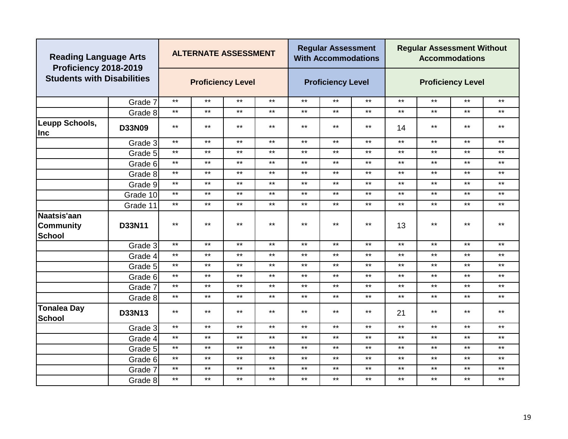|                                    | <b>Reading Language Arts</b><br>Proficiency 2018-2019<br><b>Students with Disabilities</b> |       |              | <b>ALTERNATE ASSESSMENT</b> |              |       | <b>Regular Assessment</b><br><b>With Accommodations</b> |              |              | <b>Regular Assessment Without</b> | <b>Accommodations</b>    |              |
|------------------------------------|--------------------------------------------------------------------------------------------|-------|--------------|-----------------------------|--------------|-------|---------------------------------------------------------|--------------|--------------|-----------------------------------|--------------------------|--------------|
|                                    |                                                                                            |       |              | <b>Proficiency Level</b>    |              |       | <b>Proficiency Level</b>                                |              |              |                                   | <b>Proficiency Level</b> |              |
|                                    | Grade 7                                                                                    | $***$ | $***$        | $***$                       | $***$        | $***$ | $***$                                                   | $***$        | $\star\star$ | $***$                             | $***$                    | $***$        |
|                                    | Grade 8                                                                                    | $***$ | $***$        | $***$                       | $***$        | $***$ | $***$                                                   | $***$        | $***$        | $***$                             | $***$                    | $***$        |
| Leupp Schools,<br><b>Inc</b>       | <b>D33N09</b>                                                                              | $***$ | $***$        | $***$                       | $***$        | $***$ | $***$                                                   | $***$        | 14           | $***$                             | $***$                    | $***$        |
|                                    | Grade 3                                                                                    | $***$ | $***$        | $***$                       | $***$        | $***$ | $***$                                                   | $***$        | $***$        | $***$                             | $***$                    | $\star\star$ |
|                                    | Grade 5                                                                                    | $***$ | $\star\star$ | $***$                       | $\star\star$ | $***$ | $***$                                                   | $***$        | $***$        | $***$                             | $***$                    | $\star\star$ |
|                                    | Grade 6                                                                                    | $***$ | $\star\star$ | $***$                       | $***$        | $***$ | $***$                                                   | $***$        | $***$        | $***$                             | $***$                    | $***$        |
|                                    | Grade 8                                                                                    | $***$ | $***$        | $***$                       | $***$        | $***$ | $***$                                                   | $***$        | $***$        | $***$                             | $***$                    | $***$        |
|                                    | Grade 9                                                                                    | $***$ | $\star\star$ | $\star\star$                | $\star\star$ | $***$ | $***$                                                   | $***$        | $***$        | $***$                             | $***$                    | $***$        |
|                                    | Grade 10                                                                                   | $***$ | $\star\star$ | $\star\star$                | $\star\star$ | $***$ | $***$                                                   | $\star\star$ | $\star\star$ | $***$                             | $***$                    | $\star\star$ |
|                                    | Grade 11                                                                                   | $***$ | $\star\star$ | $***$                       | $\star\star$ | $***$ | $\star\star$                                            | $***$        | $***$        | $\star\star$                      | $***$                    | $***$        |
| Naatsis'aan<br>Community<br>School | D33N11                                                                                     | $***$ | $***$        | $***$                       | $***$        | $***$ | $***$                                                   | $***$        | 13           | $***$                             | $\star\star$             | $***$        |
|                                    | Grade 3                                                                                    | $***$ | $***$        | $***$                       | $***$        | $***$ | $***$                                                   | $***$        | $***$        | $***$                             | $***$                    | $***$        |
|                                    | Grade 4                                                                                    | $***$ | $***$        | $***$                       | $***$        | $***$ | $***$                                                   | $***$        | $***$        | $***$                             | $***$                    | $***$        |
|                                    | Grade 5                                                                                    | $***$ | $***$        | $***$                       | $***$        | $***$ | $***$                                                   | $***$        | $***$        | $***$                             | $***$                    | $***$        |
|                                    | Grade 6                                                                                    | $***$ | $***$        | $***$                       | $***$        | $***$ | $***$                                                   | $***$        | $***$        | $***$                             | $***$                    | $***$        |
|                                    | Grade 7                                                                                    | $***$ | $***$        | $***$                       | $***$        | $***$ | $***$                                                   | $***$        | $***$        | $***$                             | $***$                    | $***$        |
|                                    | Grade 8                                                                                    | $***$ | $***$        | $***$                       | $***$        | $***$ | $***$                                                   | $***$        | $***$        | $***$                             | $***$                    | $***$        |
| Tonalea Day<br>School              | D33N13                                                                                     | $***$ | $***$        | $***$                       | $***$        | $***$ | $***$                                                   | $***$        | 21           | $***$                             | $***$                    | $***$        |
|                                    | Grade 3                                                                                    | $***$ | $***$        | $***$                       | $***$        | $***$ | $***$                                                   | $***$        | $***$        | $***$                             | $***$                    | $***$        |
|                                    | Grade 4                                                                                    | $***$ | $***$        | $***$                       | $***$        | $***$ | $***$                                                   | $***$        | $***$        | $***$                             | $***$                    | $***$        |
|                                    | Grade 5                                                                                    | $***$ | $***$        | $***$                       | $***$        | $***$ | $***$                                                   | $***$        | $***$        | $***$                             | $***$                    | $***$        |
|                                    | Grade 6                                                                                    | $***$ | $***$        | $***$                       | $***$        | $***$ | $***$                                                   | $***$        | $***$        | $***$                             | $***$                    | $***$        |
|                                    | Grade 7                                                                                    | $***$ | $\star\star$ | $\star\star$                | $\star\star$ | $***$ | $\star\star$                                            | $***$        | $***$        | $***$                             | $***$                    | $***$        |
|                                    | Grade 8                                                                                    | $***$ | $***$        | $***$                       | $***$        | $***$ | $***$                                                   | $***$        | $***$        | $***$                             | $***$                    | $***$        |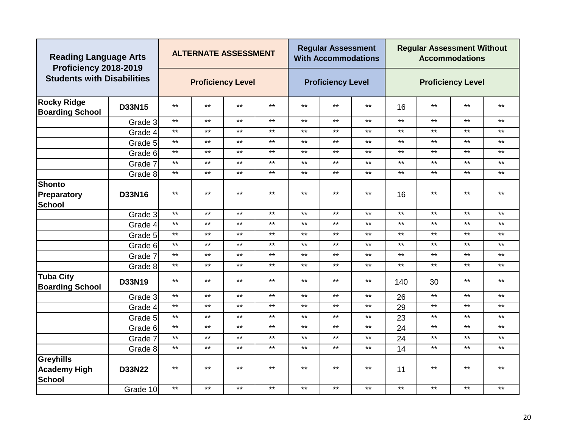| <b>Reading Language Arts</b><br>Proficiency 2018-2019    |               |       | <b>ALTERNATE ASSESSMENT</b> |       |              |       | <b>Regular Assessment</b><br><b>With Accommodations</b> |       |              | <b>Regular Assessment Without</b> | <b>Accommodations</b>    |              |
|----------------------------------------------------------|---------------|-------|-----------------------------|-------|--------------|-------|---------------------------------------------------------|-------|--------------|-----------------------------------|--------------------------|--------------|
| <b>Students with Disabilities</b>                        |               |       | <b>Proficiency Level</b>    |       |              |       | <b>Proficiency Level</b>                                |       |              |                                   | <b>Proficiency Level</b> |              |
| <b>Rocky Ridge</b><br><b>Boarding School</b>             | D33N15        | $***$ | $***$                       | $***$ | $\star\star$ | $***$ | $***$                                                   | $***$ | 16           | $\star\star$                      | $***$                    | $\star\star$ |
|                                                          | Grade 3       | $***$ | $***$                       | $***$ | $***$        | $***$ | $***$                                                   | $***$ | $***$        | $***$                             | $***$                    | $***$        |
|                                                          | Grade 4       | $***$ | $***$                       | $***$ | $***$        | $***$ | $***$                                                   | $***$ | $***$        | $***$                             | $***$                    | $***$        |
|                                                          | Grade 5       | $***$ | $***$                       | $***$ | $\star\star$ | $***$ | $***$                                                   | $***$ | $\star\star$ | $\star\star$                      | $***$                    | $***$        |
|                                                          | Grade 6       | $***$ | $***$                       | $***$ | $***$        | $***$ | $***$                                                   | $***$ | $***$        | $***$                             | $***$                    | $***$        |
|                                                          | Grade 7       | $***$ | $***$                       | $***$ | $***$        | $***$ | $***$                                                   | $***$ | $***$        | $***$                             | $***$                    | $***$        |
|                                                          | Grade 8       | $***$ | $***$                       | $***$ | $***$        | $***$ | $***$                                                   | $***$ | $***$        | $\star\star$                      | $***$                    | $***$        |
| <b>Shonto</b>                                            |               |       |                             |       |              |       |                                                         |       |              |                                   |                          |              |
| Preparatory                                              | D33N16        | $***$ | $***$                       | $***$ | $***$        | $***$ | $***$                                                   | $***$ | 16           | $***$                             | $***$                    | $***$        |
| <b>School</b>                                            |               |       |                             |       |              |       |                                                         |       |              |                                   |                          |              |
|                                                          | Grade 3       | $***$ | $***$                       | $***$ | $***$        | $***$ | $***$                                                   | $***$ | $***$        | $***$                             | $***$                    | $***$        |
|                                                          | Grade 4       | $***$ | $***$                       | $***$ | $***$        | $***$ | $***$                                                   | $***$ | $\star\star$ | $***$                             | $***$                    | $***$        |
|                                                          | Grade 5       | $***$ | $***$                       | $***$ | $***$        | $***$ | $***$                                                   | $***$ | $***$        | $***$                             | $***$                    | $***$        |
|                                                          | Grade 6       | $***$ | $***$                       | $***$ | $***$        | $***$ | $***$                                                   | $***$ | $***$        | $***$                             | $***$                    | $***$        |
|                                                          | Grade 7       | $***$ | $***$                       | $***$ | $\star\star$ | $***$ | $***$                                                   | $***$ | $***$        | $\star\star$                      | $***$                    | $\star\star$ |
|                                                          | Grade 8       | $***$ | $***$                       | $***$ | $\star\star$ | $***$ | $***$                                                   | $***$ | $***$        | $***$                             | $***$                    | $***$        |
| <b>Tuba City</b><br><b>Boarding School</b>               | D33N19        | $***$ | $***$                       | $***$ | $***$        | $***$ | $***$                                                   | $***$ | 140          | 30                                | $***$                    | $***$        |
|                                                          | Grade 3       | $***$ | $***$                       | $***$ | $***$        | $***$ | $***$                                                   | $***$ | 26           | $***$                             | $***$                    | $***$        |
|                                                          | Grade 4       | $***$ | $***$                       | $***$ | $***$        | $***$ | $***$                                                   | $***$ | 29           | $\star\star$                      | $***$                    | $***$        |
|                                                          | Grade 5       | $***$ | $***$                       | $***$ | $\star\star$ | $***$ | $***$                                                   | $***$ | 23           | $***$                             | $***$                    | $***$        |
|                                                          | Grade 6       | $***$ | $***$                       | $***$ | $***$        | $***$ | $***$                                                   | $***$ | 24           | $***$                             | $***$                    | $***$        |
|                                                          | Grade 7       | $***$ | $***$                       | $***$ | $***$        | $***$ | $***$                                                   | $***$ | 24           | $***$                             | $***$                    | $***$        |
|                                                          | Grade 8       | $***$ | $***$                       | $***$ | $***$        | $***$ | $***$                                                   | $***$ | 14           | $***$                             | $***$                    | $***$        |
| <b>Greyhills</b><br><b>Academy High</b><br><b>School</b> | <b>D33N22</b> | $***$ | $***$                       | $***$ | $***$        | $***$ | $***$                                                   | $***$ | 11           | **                                | $***$                    | $***$        |
|                                                          | Grade 10      | $***$ | $***$                       | $***$ | $***$        | $***$ | $***$                                                   | $***$ | $***$        | $***$                             | $\star\star$             | $***$        |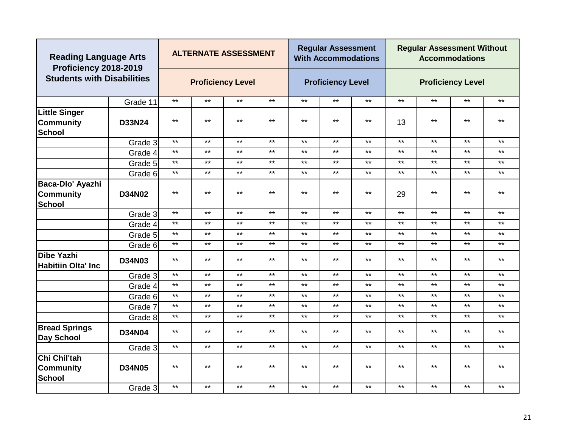| <b>Reading Language Arts</b><br>Proficiency 2018-2019     |               |              | <b>ALTERNATE ASSESSMENT</b> |       |              |       | <b>Regular Assessment</b><br><b>With Accommodations</b> |       |              | <b>Regular Assessment Without</b> | <b>Accommodations</b>    |              |
|-----------------------------------------------------------|---------------|--------------|-----------------------------|-------|--------------|-------|---------------------------------------------------------|-------|--------------|-----------------------------------|--------------------------|--------------|
| <b>Students with Disabilities</b>                         |               |              | <b>Proficiency Level</b>    |       |              |       | <b>Proficiency Level</b>                                |       |              |                                   | <b>Proficiency Level</b> |              |
|                                                           | Grade 11      | $***$        | $***$                       | $***$ | $***$        | $***$ | $***$                                                   | $***$ | $***$        | $***$                             | $***$                    | $***$        |
| <b>Little Singer</b><br><b>Community</b><br><b>School</b> | D33N24        | $***$        | $***$                       | $***$ | $***$        | $***$ | $***$                                                   | $***$ | 13           | $***$                             | $***$                    | $***$        |
|                                                           | Grade 3       | $***$        | $***$                       | $***$ | $***$        | $***$ | $***$                                                   | $***$ | $***$        | $***$                             | $***$                    | $***$        |
|                                                           | Grade 4       | $***$        | $***$                       | $***$ | $\star\star$ | $***$ | $***$                                                   | $***$ | $\star\star$ | $***$                             | $***$                    | $***$        |
|                                                           | Grade 5       | $***$        | $***$                       | $***$ | $***$        | $***$ | $***$                                                   | $***$ | $***$        | $***$                             | $***$                    | $***$        |
|                                                           | Grade 6       | $***$        | $***$                       | $***$ | $***$        | $***$ | $***$                                                   | $***$ | $***$        | $***$                             | $***$                    | $***$        |
| Baca-Dlo' Ayazhi                                          |               |              |                             |       |              |       |                                                         |       |              |                                   |                          |              |
| <b>Community</b>                                          | <b>D34N02</b> | $***$        | $***$                       | $***$ | $***$        | $***$ | $***$                                                   | $***$ | 29           | $***$                             | $***$                    | $***$        |
| <b>School</b>                                             |               |              |                             |       |              |       |                                                         |       |              |                                   |                          |              |
|                                                           | Grade 3       | $***$        | $***$                       | $***$ | $***$        | $***$ | $***$                                                   | $***$ | $\star\star$ | $***$                             | $***$                    | $***$        |
|                                                           | Grade 4       | $***$        | $***$                       | $***$ | $\star\star$ | $***$ | $***$                                                   | $***$ | $\star\star$ | $***$                             | $***$                    | $***$        |
|                                                           | Grade 5       | $***$        | $***$                       | $***$ | $***$        | $***$ | $***$                                                   | $***$ | $\star\star$ | $***$                             | $***$                    | $***$        |
|                                                           | Grade 6       | $***$        | $***$                       | $***$ | $***$        | $***$ | $***$                                                   | $***$ | $***$        | $***$                             | $***$                    | $***$        |
| <b>Dibe Yazhi</b><br><b>Habitiin Olta' Inc</b>            | <b>D34N03</b> | $***$        | $***$                       | $***$ | $\star\star$ | $***$ | $***$                                                   | $***$ | $***$        | $***$                             | $***$                    | $\star\star$ |
|                                                           | Grade 3       | $\star\star$ | $***$                       | $***$ | $\star\star$ | $***$ | $***$                                                   | $***$ | $\star\star$ | $\star\star$                      | $***$                    | $***$        |
|                                                           | Grade 4       | $***$        | $\star\star$                | $***$ | $***$        | $***$ | $***$                                                   | $***$ | $***$        | $***$                             | $***$                    | $\star\star$ |
|                                                           | Grade 6       | $***$        | $***$                       | $***$ | $***$        | $***$ | $***$                                                   | $***$ | $***$        | $***$                             | $***$                    | $***$        |
|                                                           | Grade 7       | $***$        | $***$                       | $***$ | $\star\star$ | $***$ | $***$                                                   | $***$ | $\star\star$ | $***$                             | $***$                    | $***$        |
|                                                           | Grade 8       | $\star\star$ | $\star\star$                | $***$ | $***$        | $***$ | $***$                                                   | $***$ | $***$        | $***$                             | $***$                    | $***$        |
| <b>Bread Springs</b><br><b>Day School</b>                 | <b>D34N04</b> | $***$        | $***$                       | $***$ | $***$        | $***$ | $\star\star$                                            | $***$ | $***$        | $***$                             | $***$                    | $***$        |
|                                                           | Grade 3       | $***$        | $***$                       | $***$ | $***$        | $***$ | $***$                                                   | $***$ | $***$        | $***$                             | $***$                    | $***$        |
| Chi Chil'tah<br><b>Community</b><br><b>School</b>         | <b>D34N05</b> | $***$        | $***$                       | $***$ | $***$        | $***$ | $***$                                                   | $***$ | $***$        | $***$                             | $***$                    | $***$        |
|                                                           | Grade 3       | $***$        | $***$                       | $***$ | $***$        | $***$ | $***$                                                   | $***$ | $***$        | $***$                             | $***$                    | $***$        |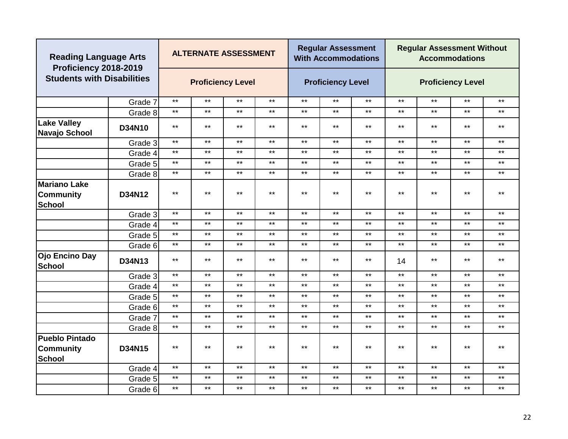|                                                            | <b>Reading Language Arts</b><br>Proficiency 2018-2019<br><b>Students with Disabilities</b> |       | <b>ALTERNATE ASSESSMENT</b> |       |              |       | <b>Regular Assessment</b><br><b>With Accommodations</b> |              |       | <b>Regular Assessment Without</b> | <b>Accommodations</b>    |              |
|------------------------------------------------------------|--------------------------------------------------------------------------------------------|-------|-----------------------------|-------|--------------|-------|---------------------------------------------------------|--------------|-------|-----------------------------------|--------------------------|--------------|
|                                                            |                                                                                            |       | <b>Proficiency Level</b>    |       |              |       | <b>Proficiency Level</b>                                |              |       |                                   | <b>Proficiency Level</b> |              |
|                                                            | Grade 7                                                                                    | $***$ | $***$                       | $***$ | $***$        | $***$ | $***$                                                   | $***$        | $***$ | $***$                             | $***$                    | $***$        |
|                                                            | Grade 8                                                                                    | $***$ | $***$                       | $***$ | $\star\star$ | $***$ | $***$                                                   | $***$        | $***$ | $***$                             | $***$                    | $\star\star$ |
| <b>Lake Valley</b><br>Navajo School                        | <b>D34N10</b>                                                                              | $***$ | $***$                       | $***$ | $***$        | $***$ | $***$                                                   | $***$        | $***$ | $***$                             | $***$                    | $***$        |
|                                                            | Grade 3                                                                                    | $***$ | $***$                       | $***$ | $\star\star$ | $***$ | $***$                                                   | $\star\star$ | $***$ | $***$                             | $***$                    | $\star\star$ |
|                                                            | Grade 4                                                                                    | $***$ | $***$                       | $***$ | $***$        | $***$ | $***$                                                   | $***$        | $***$ | $***$                             | $***$                    | $***$        |
|                                                            | Grade 5                                                                                    | $***$ | $***$                       | $***$ | $\star\star$ | $***$ | $***$                                                   | $***$        | $***$ | $***$                             | $***$                    | $\star\star$ |
|                                                            | Grade 8                                                                                    | $***$ | $***$                       | $***$ | $\star\star$ | $***$ | $***$                                                   | $***$        | $***$ | $***$                             | $***$                    | $***$        |
| Mariano Lake<br><b>Community</b><br><b>School</b>          | D34N12                                                                                     | $***$ | $***$                       | $***$ | $***$        | $***$ | $***$                                                   | $***$        | $***$ | $***$                             | $***$                    | $***$        |
|                                                            | Grade 3                                                                                    | $***$ | $***$                       | $***$ | $***$        | $***$ | $***$                                                   | $***$        | $***$ | $***$                             | $***$                    | $\star\star$ |
|                                                            | Grade 4                                                                                    | $***$ | $***$                       | $***$ | $***$        | $***$ | $***$                                                   | $***$        | $***$ | $***$                             | $***$                    | $***$        |
|                                                            | Grade 5                                                                                    | $***$ | $***$                       | $***$ | $***$        | $***$ | $***$                                                   | $***$        | $***$ | $***$                             | $***$                    | $***$        |
|                                                            | Grade 6                                                                                    | $***$ | $***$                       | $***$ | $\star\star$ | $***$ | $***$                                                   | $***$        | $***$ | $***$                             | $***$                    | $\star\star$ |
| Ojo Encino Day<br><b>School</b>                            | D34N13                                                                                     | $***$ | $***$                       | $***$ | $***$        | $***$ | $***$                                                   | $***$        | 14    | $***$                             | $***$                    | $***$        |
|                                                            | Grade 3                                                                                    | $***$ | $\star\star$                | $***$ | $***$        | $***$ | $***$                                                   | $***$        | $***$ | $***$                             | $***$                    | $***$        |
|                                                            | Grade 4                                                                                    | $***$ | $***$                       | $***$ | $\star\star$ | $***$ | $***$                                                   | $***$        | $***$ | $\star\star$                      | $***$                    | $***$        |
|                                                            | Grade 5                                                                                    | $***$ | $***$                       | $***$ | $\star\star$ | $***$ | $***$                                                   | $***$        | $***$ | $***$                             | $***$                    | $***$        |
|                                                            | Grade 6                                                                                    | $***$ | $***$                       | $***$ | $***$        | $***$ | $***$                                                   | $***$        | $***$ | $***$                             | $***$                    | $***$        |
|                                                            | Grade 7                                                                                    | $***$ | $***$                       | $***$ | $***$        | $***$ | $***$                                                   | $***$        | $***$ | $***$                             | $***$                    | $***$        |
|                                                            | Grade 8                                                                                    | $***$ | $***$                       | $***$ | $***$        | $***$ | $***$                                                   | $***$        | $***$ | $***$                             | $***$                    | $***$        |
| <b>Pueblo Pintado</b><br><b>Community</b><br><b>School</b> | D34N15                                                                                     | $***$ | $***$                       | $***$ | $***$        | $***$ | $***$                                                   | $***$        | $***$ | $***$                             | $***$                    | $***$        |
|                                                            | Grade 4                                                                                    | $***$ | $\star\star$                | $***$ | $***$        | $***$ | $***$                                                   | $***$        | $***$ | $***$                             | $***$                    | $***$        |
|                                                            | Grade 5                                                                                    | $***$ | $***$                       | $***$ | $***$        | $***$ | $***$                                                   | $***$        | $***$ | $***$                             | $***$                    | $***$        |
|                                                            | Grade 6                                                                                    | $***$ | $***$                       | $***$ | $***$        | $***$ | $***$                                                   | $***$        | $***$ | $***$                             | $***$                    | $***$        |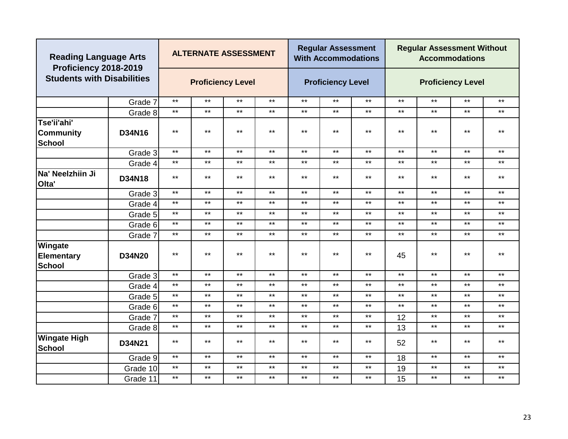| <b>Reading Language Arts</b><br>Proficiency 2018-2019 |               |              | <b>ALTERNATE ASSESSMENT</b> |              |              |              | <b>Regular Assessment</b><br><b>With Accommodations</b> |       |              | <b>Regular Assessment Without</b> | <b>Accommodations</b>    |              |
|-------------------------------------------------------|---------------|--------------|-----------------------------|--------------|--------------|--------------|---------------------------------------------------------|-------|--------------|-----------------------------------|--------------------------|--------------|
| <b>Students with Disabilities</b>                     |               |              | <b>Proficiency Level</b>    |              |              |              | <b>Proficiency Level</b>                                |       |              |                                   | <b>Proficiency Level</b> |              |
|                                                       | Grade 7       | $***$        | $***$                       | $***$        | $***$        | $***$        | $***$                                                   | $***$ | $***$        | $***$                             | $***$                    | $***$        |
|                                                       | Grade 8       | $***$        | $***$                       | $***$        | $***$        | $***$        | $***$                                                   | $***$ | $***$        | $***$                             | $***$                    | $***$        |
| Tse'ii'ahi'<br><b>Community</b><br><b>School</b>      | D34N16        | $***$        | $***$                       | $***$        | $***$        | $***$        | $***$                                                   | $***$ | $***$        | $***$                             | $***$                    | $***$        |
|                                                       | Grade 3       | $***$        | $***$                       | $***$        | $***$        | $***$        | $***$                                                   | $***$ | $\star\star$ | $***$                             | $***$                    | $***$        |
|                                                       | Grade 4       | $***$        | $***$                       | $***$        | $***$        | $***$        | $***$                                                   | $***$ | $\star\star$ | $***$                             | $***$                    | $\star\star$ |
| Na' Neelzhiin Ji<br>Olta'                             | D34N18        | $***$        | $***$                       | $***$        | $***$        | $***$        | $***$                                                   | $***$ | $***$        | $***$                             | $***$                    | $***$        |
|                                                       | Grade 3       | $\star\star$ | $***$                       | $***$        | $***$        | $***$        | $***$                                                   | $***$ | $***$        | $***$                             | $***$                    | $***$        |
|                                                       | Grade 4       | $***$        | $***$                       | $***$        | $***$        | $***$        | $***$                                                   | $***$ | $***$        | $***$                             | $***$                    | $***$        |
|                                                       | Grade 5       | $***$        | $***$                       | $***$        | $\star\star$ | $***$        | $***$                                                   | $***$ | $\star\star$ | $***$                             | $***$                    | $\star\star$ |
|                                                       | Grade 6       | $***$        | $***$                       | $***$        | $\star\star$ | $***$        | $***$                                                   | $***$ | $***$        | $***$                             | $***$                    | $***$        |
|                                                       | Grade 7       | $***$        | $***$                       | $***$        | $\star\star$ | $***$        | $***$                                                   | $***$ | $\star\star$ | $***$                             | $***$                    | $***$        |
| Wingate<br><b>Elementary</b><br><b>School</b>         | <b>D34N20</b> | $***$        | $***$                       | $***$        | $***$        | $***$        | $***$                                                   | $***$ | 45           | $***$                             | $***$                    | $***$        |
|                                                       | Grade 3       | $***$        | $***$                       | $***$        | $***$        | $***$        | $***$                                                   | $***$ | $***$        | $***$                             | $***$                    | $***$        |
|                                                       | Grade 4       | $***$        | $***$                       | $***$        | $***$        | $***$        | $***$                                                   | $***$ | $\star\star$ | $***$                             | $***$                    | $***$        |
|                                                       | Grade 5       | $***$        | $***$                       | $\star\star$ | $\star\star$ | $***$        | $***$                                                   | $***$ | $\star\star$ | $\star\star$                      | $***$                    | $\star\star$ |
|                                                       | Grade 6       | $***$        | $\star\star$                | $\star\star$ | $\star\star$ | $***$        | $***$                                                   | $***$ | $***$        | $***$                             | $***$                    | $***$        |
|                                                       | Grade 7       | $***$        | $\star\star$                | $\star\star$ | $***$        | $***$        | $***$                                                   | $***$ | 12           | $\star\star$                      | $***$                    | $\star\star$ |
|                                                       | Grade 8       | $***$        | $***$                       | $***$        | $***$        | $***$        | $***$                                                   | $***$ | 13           | $***$                             | $***$                    | $***$        |
| <b>Wingate High</b><br><b>School</b>                  | D34N21        | $***$        | $***$<br>$***$<br>$***$     |              |              | $***$        | $***$                                                   | $***$ | 52           | $***$                             | $***$                    | $***$        |
|                                                       | Grade 9       | $***$        | $***$                       | $\star\star$ | $***$        | $\star\star$ | $***$                                                   | $***$ | 18           | $***$                             | $***$                    | $***$        |
|                                                       | Grade 10      | $***$        | $***$                       | $\star\star$ | $\star\star$ | $\star\star$ | $\star\star$                                            | $***$ | 19           | $***$                             | $***$                    | $\star\star$ |
|                                                       | Grade 11      | $***$        | $***$                       | $***$        | $***$        | $***$        | $***$                                                   | $***$ | 15           | $***$                             | $***$                    | $***$        |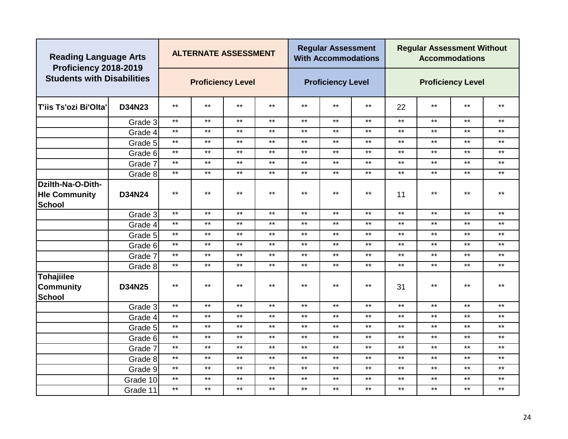| <b>Reading Language Arts</b><br>Proficiency 2018-2019 |          |              | <b>ALTERNATE ASSESSMENT</b> |              |              |              | <b>Regular Assessment</b><br><b>With Accommodations</b> |              |              | <b>Regular Assessment Without</b> | <b>Accommodations</b>    |              |
|-------------------------------------------------------|----------|--------------|-----------------------------|--------------|--------------|--------------|---------------------------------------------------------|--------------|--------------|-----------------------------------|--------------------------|--------------|
| <b>Students with Disabilities</b>                     |          |              | <b>Proficiency Level</b>    |              |              |              | <b>Proficiency Level</b>                                |              |              |                                   | <b>Proficiency Level</b> |              |
| <b>T'iis Ts'ozi Bi'Olta'</b>                          | D34N23   | $***$        | $***$                       | $***$        | $***$        | $***$        | $***$                                                   | $***$        | 22           | $***$                             | $***$                    | $***$        |
|                                                       | Grade 3  | $***$        | $\star\star$                | $***$        | $***$        | $***$        | $***$                                                   | $***$        | $***$        | $***$                             | $***$                    | $\star\star$ |
|                                                       | Grade 4  | $***$        | $***$                       | $***$        | $\star\star$ | $***$        | $***$                                                   | $***$        | $***$        | $***$                             | $***$                    | $***$        |
|                                                       | Grade 5  | $***$        | $***$                       | $***$        | $***$        | $***$        | $***$                                                   | $***$        | $***$        | $***$                             | $***$                    | $***$        |
|                                                       | Grade 6  | $***$        | $***$                       | $\star\star$ | $\star\star$ | $\star\star$ | $***$                                                   | $***$        | $\star\star$ | $***$                             | $***$                    | $\star\star$ |
|                                                       | Grade 7  | $***$        | $***$                       | $***$        | $\star\star$ | $***$        | $\star\star$                                            | $***$        | $\star\star$ | $***$                             | $***$                    | $\star\star$ |
|                                                       | Grade 8  | $***$        | $***$                       | $***$        | $***$        | $***$        | $***$                                                   | $***$        | $***$        | $***$                             | $***$                    | $***$        |
| Dzilth-Na-O-Dith-                                     |          |              |                             |              |              |              |                                                         |              |              |                                   |                          |              |
| <b>Hie Community</b><br><b>School</b>                 | D34N24   | $***$        | $***$                       | $***$        | $***$        | $***$        | $***$                                                   | $***$        | 11           | $***$                             | $***$                    | $***$        |
|                                                       | Grade 3  | $\star\star$ | $***$                       | $***$        | $***$        | $***$        | $***$                                                   | $***$        | $***$        | $***$                             | $***$                    | $***$        |
|                                                       | Grade 4  | $***$        | $***$                       | $***$        | $\star\star$ | $***$        | $\star\star$                                            | $***$        | $\star\star$ | $***$                             | $***$                    | $\star\star$ |
|                                                       | Grade 5  | $***$        | $***$                       | $***$        | $***$        | $***$        | $***$                                                   | $***$        | $***$        | $***$                             | $***$                    | $***$        |
|                                                       | Grade 6  | $***$        | $***$                       | $***$        | $***$        | $***$        | $***$                                                   | $***$        | $***$        | $***$                             | $***$                    | $***$        |
|                                                       | Grade 7  | $***$        | $***$                       | $***$        | $\star\star$ | $***$        | $***$                                                   | $***$        | $\star\star$ | $***$                             | $***$                    | $\star\star$ |
|                                                       | Grade 8  | $***$        | $***$                       | $***$        | $***$        | $***$        | $***$                                                   | $***$        | $***$        | $***$                             | $***$                    | $***$        |
| <b>Tohajiilee</b>                                     |          |              |                             |              |              |              |                                                         |              |              |                                   |                          |              |
| <b>Community</b>                                      | D34N25   | $***$        | $***$                       | $***$        | $***$        | $***$        | $\star\star$                                            | $\star\star$ | 31           | $***$                             | $***$                    | $***$        |
| <b>School</b>                                         |          |              |                             |              |              |              |                                                         |              |              |                                   |                          |              |
|                                                       | Grade 3  | $***$        | $***$                       | $***$        | $***$        | $***$        | $***$                                                   | $***$        | $***$        | $***$                             | $***$                    | $***$        |
|                                                       | Grade 4  | $***$        | $***$                       | $\star\star$ | $***$        | $***$        | $***$                                                   | $***$        | $***$        | $***$                             | $***$                    | $***$        |
|                                                       | Grade 5  | $***$        | $***$                       | $\star\star$ | $\star\star$ | $***$        | $\star\star$                                            | $***$        | $***$        | $***$                             | $***$                    | $***$        |
|                                                       | Grade 6  | $***$        | $***$                       | $\star\star$ | $\star\star$ | $***$        | $\star\star$                                            | $***$        | $\star\star$ | $***$                             | $***$                    | $\star\star$ |
|                                                       | Grade 7  | $***$        | $***$                       | $\star\star$ | $\star\star$ | $\star\star$ | $***$                                                   | $***$        | $\star\star$ | $***$                             | $***$                    | $\star\star$ |
|                                                       | Grade 8  | $***$        | $***$                       | $\star\star$ | $***$        | $***$        | $\star\star$                                            | $***$        | $\star\star$ | $\star\star$                      | $***$                    | $***$        |
|                                                       | Grade 9  | $***$        | $***$                       | $***$        | $\star\star$ | $***$        | $\star\star$                                            | $***$        | $\star\star$ | $***$                             | $***$                    | $***$        |
|                                                       | Grade 10 | $***$        | $***$                       | $***$        | $***$        | $***$        | $***$                                                   | $***$        | $***$        | $***$                             | $***$                    | $***$        |
|                                                       | Grade 11 | $***$        | $***$                       | $***$        | $***$        | $***$        | $***$                                                   | $***$        | $***$        | $***$                             | $***$                    | $***$        |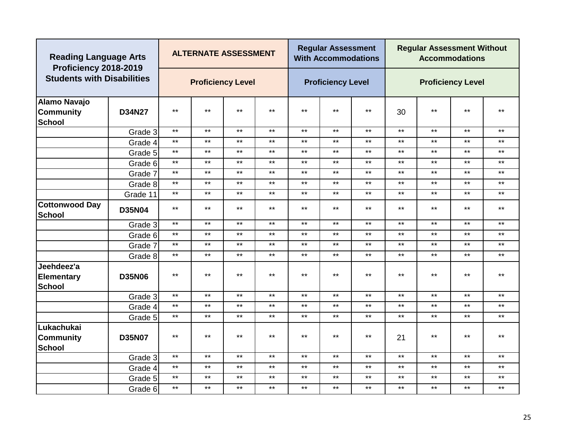| <b>Reading Language Arts</b><br>Proficiency 2018-2019    |               |       | <b>ALTERNATE ASSESSMENT</b> |       |              |       | <b>Regular Assessment</b><br><b>With Accommodations</b> |       |       | <b>Regular Assessment Without</b> | <b>Accommodations</b>    |              |
|----------------------------------------------------------|---------------|-------|-----------------------------|-------|--------------|-------|---------------------------------------------------------|-------|-------|-----------------------------------|--------------------------|--------------|
| <b>Students with Disabilities</b>                        |               |       | <b>Proficiency Level</b>    |       |              |       | <b>Proficiency Level</b>                                |       |       |                                   | <b>Proficiency Level</b> |              |
| <b>Alamo Navajo</b><br><b>Community</b><br><b>School</b> | D34N27        | $***$ | $***$                       | $***$ | $***$        | $***$ | $***$                                                   | $***$ | 30    | $***$                             | $***$                    | $***$        |
|                                                          | Grade 3       | $***$ | $***$                       | $***$ | $***$        | $***$ | $***$                                                   | $***$ | $***$ | $***$                             | $***$                    | $***$        |
|                                                          | Grade 4       | $***$ | $***$                       | $***$ | $\star\star$ | $***$ | $***$                                                   | $***$ | $***$ | $***$                             | $***$                    | $***$        |
|                                                          | Grade 5       | $***$ | $***$                       | $***$ | $***$        | $***$ | $***$                                                   | $***$ | $***$ | $***$                             | $***$                    | $***$        |
|                                                          | Grade 6       | $***$ | $***$                       | $***$ | $***$        | $***$ | $***$                                                   | $***$ | $***$ | $***$                             | $***$                    | $***$        |
|                                                          | Grade 7       | $***$ | $***$                       | $***$ | $\star\star$ | $***$ | $***$                                                   | $***$ | $***$ | $***$                             | $***$                    | $***$        |
|                                                          | Grade 8       | $***$ | $***$                       | $***$ | $\star\star$ | $***$ | $***$                                                   | $***$ | $***$ | $***$                             | $***$                    | $***$        |
|                                                          | Grade 11      | $***$ | $***$                       | $***$ | $***$        | $***$ | $***$                                                   | $***$ | $***$ | $\star\star$                      | $\star\star$             | $***$        |
| <b>Cottonwood Day</b><br><b>School</b>                   | <b>D35N04</b> | $***$ | $***$                       | $***$ | $***$        | $***$ | $***$                                                   | $***$ | $***$ | $\star\star$                      | $***$                    | $***$        |
|                                                          | Grade 3       | $***$ | $***$                       | $***$ | $***$        | $***$ | $***$                                                   | $***$ | $***$ | $***$                             | $***$                    | $***$        |
|                                                          | Grade 6       | $***$ | $***$                       | $***$ | $***$        | $***$ | $***$                                                   | $***$ | $***$ | $***$                             | $***$                    | $***$        |
|                                                          | Grade 7       | $***$ | $***$                       | $***$ | $***$        | $***$ | $***$                                                   | $***$ | $***$ | $***$                             | $***$                    | $***$        |
|                                                          | Grade 8       | $***$ | $***$                       | $***$ | $***$        | $***$ | $***$                                                   | $***$ | $***$ | $***$                             | $***$                    | $***$        |
| Jeehdeez'a<br><b>Elementary</b><br><b>School</b>         | <b>D35N06</b> | $***$ | $***$                       | $***$ | $***$        | $***$ | $***$                                                   | $***$ | $***$ | **                                | $***$                    | $***$        |
|                                                          | Grade 3       | $***$ | $***$                       | $***$ | $***$        | $***$ | $***$                                                   | $***$ | $***$ | $***$                             | $***$                    | $***$        |
|                                                          | Grade 4       | $***$ | $***$                       | $***$ | $\star\star$ | $***$ | $***$                                                   | $***$ | $***$ | $***$                             | $***$                    | $***$        |
|                                                          | Grade 5       | $***$ | $***$                       | $***$ | $***$        | $***$ | $***$                                                   | $***$ | $***$ | $***$                             | $***$                    | $***$        |
| Lukachukai<br><b>Community</b><br><b>School</b>          | <b>D35N07</b> | $***$ | $***$                       | $***$ | $***$        | $***$ | $***$                                                   | $***$ | 21    | $***$                             | $***$                    | $***$        |
|                                                          | Grade 3       | $***$ | $***$                       | $***$ | $***$        | $***$ | $***$                                                   | $***$ | $***$ | $***$                             | $***$                    | $***$        |
|                                                          | Grade 4       | $***$ | $***$                       | $***$ | $\star\star$ | $***$ | $***$                                                   | $***$ | $***$ | $\star\star$                      | $***$                    | $***$        |
|                                                          | Grade 5       | $***$ | $***$                       | $***$ | $\star\star$ | $***$ | $***$                                                   | $***$ | $***$ | $\star\star$                      | $***$                    | $\star\star$ |
|                                                          | Grade 6       | $***$ | $***$                       | $***$ | $***$        | $***$ | $***$                                                   | $***$ | $***$ | $***$                             | $***$                    | $***$        |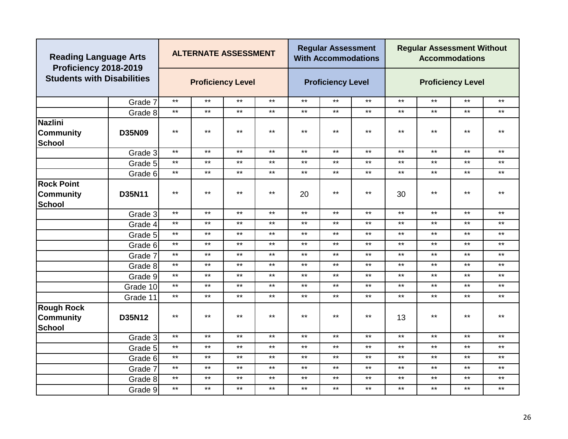| <b>Reading Language Arts</b><br>Proficiency 2018-2019  |               |              | <b>ALTERNATE ASSESSMENT</b> |              |              |       | <b>Regular Assessment</b><br><b>With Accommodations</b> |       |              | <b>Regular Assessment Without</b> | <b>Accommodations</b>    |              |
|--------------------------------------------------------|---------------|--------------|-----------------------------|--------------|--------------|-------|---------------------------------------------------------|-------|--------------|-----------------------------------|--------------------------|--------------|
| <b>Students with Disabilities</b>                      |               |              | <b>Proficiency Level</b>    |              |              |       | <b>Proficiency Level</b>                                |       |              |                                   | <b>Proficiency Level</b> |              |
|                                                        | Grade 7       | $\star\star$ | $***$                       | $\star\star$ | $***$        | $***$ | $***$                                                   | $***$ | $***$        | $***$                             | $***$                    | $***$        |
|                                                        | Grade 8       | $***$        | $***$                       | $***$        | $***$        | $***$ | $***$                                                   | $***$ | $***$        | $***$                             | $***$                    | $***$        |
| <b>Nazlini</b><br><b>Community</b><br><b>School</b>    | <b>D35N09</b> | $***$        | $***$                       | $***$        | $***$        | $***$ | $***$                                                   | $***$ | $***$        | $***$                             | $***$                    | $***$        |
|                                                        | Grade 3       | $***$        | $***$                       | $***$        | $\star\star$ | $***$ | $***$                                                   | $***$ | $\star\star$ | $***$                             | $***$                    | $\star\star$ |
|                                                        | Grade 5       | $***$        | $***$                       | $***$        | $\star\star$ | $***$ | $***$                                                   | $***$ | $***$        | $***$                             | $***$                    | $***$        |
|                                                        | Grade 6       | $***$        | $***$                       | $***$        | $***$        | $***$ | $***$                                                   | $***$ | $***$        | $***$                             | $***$                    | $***$        |
| <b>Rock Point</b><br><b>Community</b><br><b>School</b> | D35N11        | $***$        | $***$                       | $***$        | $***$        | 20    | $***$                                                   | $***$ | 30           | $***$                             | $***$                    | $***$        |
|                                                        | Grade 3       | $***$        | $***$                       | $***$        | $***$        | $***$ | $***$                                                   | $***$ | $***$        | $***$                             | $***$                    | $***$        |
|                                                        | Grade 4       | $***$        | $***$                       | $***$        | $***$        | $***$ | $***$                                                   | $***$ | $***$        | $***$                             | $***$                    | $***$        |
|                                                        | Grade 5       | $***$        | $***$                       | $***$        | $\star\star$ | $***$ | $***$                                                   | $***$ | $\star\star$ | $***$                             | $***$                    | $***$        |
|                                                        | Grade 6       | $***$        | $***$                       | $***$        | $***$        | $***$ | $***$                                                   | $***$ | $***$        | $***$                             | $***$                    | $***$        |
|                                                        | Grade 7       | $***$        | $***$                       | $***$        | $***$        | $***$ | $***$                                                   | $***$ | $***$        | $***$                             | $***$                    | $***$        |
|                                                        | Grade 8       | $***$        | $***$                       | $***$        | $***$        | $***$ | $***$                                                   | $***$ | $***$        | $***$                             | $***$                    | $***$        |
|                                                        | Grade 9       | $***$        | $\star\star$                | $***$        | $***$        | $***$ | $***$                                                   | $***$ | $***$        | $***$                             | $***$                    | $***$        |
|                                                        | Grade 10      | $***$        | $***$                       | $***$        | $***$        | $***$ | $***$                                                   | $***$ | $\star\star$ | $***$                             | $***$                    | $\star\star$ |
|                                                        | Grade 11      | $***$        | $\star\star$                | $***$        | $***$        | $***$ | $***$                                                   | $***$ | $***$        | $***$                             | $***$                    | $***$        |
| <b>Rough Rock</b><br><b>Community</b><br><b>School</b> | D35N12        | $***$        | $***$                       | $***$        | $***$        | $***$ | $***$                                                   | $***$ | 13           | $***$                             | $***$                    | $***$        |
|                                                        | Grade 3       | $\star\star$ | $***$                       | $***$        | $***$        | $***$ | $***$                                                   | $***$ | $***$        | $***$                             | $***$                    | $***$        |
|                                                        | Grade 5       | $***$        | $***$                       | $***$        | $***$        | $***$ | $***$                                                   | $***$ | $***$        | $***$                             | $***$                    | $***$        |
|                                                        | Grade 6       | $***$        | $***$                       | $***$        | $***$        | $***$ | $***$                                                   | $***$ | $***$        | $***$                             | $***$                    | $***$        |
|                                                        | Grade 7       | $***$        | $***$                       | $***$        | $\star\star$ | $***$ | $***$                                                   | $***$ | $\star\star$ | $***$                             | $***$                    | $***$        |
|                                                        | Grade 8       | $***$        | $***$                       | $***$        | $***$        | $***$ | $***$                                                   | $***$ | $\star\star$ | $***$                             | $***$                    | $***$        |
|                                                        | Grade 9       | $***$        | $***$                       | $***$        | $***$        | $***$ | $***$                                                   | $***$ | $***$        | $***$                             | $***$                    | $***$        |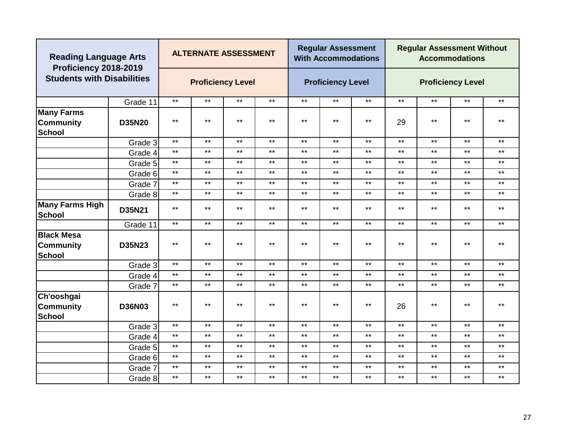| <b>Reading Language Arts</b><br>Proficiency 2018-2019  |               |       | <b>ALTERNATE ASSESSMENT</b> |              |              |              | <b>Regular Assessment</b><br><b>With Accommodations</b> |       |              | <b>Regular Assessment Without</b> | <b>Accommodations</b>    |              |
|--------------------------------------------------------|---------------|-------|-----------------------------|--------------|--------------|--------------|---------------------------------------------------------|-------|--------------|-----------------------------------|--------------------------|--------------|
| <b>Students with Disabilities</b>                      |               |       | <b>Proficiency Level</b>    |              |              |              | <b>Proficiency Level</b>                                |       |              |                                   | <b>Proficiency Level</b> |              |
|                                                        | Grade 11      | $***$ | $***$                       | $***$        | $***$        | $***$        | $***$                                                   | $***$ | $\star\star$ | $***$                             | $***$                    | $***$        |
| <b>Many Farms</b><br><b>Community</b><br><b>School</b> | <b>D35N20</b> | $***$ | $***$                       | $***$        | $\star\star$ | $***$        | $***$                                                   | $***$ | 29           | $***$                             | $***$                    | $***$        |
|                                                        | Grade 3       | $***$ | $***$                       | $***$        | $***$        | $***$        | $***$                                                   | $***$ | $***$        | $***$                             | $***$                    | $***$        |
|                                                        | Grade 4       | $***$ | $***$                       | $***$        | $***$        | $***$        | $\star\star$                                            | $***$ | $***$        | $***$                             | $***$                    | $***$        |
|                                                        | Grade 5       | $***$ | $***$                       | $\star\star$ | $\star\star$ | $***$        | $\star\star$                                            | $***$ | $\star\star$ | $***$                             | $***$                    | $***$        |
|                                                        | Grade 6       | $***$ | $***$                       | $***$        | $***$        | $***$        | $***$                                                   | $***$ | $***$        | $***$                             | $***$                    | $***$        |
|                                                        | Grade 7       | $***$ | $***$                       | $***$        | $***$        | $***$        | $***$                                                   | $***$ | $***$        | $***$                             | $***$                    | $***$        |
|                                                        | Grade 8       | $***$ | $***$                       | $***$        | $\star\star$ | $\star\star$ | $\star\star$                                            | $***$ | $\star\star$ | $***$                             | $***$                    | $\star\star$ |
| <b>Many Farms High</b><br><b>School</b>                | D35N21        | $***$ | $***$                       | $***$        | $***$        | $\star\star$ | $***$                                                   | $***$ | $***$        | $***$                             | $***$                    | $***$        |
|                                                        | Grade 11      | $***$ | $***$                       | $***$        | $\star\star$ | $\star\star$ | $\star\star$                                            | $***$ | $\star\star$ | $***$                             | $***$                    | $***$        |
| <b>Black Mesa</b><br><b>Community</b><br><b>School</b> | D35N23        | $***$ | $***$                       | $***$        | $***$        | $***$        | $***$                                                   | $***$ | $***$        | $***$                             | $***$                    | $***$        |
|                                                        | Grade 3       | $***$ | $***$                       | $***$        | $\star\star$ | $***$        | $\star\star$                                            | $***$ | $\star\star$ | $***$                             | $***$                    | $***$        |
|                                                        | Grade 4       | $***$ | $***$                       | $***$        | $***$        | $***$        | $***$                                                   | $***$ | $***$        | $***$                             | $***$                    | $***$        |
|                                                        | Grade 7       | $***$ | $***$                       | $***$        | $\star\star$ | $***$        | $\star\star$                                            | $***$ | $\star\star$ | $***$                             | $***$                    | $***$        |
| Ch'ooshgai<br><b>Community</b><br><b>School</b>        | <b>D36N03</b> | $***$ | $***$                       | $***$        | $***$        | $\star\star$ | $***$                                                   | $***$ | 26           | $***$                             | $***$                    | $***$        |
|                                                        | Grade 3       | $***$ | $\star\star$                | $***$        | $***$        | $***$        | $***$                                                   | $***$ | $***$        | $***$                             | $***$                    | $\star\star$ |
|                                                        | Grade 4       | $***$ | $***$                       | $\star\star$ | $\star\star$ | $***$        | $\star\star$                                            | $***$ | $\star\star$ | $***$                             | $***$                    | $\star\star$ |
|                                                        | Grade 5       | $***$ | $***$                       | $***$        | $***$        | $***$        | $***$                                                   | $***$ | $***$        | $***$                             | $***$                    | $***$        |
|                                                        | Grade 6       | $***$ | $***$                       | $***$        | $***$        | $***$        | $***$                                                   | $***$ | $\star\star$ | $***$                             | $***$                    | $***$        |
|                                                        | Grade 7       | $***$ | $***$                       | $***$        | $\star\star$ | $***$        | $***$                                                   | $***$ | $\star\star$ | $***$                             | $***$                    | $***$        |
|                                                        | Grade 8       | $***$ | $***$                       | $***$        | $***$        | $***$        | $***$                                                   | $***$ | $***$        | $***$                             | $***$                    | $***$        |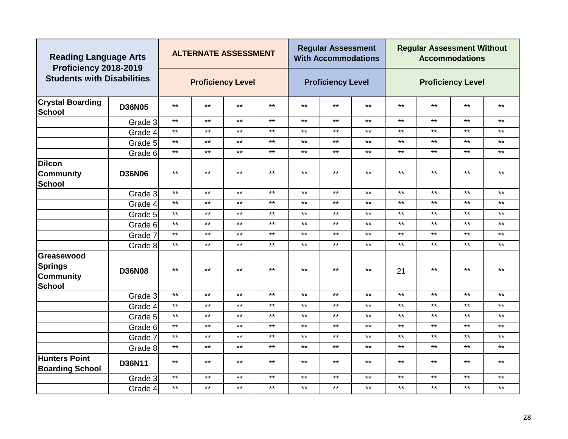| <b>Reading Language Arts</b><br>Proficiency 2018-2019             |               |              | <b>ALTERNATE ASSESSMENT</b> |       |              |       | <b>Regular Assessment</b><br><b>With Accommodations</b> |       |              | <b>Regular Assessment Without</b> | <b>Accommodations</b>    |              |
|-------------------------------------------------------------------|---------------|--------------|-----------------------------|-------|--------------|-------|---------------------------------------------------------|-------|--------------|-----------------------------------|--------------------------|--------------|
| <b>Students with Disabilities</b>                                 |               |              | <b>Proficiency Level</b>    |       |              |       | <b>Proficiency Level</b>                                |       |              |                                   | <b>Proficiency Level</b> |              |
| <b>Crystal Boarding</b><br><b>School</b>                          | <b>D36N05</b> | $***$        | $***$                       | $***$ | $\star\star$ | $***$ | $***$                                                   | $***$ | $\star\star$ | $***$                             | $***$                    | $\star\star$ |
|                                                                   | Grade 3       | $***$        | $***$                       | $***$ | $***$        | $***$ | $***$                                                   | $***$ | $***$        | $***$                             | $***$                    | $***$        |
|                                                                   | Grade 4       | $***$        | $***$                       | $***$ | $***$        | $***$ | $***$                                                   | $***$ | $\star\star$ | $***$                             | $***$                    | $***$        |
|                                                                   | Grade 5       | $***$        | $***$                       | $***$ | $***$        | $***$ | $***$                                                   | $***$ | $***$        | $***$                             | $***$                    | $***$        |
|                                                                   | Grade 6       | $***$        | $***$                       | $***$ | $***$        | $***$ | $***$                                                   | $***$ | $***$        | $***$                             | $***$                    | $\star\star$ |
| <b>Dilcon</b><br><b>Community</b><br><b>School</b>                | <b>D36N06</b> | $***$        | $***$                       | $***$ | $***$        | $***$ | $***$                                                   | $***$ | $***$        | $***$                             | $***$                    | $***$        |
|                                                                   | Grade 3       | $***$        | $***$                       | $***$ | $***$        | $***$ | $***$                                                   | $***$ | $***$        | $***$                             | $***$                    | $***$        |
|                                                                   | Grade 4       | $***$        | $***$                       | $***$ | $***$        | $***$ | $***$                                                   | $***$ | $\star\star$ | $***$                             | $***$                    | $***$        |
|                                                                   | Grade 5       | $***$        | $***$                       | $***$ | $***$        | $***$ | $***$                                                   | $***$ | $***$        | $***$                             | $***$                    | $***$        |
|                                                                   | Grade 6       | $***$        | $\star\star$                | $***$ | $***$        | $***$ | $***$                                                   | $***$ | $***$        | $***$                             | $***$                    | $\star\star$ |
|                                                                   | Grade 7       | $***$        | $***$                       | $***$ | $***$        | $***$ | $***$                                                   | $***$ | $***$        | $***$                             | $***$                    | $***$        |
|                                                                   | Grade 8       | $***$        | $***$                       | $***$ | $***$        | $***$ | $***$                                                   | $***$ | $\star\star$ | $***$                             | $***$                    | $***$        |
| Greasewood<br><b>Springs</b><br><b>Community</b><br><b>School</b> | <b>D36N08</b> | $***$        | $***$                       | $***$ | $***$        | $***$ | $***$                                                   | $***$ | 21           | $***$                             | $***$                    | $***$        |
|                                                                   | Grade 3       | $***$        | $***$                       | $***$ | $***$        | $***$ | $***$                                                   | $***$ | $***$        | $***$                             | $***$                    | $***$        |
|                                                                   | Grade 4       | $***$        | $***$                       | $***$ | $***$        | $***$ | $***$                                                   | $***$ | $***$        | $***$                             | $***$                    | $***$        |
|                                                                   | Grade 5       | $***$        | $***$                       | $***$ | $***$        | $***$ | $***$                                                   | $***$ | $***$        | $***$                             | $***$                    | $***$        |
|                                                                   | Grade 6       | $\star\star$ | $\star\star$                | $***$ | $***$        | $***$ | $***$                                                   | $***$ | $***$        | $***$                             | $***$                    | $***$        |
|                                                                   | Grade 7       | $\star\star$ | $***$                       | $***$ | $***$        | $***$ | $***$                                                   | $***$ | $\star\star$ | $***$                             | $***$                    | $***$        |
|                                                                   | Grade 8       | $***$        | $***$                       | $***$ | $***$        | $***$ | $***$                                                   | $***$ | $\star\star$ | $***$                             | $***$                    | $***$        |
| <b>Hunters Point</b><br><b>Boarding School</b>                    | D36N11        | $***$        | $***$                       | $***$ | $***$        | $***$ | $***$                                                   | $***$ | $***$        | $***$                             | $***$                    | $***$        |
|                                                                   | Grade 3       | $***$        | $***$                       | $***$ | $***$        | $***$ | $***$                                                   | $***$ | $***$        | $***$                             | $***$                    | $***$        |
|                                                                   | Grade 4       | $***$        | $***$                       | $***$ | $***$        | $***$ | $***$                                                   | $***$ | $***$        | $***$                             | $***$                    | $***$        |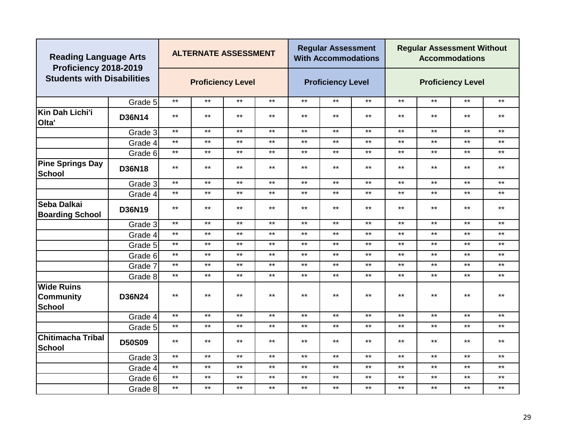|                                                        | <b>Reading Language Arts</b><br>Proficiency 2018-2019<br><b>Students with Disabilities</b> |              | <b>ALTERNATE ASSESSMENT</b> |              |              |              | <b>Regular Assessment</b><br><b>With Accommodations</b> |       |              | <b>Regular Assessment Without</b> | <b>Accommodations</b>    |              |
|--------------------------------------------------------|--------------------------------------------------------------------------------------------|--------------|-----------------------------|--------------|--------------|--------------|---------------------------------------------------------|-------|--------------|-----------------------------------|--------------------------|--------------|
|                                                        |                                                                                            |              | <b>Proficiency Level</b>    |              |              |              | <b>Proficiency Level</b>                                |       |              |                                   | <b>Proficiency Level</b> |              |
|                                                        | Grade 5                                                                                    | $\star\star$ | $\star\star$                | $***$        | $***$        | $***$        | $***$                                                   | $***$ | $***$        | $***$                             | $***$                    | $***$        |
| Kin Dah Lichi'i<br>Olta'                               | D36N14                                                                                     | $***$        | $***$                       | $***$        | $***$        | $***$        | $***$                                                   | $***$ | $***$        | $***$                             | $***$                    | $***$        |
|                                                        | Grade 3                                                                                    | $***$        | $***$                       | $***$        | $\star\star$ | $***$        | $***$                                                   | $***$ | $\star\star$ | $***$                             | $***$                    | $\star\star$ |
|                                                        | Grade 4                                                                                    | $***$        | $***$                       | $***$        | $***$        | $***$        | $***$                                                   | $***$ | $***$        | $***$                             | $***$                    | $***$        |
|                                                        | Grade 6                                                                                    | $***$        | $***$                       | $***$        | $***$        | $***$        | $***$                                                   | $***$ | $\star\star$ | $***$                             | $***$                    | $***$        |
| <b>Pine Springs Day</b><br><b>School</b>               | <b>D36N18</b>                                                                              | $***$        | $***$                       | $***$        | $***$        | $***$        | $***$                                                   | $***$ | $***$        | $***$                             | $***$                    | $***$        |
|                                                        | Grade 3                                                                                    | $***$        | $***$                       | $***$        | $***$        | $***$        | $***$                                                   | $***$ | $***$        | $***$                             | $***$                    | $***$        |
|                                                        | Grade 4                                                                                    | $***$        | $***$                       | $***$        | $\star\star$ | $***$        | $***$                                                   | $***$ | $\star\star$ | $***$                             | $***$                    | $\star\star$ |
| Seba Dalkai<br><b>Boarding School</b>                  | D36N19                                                                                     | $***$        | $***$                       | $***$        | $\star\star$ | $***$        | $\star\star$                                            | $***$ | $***$        | $***$                             | $***$                    | $***$        |
|                                                        | Grade 3                                                                                    | $***$        | $***$                       | $\star\star$ | $***$        | $***$        | $***$                                                   | $***$ | $\star\star$ | $***$                             | $***$                    | $***$        |
|                                                        | Grade 4                                                                                    | $***$        | $***$                       | $***$        | $\star\star$ | $***$        | $***$                                                   | $***$ | $\star\star$ | $***$                             | $***$                    | $\star\star$ |
|                                                        | Grade 5                                                                                    | $***$        | $***$                       | $***$        | $***$        | $***$        | $***$                                                   | $***$ | $***$        | $***$                             | $***$                    | $***$        |
|                                                        | Grade 6                                                                                    | $***$        | $***$                       | $***$        | $***$        | $***$        | $***$                                                   | $***$ | $\star\star$ | $***$                             | $***$                    | $***$        |
|                                                        | Grade 7                                                                                    | $***$        | $***$                       | $***$        | $***$        | $***$        | $***$                                                   | $***$ | $\star\star$ | $***$                             | $***$                    | $***$        |
|                                                        | Grade 8                                                                                    | $***$        | $***$                       | $***$        | $\star\star$ | $***$        | $***$                                                   | $***$ | $\star\star$ | $\star\star$                      | $***$                    | $\star\star$ |
| <b>Wide Ruins</b><br><b>Community</b><br><b>School</b> | D36N24                                                                                     | $***$        | $***$                       | $***$        | $***$        | $***$        | $***$                                                   | $***$ | $***$        | $***$                             | $***$                    | $***$        |
|                                                        | Grade 4                                                                                    | $***$        | $***$                       | $***$        | $\star\star$ | $***$        | $***$                                                   | $***$ | $\star\star$ | $***$                             | $***$                    | $***$        |
|                                                        | Grade 5                                                                                    | $***$        | $***$                       | $\star\star$ | $\star\star$ | $\star\star$ | $\star\star$                                            | $***$ | $\star\star$ | $\star\star$                      | $***$                    | $\star\star$ |
| <b>Chitimacha Tribal</b><br>School                     | <b>D50S09</b>                                                                              | $***$        | $***$                       | $***$        | $***$        | $***$        | $***$                                                   | $***$ | $***$        | $***$                             | $***$                    | $***$        |
|                                                        | Grade 3                                                                                    | $***$        | $***$                       | $\star\star$ | $\star\star$ | $***$        | $\star\star$                                            | $***$ | $\star\star$ | $***$                             | $***$                    | $\star\star$ |
|                                                        | Grade 4                                                                                    | $***$        | $\star\star$                | $***$        | $***$        | $***$        | $***$                                                   | $***$ | $***$        | $***$                             | $***$                    | $***$        |
|                                                        | Grade 6                                                                                    | $***$        | $***$                       | $***$        | $***$        | $***$        | $***$                                                   | $***$ | $***$        | $***$                             | $***$                    | $***$        |
|                                                        | Grade 8                                                                                    | $***$        | $***$                       | $***$        | $***$        | $***$        | $***$                                                   | $***$ | $***$        | $***$                             | $***$                    | $***$        |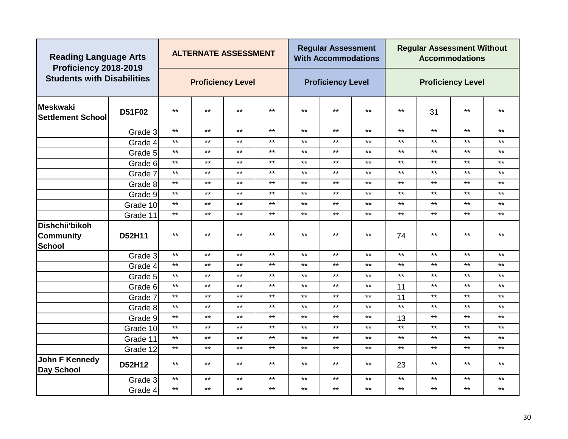|                                              | <b>Reading Language Arts</b><br>Proficiency 2018-2019<br><b>Students with Disabilities</b> |       | <b>ALTERNATE ASSESSMENT</b>                  |              |              |              | <b>Regular Assessment</b><br><b>With Accommodations</b> |              |       | <b>Regular Assessment Without</b> | <b>Accommodations</b>    |              |
|----------------------------------------------|--------------------------------------------------------------------------------------------|-------|----------------------------------------------|--------------|--------------|--------------|---------------------------------------------------------|--------------|-------|-----------------------------------|--------------------------|--------------|
|                                              |                                                                                            |       | <b>Proficiency Level</b>                     |              |              |              | <b>Proficiency Level</b>                                |              |       |                                   | <b>Proficiency Level</b> |              |
| <b>Meskwaki</b><br><b>Settlement School</b>  | D51F02                                                                                     | $***$ | $***$                                        | $***$        | $***$        | $***$        | $***$                                                   | $***$        | $***$ | 31                                | $***$                    | $***$        |
|                                              | Grade 3                                                                                    | $***$ | $***$                                        | $***$        | $***$        | $***$        | $***$                                                   | $***$        | $***$ | $***$                             | $***$                    | $***$        |
|                                              | Grade 4                                                                                    | $***$ | $***$                                        | $***$        | $\star\star$ | $***$        | $\star\star$                                            | $***$        | $***$ | $***$                             | $***$                    | $***$        |
|                                              | Grade 5                                                                                    | $***$ | $\star\star$                                 | $\star\star$ | $\star\star$ | $***$        | $\star\star$                                            | $***$        | $***$ | $***$                             | $***$                    | $\star\star$ |
|                                              | Grade 6                                                                                    | $***$ | $\star\star$                                 | $***$        | $\star\star$ | $\star\star$ | $\star\star$                                            | $\star\star$ | $***$ | $***$                             | $***$                    | $\star\star$ |
|                                              | Grade 7                                                                                    | $***$ | $\star\star$                                 | $\star\star$ | $\star\star$ | $***$        | $\star\star$                                            | $***$        | $***$ | $***$                             | $***$                    | $\star\star$ |
|                                              | Grade 8                                                                                    | $***$ | $\star\star$                                 | $\star\star$ | $\star\star$ | $***$        | $\star\star$                                            | $***$        | $***$ | $***$                             | $***$                    | $***$        |
|                                              | Grade 9                                                                                    | $***$ | $\star\star$                                 | $***$        | $***$        | $***$        | $***$                                                   | $***$        | $***$ | $***$                             | $***$                    | $***$        |
|                                              | Grade 10                                                                                   | $***$ | $\star\star$                                 | $***$        | $\star\star$ | $***$        | $***$                                                   | $***$        | $***$ | $***$                             | $***$                    | $***$        |
|                                              | Grade 11                                                                                   | $***$ | $\star\star$<br>$\star\star$<br>$\star\star$ |              |              | $\star\star$ | $***$                                                   | $***$        | $***$ | $***$                             | $***$                    | $***$        |
| Dishchii'bikoh<br>Community<br><b>School</b> | D52H11                                                                                     | $***$ | $***$                                        | $***$        | $***$        | $***$        | $***$                                                   | $***$        | 74    | $***$                             | $***$                    | $***$        |
|                                              | Grade 3                                                                                    | $***$ | $***$                                        | $***$        | $***$        | $***$        | $***$                                                   | $***$        | $***$ | $***$                             | $***$                    | $***$        |
|                                              | Grade 4                                                                                    | $***$ | $***$                                        | $***$        | $***$        | $***$        | $***$                                                   | $***$        | $***$ | $***$                             | $***$                    | $***$        |
|                                              | Grade 5                                                                                    | $***$ | $***$                                        | $***$        | $***$        | $***$        | $***$                                                   | $***$        | $***$ | $***$                             | $***$                    | $***$        |
|                                              | Grade 6                                                                                    | $***$ | $\star\star$                                 | $***$        | $\star\star$ | $***$        | $***$                                                   | $***$        | 11    | $***$                             | $***$                    | $***$        |
|                                              | Grade 7                                                                                    | $***$ | $***$                                        | $***$        | $***$        | $***$        | $***$                                                   | $***$        | 11    | $***$                             | $***$                    | $***$        |
|                                              | Grade 8                                                                                    | $***$ | $\star\star$                                 | $***$        | $***$        | $***$        | $***$                                                   | $***$        | $***$ | $***$                             | $***$                    | $***$        |
|                                              | Grade 9                                                                                    | $***$ | $\star\star$                                 | $\star\star$ | $\star\star$ | $\star\star$ | $\star\star$                                            | $\star\star$ | 13    | $***$                             | $***$                    | $***$        |
|                                              | Grade 10                                                                                   | $***$ | $\star\star$                                 | $***$        | $\star\star$ | $***$        | $\star\star$                                            | $***$        | $***$ | $***$                             | $***$                    | $***$        |
|                                              | Grade 11                                                                                   | $***$ | $***$                                        | $\star\star$ | $***$        | $\star\star$ | $***$                                                   | $\star\star$ | $***$ | $***$                             | $***$                    | $***$        |
|                                              | Grade 12                                                                                   | $***$ | $\star\star$                                 | $\star\star$ | $***$        | $***$        | $***$                                                   | $\star\star$ | $***$ | $***$                             | $***$                    | $***$        |
| John F Kennedy<br>Day School                 | D52H12                                                                                     | $***$ | $***$                                        | $***$        | $***$        | $***$        | $***$                                                   | $***$        | 23    | $***$                             | $***$                    | $***$        |
|                                              | Grade 3                                                                                    | $***$ | $\star\star$                                 | $***$        | $\star\star$ | $***$        | $\star\star$                                            | $***$        | $***$ | $***$                             | $***$                    | $***$        |
|                                              | Grade 4                                                                                    | $***$ | $***$                                        | $\star\star$ | $***$        | $\star\star$ | $\star\star$                                            | $\star\star$ | $***$ | $***$                             | $***$                    | $\star\star$ |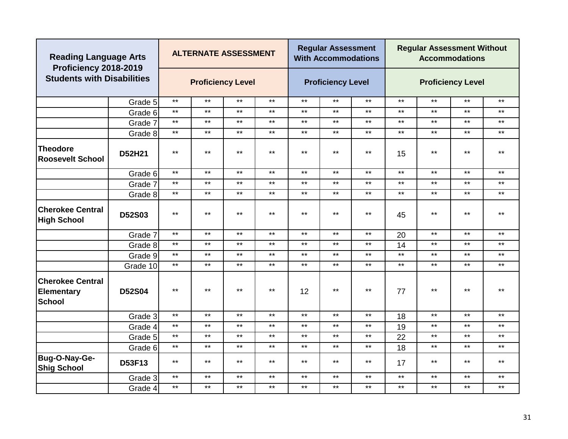| <b>Reading Language Arts</b><br>Proficiency 2018-2019         |               |              | <b>ALTERNATE ASSESSMENT</b> |       |              |       | <b>Regular Assessment</b><br><b>With Accommodations</b> |       |              | <b>Regular Assessment Without</b> | <b>Accommodations</b>    |              |
|---------------------------------------------------------------|---------------|--------------|-----------------------------|-------|--------------|-------|---------------------------------------------------------|-------|--------------|-----------------------------------|--------------------------|--------------|
| <b>Students with Disabilities</b>                             |               |              | <b>Proficiency Level</b>    |       |              |       | <b>Proficiency Level</b>                                |       |              |                                   | <b>Proficiency Level</b> |              |
|                                                               | Grade 5       | $***$        | $***$                       | $***$ | $***$        | $***$ | $***$                                                   | $***$ | $***$        | $***$                             | $***$                    | $***$        |
|                                                               | Grade 6       | $***$        | $***$                       | $***$ | $***$        | $***$ | $***$                                                   | $***$ | $***$        | $***$                             | $***$                    | $***$        |
|                                                               | Grade 7       | $***$        | $***$                       | $***$ | $***$        | $***$ | $***$                                                   | $***$ | $***$        | $***$                             | $***$                    | $\star\star$ |
|                                                               | Grade 8       | $\star\star$ | $***$                       | $***$ | $***$        | $***$ | $***$                                                   | $***$ | $***$        | $***$                             | $***$                    | $***$        |
| <b>Theodore</b><br><b>Roosevelt School</b>                    | D52H21        | $***$        | $\star\star$                | $***$ | $\star\star$ | $***$ | $***$                                                   | $***$ | 15           | $***$                             | $***$                    | $\star\star$ |
|                                                               | Grade 6       | $***$        | $***$                       | $***$ | $***$        | $***$ | $***$                                                   | $***$ | $***$        | $***$                             | $***$                    | $***$        |
|                                                               | Grade 7       | $\star\star$ | $***$                       | $***$ | $***$        | $***$ | $***$                                                   | $***$ | $\star\star$ | $***$                             | $***$                    | $***$        |
|                                                               | Grade 8       | $***$        | $***$                       | $***$ | $***$        | $***$ | $***$                                                   | $***$ | $***$        | $***$                             | $***$                    | $***$        |
| <b>Cherokee Central</b><br><b>High School</b>                 | D52S03        | $\star\star$ | $***$                       | $***$ | $***$        | $***$ | $***$                                                   | $***$ | 45           | $***$                             | $***$                    | $***$        |
|                                                               | Grade 7       | $\star\star$ | $***$                       | $***$ | $***$        | $***$ | $***$                                                   | $***$ | 20           | $***$                             | $***$                    | $***$        |
|                                                               | Grade 8       | $***$        | $***$                       | $***$ | $***$        | $***$ | $***$                                                   | $***$ | 14           | $***$                             | $***$                    | $***$        |
|                                                               | Grade 9       | $***$        | $***$                       | $***$ | $***$        | $***$ | $***$                                                   | $***$ | $***$        | $***$                             | $***$                    | $***$        |
|                                                               | Grade 10      | $***$        | $***$                       | $***$ | $***$        | $***$ | $***$                                                   | $***$ | $\star\star$ | $***$                             | $***$                    | $***$        |
| <b>Cherokee Central</b><br><b>Elementary</b><br><b>School</b> | <b>D52S04</b> | $***$        | $***$                       | $***$ | $\star\star$ | 12    | $***$                                                   | $***$ | 77           | $***$                             | $***$                    | $***$        |
|                                                               | Grade 3       | $\star\star$ | $\star\star$                | $***$ | $\star\star$ | $***$ | $***$                                                   | $***$ | 18           | $***$                             | $***$                    | $***$        |
|                                                               | Grade 4       | $***$        | $***$                       | $***$ | $\star\star$ | $***$ | $***$                                                   | $***$ | 19           | $***$                             | $***$                    | $\star\star$ |
|                                                               | Grade 5       | $***$        | $***$                       | $***$ | $***$        | $***$ | $***$                                                   | $***$ | 22           | $***$                             | $***$                    | $***$        |
|                                                               | Grade 6       | $***$        | $***$                       | $***$ | $***$        | $***$ | $***$                                                   | $***$ | 18           | $***$                             | $***$                    | $***$        |
| Bug-O-Nay-Ge-<br><b>Shig School</b>                           | D53F13        | $***$        | $***$                       | $***$ | $***$        | $***$ | $***$                                                   | $***$ | 17           | $***$                             | $***$                    | $***$        |
|                                                               | Grade 3       | $***$        | $***$                       | $***$ | $***$        | $***$ | $***$                                                   | $***$ | $\star\star$ | $***$                             | $***$                    | $\star\star$ |
|                                                               | Grade 4       | $***$        | $***$                       | $***$ | $***$        | $***$ | $***$                                                   | $***$ | $***$        | $***$                             | $***$                    | $***$        |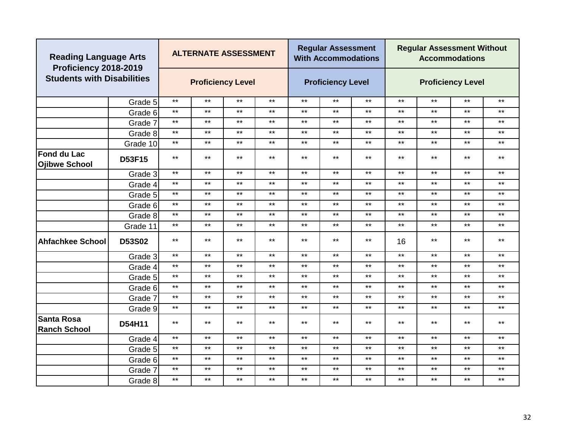| <b>Reading Language Arts</b><br>Proficiency 2018-2019 |          |       | <b>ALTERNATE ASSESSMENT</b> |              |              |       | <b>Regular Assessment</b><br><b>With Accommodations</b> |              |              | <b>Regular Assessment Without</b> | <b>Accommodations</b>    |              |
|-------------------------------------------------------|----------|-------|-----------------------------|--------------|--------------|-------|---------------------------------------------------------|--------------|--------------|-----------------------------------|--------------------------|--------------|
| <b>Students with Disabilities</b>                     |          |       | <b>Proficiency Level</b>    |              |              |       | <b>Proficiency Level</b>                                |              |              |                                   | <b>Proficiency Level</b> |              |
|                                                       | Grade 5  | $***$ | $\star\star$                | $***$        | $***$        | $***$ | $***$                                                   | $***$        | $***$        | $***$                             | $***$                    | $***$        |
|                                                       | Grade 6  | $***$ | $\star\star$                | $***$        | $\star\star$ | $***$ | $***$                                                   | $***$        | $\star\star$ | $***$                             | $***$                    | $\star\star$ |
|                                                       | Grade 7  | $***$ | $***$                       | $***$        | $***$        | $***$ | $***$                                                   | $***$        | $\star\star$ | $***$                             | $***$                    | $***$        |
|                                                       | Grade 8  | $***$ | $***$                       | $***$        | $***$        | $***$ | $***$                                                   | $***$        | $\star\star$ | $***$                             | $***$                    | $***$        |
|                                                       | Grade 10 | $***$ | $***$                       | $***$        | $***$        | $***$ | $***$                                                   | $***$        | $***$        | $***$                             | $***$                    | $***$        |
| <b>Fond du Lac</b><br><b>Ojibwe School</b>            | D53F15   | $***$ | $***$                       | $***$        | $***$        | $***$ | $***$                                                   | $***$        | $***$        | $***$                             | $***$                    | $***$        |
|                                                       | Grade 3  | $***$ | $***$                       | $***$        | $***$        | $***$ | $***$                                                   | $***$        | $***$        | $***$                             | $***$                    | $***$        |
|                                                       | Grade 4  | $***$ | $***$                       | $***$        | $***$        | $***$ | $***$                                                   | $***$        | $***$        | $***$                             | $***$                    | $***$        |
|                                                       | Grade 5  | $***$ | $\star\star$                | $***$        | $***$        | $***$ | $***$                                                   | $***$        | $\star\star$ | $***$                             | $***$                    | $\star\star$ |
|                                                       | Grade 6  | $***$ | $***$                       | $***$        | $***$        | $***$ | $***$                                                   | $***$        | $\star\star$ | $***$                             | $***$                    | $***$        |
|                                                       | Grade 8  | $***$ | $***$                       | $***$        | $***$        | $***$ | $***$                                                   | $***$        | $***$        | $***$                             | $***$                    | $***$        |
|                                                       | Grade 11 | $***$ | $***$                       | $***$        | $***$        | $***$ | $***$                                                   | $***$        | $***$        | $\star\star$                      | $***$                    | $***$        |
| <b>Ahfachkee School</b>                               | D53S02   | $***$ | $***$                       | $***$        | $***$        | $***$ | $***$                                                   | $***$        | 16           | $***$                             | $***$                    | $***$        |
|                                                       | Grade 3  | $***$ | $\star\star$                | $***$        | $***$        | $***$ | $***$                                                   | $***$        | $\star\star$ | $***$                             | $***$                    | $\star\star$ |
|                                                       | Grade 4  | $***$ | $***$                       | $***$        | $***$        | $***$ | $***$                                                   | $***$        | $***$        | $\star\star$                      | $***$                    | $***$        |
|                                                       | Grade 5  | $***$ | $***$                       | $***$        | $***$        | $***$ | $***$                                                   | $***$        | $***$        | $\star\star$                      | $***$                    | $***$        |
|                                                       | Grade 6  | $***$ | $***$                       | $***$        | $***$        | $***$ | $***$                                                   | $***$        | $***$        | $\star\star$                      | $***$                    | $***$        |
|                                                       | Grade 7  | $***$ | $\star\star$                | $***$        | $***$        | $***$ | $***$                                                   | $***$        | $\star\star$ | $***$                             | $***$                    | $\star\star$ |
|                                                       | Grade 9  | $***$ | $***$                       | $***$        | $***$        | $***$ | $***$                                                   | $***$        | $\star\star$ | $***$                             | $***$                    | $***$        |
| <b>Santa Rosa</b><br><b>Ranch School</b>              | D54H11   | $***$ | $***$                       | $***$        | $***$        | $***$ | $***$                                                   | $***$        | $***$        | $***$                             | $***$                    | $***$        |
|                                                       | Grade 4  | $***$ | $***$                       | $***$        | $***$        | $***$ | $***$                                                   | $***$        | $***$        | $***$                             | $***$                    | $***$        |
|                                                       | Grade 5  | $***$ | $***$                       | $***$        | $***$        | $***$ | $***$                                                   | $***$        | $***$        | $***$                             | $***$                    | $***$        |
|                                                       | Grade 6  | $***$ | $\star\star$                | $\star\star$ | $***$        | $***$ | $\star\star$                                            | $\star\star$ | $***$        | $***$                             | $***$                    | $***$        |
|                                                       | Grade 7  | $***$ | $***$                       | $***$        | $***$        | $***$ | $***$                                                   | $***$        | $***$        | $***$                             | $***$                    | $***$        |
|                                                       | Grade 8  | $***$ | $***$                       | $***$        | $***$        | $***$ | $***$                                                   | $***$        | $***$        | $***$                             | $***$                    | $***$        |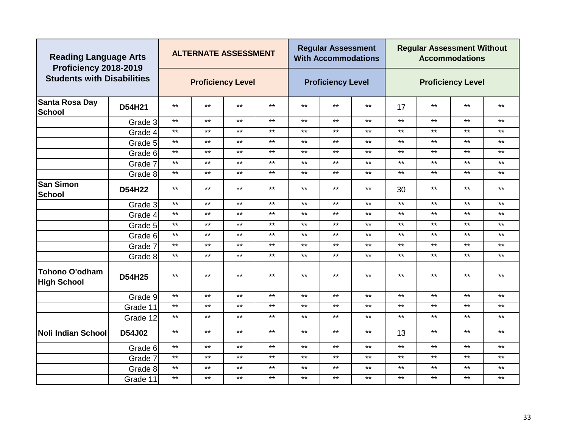|                                             | <b>Reading Language Arts</b><br>Proficiency 2018-2019<br><b>Students with Disabilities</b> |       | <b>ALTERNATE ASSESSMENT</b> |              |              |              | <b>Regular Assessment</b><br><b>With Accommodations</b> |       |              | <b>Regular Assessment Without</b> | <b>Accommodations</b>    |              |
|---------------------------------------------|--------------------------------------------------------------------------------------------|-------|-----------------------------|--------------|--------------|--------------|---------------------------------------------------------|-------|--------------|-----------------------------------|--------------------------|--------------|
|                                             |                                                                                            |       | <b>Proficiency Level</b>    |              |              |              | <b>Proficiency Level</b>                                |       |              |                                   | <b>Proficiency Level</b> |              |
| Santa Rosa Day<br><b>School</b>             | D54H21                                                                                     | $***$ | $***$                       | $***$        | $***$        | $***$        | $***$                                                   | $***$ | 17           | $***$                             | $***$                    | $***$        |
|                                             | Grade 3                                                                                    | $***$ | $***$                       | $***$        | $***$        | $***$        | $***$                                                   | $***$ | $***$        | $***$                             | $***$                    | $***$        |
|                                             | Grade 4                                                                                    | $***$ | $***$                       | $***$        | $***$        | $***$        | $***$                                                   | $***$ | $***$        | $***$                             | $***$                    | $***$        |
|                                             | Grade 5                                                                                    | $***$ | $***$                       | $***$        | $***$        | $***$        | $***$                                                   | $***$ | $***$        | $***$                             | $***$                    | $***$        |
|                                             | Grade 6                                                                                    | $***$ | $***$                       | $***$        | $\star\star$ | $***$        | $***$                                                   | $***$ | $\star\star$ | $***$                             | $***$                    | $\star\star$ |
|                                             | Grade 7                                                                                    | $***$ | $***$                       | $\star\star$ | $***$        | $\star\star$ | $\star\star$                                            | $***$ | $\star\star$ | $\star\star$                      | $***$                    | $\star\star$ |
|                                             | Grade 8                                                                                    | $***$ | $***$                       | $***$        | $***$        | $\star\star$ | $***$                                                   | $***$ | $***$        | $***$                             | $***$                    | $***$        |
| <b>San Simon</b><br><b>School</b>           | D54H22                                                                                     | $***$ | $***$                       | $***$        | $***$        | $***$        | $***$                                                   | $***$ | 30           | $***$                             | $***$                    | $***$        |
|                                             | Grade 3                                                                                    | $***$ | $***$                       | $***$        | $\star\star$ | $\star\star$ | $***$                                                   | $***$ | $\star\star$ | $***$                             | $***$                    | $\star\star$ |
|                                             | Grade 4                                                                                    | $***$ | $***$                       | $***$        | $\star\star$ | $***$        | $\star\star$                                            | $***$ | $\star\star$ | $***$                             | $***$                    | $***$        |
|                                             | Grade 5                                                                                    | $***$ | $***$                       | $***$        | $***$        | $***$        | $***$                                                   | $***$ | $***$        | $***$                             | $***$                    | $***$        |
|                                             | Grade 6                                                                                    | $***$ | $***$                       | $***$        | $\star\star$ | $***$        | $\star\star$                                            | $***$ | $\star\star$ | $\star\star$                      | $***$                    | $***$        |
|                                             | Grade 7                                                                                    | $***$ | $\star\star$                | $***$        | $***$        | $***$        | $***$                                                   | $***$ | $***$        | $***$                             | $***$                    | $\star\star$ |
|                                             | Grade 8                                                                                    | $***$ | $***$                       | $\star\star$ | $\star\star$ | $\star\star$ | $\star\star$                                            | $***$ | $\star\star$ | $***$                             | $***$                    | $\star\star$ |
| <b>Tohono O'odham</b><br><b>High School</b> | D54H25                                                                                     | $***$ | $***$                       | $***$        | $***$        | $***$        | $***$                                                   | $***$ | $***$        | $***$                             | $***$                    | $***$        |
|                                             | Grade 9                                                                                    | $***$ | $***$                       | $***$        | $\star\star$ | $\star\star$ | $\star\star$                                            | $***$ | $\star\star$ | $***$                             | $***$                    | $***$        |
|                                             | Grade 11                                                                                   | $***$ | $***$                       | $***$        | $***$        | $***$        | $***$                                                   | $***$ | $***$        | $***$                             | $***$                    | $***$        |
|                                             | Grade 12                                                                                   | $***$ | $***$                       | $***$        | $***$        | $***$        | $***$                                                   | $***$ | $***$        | $***$                             | $***$                    | $***$        |
| Noli Indian School                          | D54J02                                                                                     | $***$ | $***$                       | $***$        | $***$        | $***$        | $***$                                                   | $***$ | 13           | $***$                             | $***$                    | $\star\star$ |
|                                             | Grade 6                                                                                    | $***$ | $***$                       | $***$        | $***$        | $***$        | $***$                                                   | $***$ | $\star\star$ | $***$                             | $***$                    | $***$        |
|                                             | Grade 7                                                                                    | $***$ | $***$                       | $***$        | $***$        | $***$        | $***$                                                   | $***$ | $***$        | $***$                             | $***$                    | $***$        |
|                                             | Grade 8                                                                                    | $***$ | $***$                       | $***$        | $***$        | $***$        | $***$                                                   | $***$ | $***$        | $***$                             | $***$                    | $***$        |
|                                             | Grade 11                                                                                   | $***$ | $***$                       | $***$        | $***$        | $***$        | $***$                                                   | $***$ | $***$        | $***$                             | $***$                    | $***$        |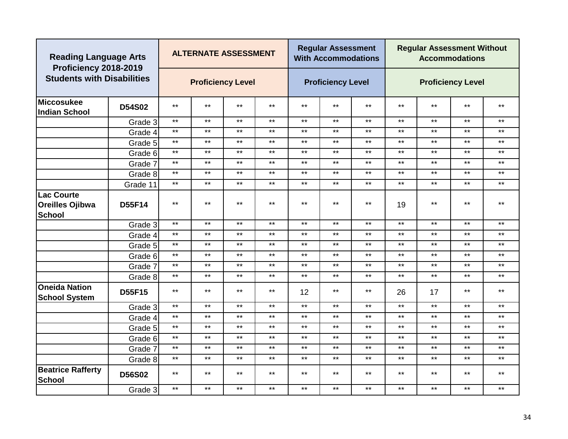| <b>Reading Language Arts</b>                                 |               |              | <b>ALTERNATE ASSESSMENT</b> |       |              |       | <b>Regular Assessment</b><br><b>With Accommodations</b> |       |              | <b>Regular Assessment Without</b> | <b>Accommodations</b>    |              |
|--------------------------------------------------------------|---------------|--------------|-----------------------------|-------|--------------|-------|---------------------------------------------------------|-------|--------------|-----------------------------------|--------------------------|--------------|
| Proficiency 2018-2019<br><b>Students with Disabilities</b>   |               |              | <b>Proficiency Level</b>    |       |              |       | <b>Proficiency Level</b>                                |       |              |                                   | <b>Proficiency Level</b> |              |
| <b>Miccosukee</b><br><b>Indian School</b>                    | <b>D54S02</b> | $***$        | $***$                       | $***$ | $***$        | $***$ | $***$                                                   | $***$ | $***$        | $***$                             | $***$                    | $***$        |
|                                                              | Grade 3       | $***$        | $***$                       | $***$ | $\star\star$ | $***$ | $***$                                                   | $***$ | $***$        | $***$                             | $***$                    | $\star\star$ |
|                                                              | Grade 4       | $***$        | $***$                       | $***$ | $\star\star$ | $***$ | $***$                                                   | $***$ | $***$        | $***$                             | $***$                    | $***$        |
|                                                              | Grade 5       | $***$        | $***$                       | $***$ | $\star\star$ | $***$ | $\star\star$                                            | $***$ | $\star\star$ | $***$                             | $***$                    | $***$        |
|                                                              | Grade 6       | $***$        | $***$                       | $***$ | $***$        | $***$ | $***$                                                   | $***$ | $***$        | $***$                             | $***$                    | $***$        |
|                                                              | Grade 7       | $***$        | $***$                       | $***$ | $***$        | $***$ | $***$                                                   | $***$ | $***$        | $***$                             | $***$                    | $***$        |
|                                                              | Grade 8       | $***$        | $***$                       | $***$ | $***$        | $***$ | $***$                                                   | $***$ | $***$        | $***$                             | $***$                    | $***$        |
|                                                              | Grade 11      | $***$        | $***$                       | $***$ | $***$        | $***$ | $***$                                                   | $***$ | $***$        | $***$                             | $***$                    | $***$        |
| <b>Lac Courte</b><br><b>Oreilles Ojibwa</b><br><b>School</b> | D55F14        | $***$        | $***$                       | $***$ | $***$        | $***$ | $***$                                                   | $***$ | 19           | $***$                             | $***$                    | $***$        |
|                                                              | Grade 3       | $\star\star$ | $\star\star$                | $***$ | $***$        | $***$ | $***$                                                   | $***$ | $\star\star$ | $***$                             | $***$                    | $***$        |
|                                                              | Grade 4       | $\star\star$ | $***$                       | $***$ | $***$        | $***$ | $***$                                                   | $***$ | $***$        | $***$                             | $***$                    | $***$        |
|                                                              | Grade 5       | $***$        | $***$                       | $***$ | $***$        | $***$ | $***$                                                   | $***$ | $***$        | $***$                             | $***$                    | $\star\star$ |
|                                                              | Grade 6       | $***$        | $***$                       | $***$ | $***$        | $***$ | $***$                                                   | $***$ | $***$        | $***$                             | $***$                    | $***$        |
|                                                              | Grade 7       | $***$        | $***$                       | $***$ | $***$        | $***$ | $***$                                                   | $***$ | $***$        | $***$                             | $***$                    | $***$        |
|                                                              | Grade 8       | $***$        | $***$                       | $***$ | $\star\star$ | $***$ | $***$                                                   | $***$ | $***$        | $***$                             | $***$                    | $***$        |
| <b>Oneida Nation</b><br><b>School System</b>                 | <b>D55F15</b> | $***$        | $***$                       | $***$ | $***$        | 12    | $***$                                                   | $***$ | 26           | 17                                | $***$                    | $***$        |
|                                                              | Grade 3       | $***$        | $***$                       | $***$ | $***$        | $***$ | $***$                                                   | $***$ | $***$        | $\star\star$                      | $***$                    | $***$        |
|                                                              | Grade 4       | $***$        | $***$                       | $***$ | $***$        | $***$ | $***$                                                   | $***$ | $***$        | $***$                             | $***$                    | $***$        |
|                                                              | Grade 5       | $***$        | $***$                       | $***$ | $***$        | $***$ | $***$                                                   | $***$ | $***$        | $***$                             | $***$                    | $***$        |
|                                                              | Grade 6       | $***$        | $***$                       | $***$ | $***$        | $***$ | $***$                                                   | $***$ | $***$        | $***$                             | $***$                    | $***$        |
|                                                              | Grade 7       | $***$        | $***$                       | $***$ | $\star\star$ | $***$ | $***$                                                   | $***$ | $***$        | $\star\star$                      | $***$                    | $***$        |
|                                                              | Grade 8       | $***$        | $***$                       | $***$ | $***$        | $***$ | $***$                                                   | $***$ | $***$        | $\star\star$                      | $***$                    | $***$        |
| <b>Beatrice Rafferty</b><br><b>School</b>                    | <b>D56S02</b> | $***$        | $***$                       | $***$ | $***$        | $***$ | $***$                                                   | $***$ | $***$        | $***$                             | $***$                    | $***$        |
|                                                              | Grade 3       | $***$        | $***$                       | $***$ | $***$        | $***$ | $***$                                                   | $***$ | $***$        | $***$                             | $***$                    | $***$        |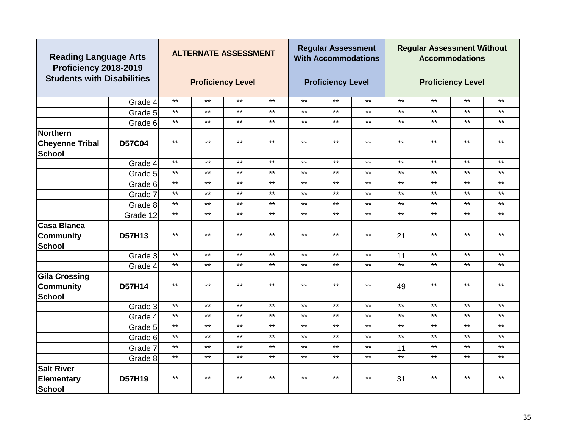| <b>Reading Language Arts</b><br>Proficiency 2018-2019     |               |              | <b>ALTERNATE ASSESSMENT</b> |       |              |       | <b>Regular Assessment</b><br><b>With Accommodations</b> |       |       | <b>Regular Assessment Without</b> | <b>Accommodations</b>    |              |
|-----------------------------------------------------------|---------------|--------------|-----------------------------|-------|--------------|-------|---------------------------------------------------------|-------|-------|-----------------------------------|--------------------------|--------------|
| <b>Students with Disabilities</b>                         |               |              | <b>Proficiency Level</b>    |       |              |       | <b>Proficiency Level</b>                                |       |       |                                   | <b>Proficiency Level</b> |              |
|                                                           | Grade 4       | $***$        | $***$                       | $***$ | $***$        | $***$ | $***$                                                   | $***$ | $***$ | $***$                             | $***$                    | $***$        |
|                                                           | Grade 5       | $\star\star$ | $\star\star$                | $***$ | $***$        | $***$ | $***$                                                   | $***$ | $***$ | $\star\star$                      | $***$                    | $***$        |
|                                                           | Grade 6       | $***$        | $\star\star$                | $***$ | $***$        | $***$ | $***$                                                   | $***$ | $***$ | $***$                             | $***$                    | $***$        |
| Northern<br><b>Cheyenne Tribal</b><br><b>School</b>       | <b>D57C04</b> | $***$        | $***$                       | $***$ | $***$        | $***$ | $***$                                                   | $***$ | $***$ | $***$                             | $***$                    | $***$        |
|                                                           | Grade 4       | $***$        | $***$                       | $***$ | $***$        | $***$ | $***$                                                   | $***$ | $***$ | $***$                             | $***$                    | $***$        |
|                                                           | Grade 5       | $***$        | $***$                       | $***$ | $\star\star$ | $***$ | $***$                                                   | $***$ | $***$ | $***$                             | $***$                    | $\star\star$ |
|                                                           | Grade 6       | $***$        | $***$                       | $***$ | $\star\star$ | $***$ | $***$                                                   | $***$ | $***$ | $***$                             | $***$                    | $***$        |
|                                                           | Grade 7       | $***$        | $***$                       | $***$ | $\star\star$ | $***$ | $***$                                                   | $***$ | $***$ | $***$                             | $***$                    | $***$        |
|                                                           | Grade 8       | $***$        | $***$                       | $***$ | $***$        | $***$ | $***$                                                   | $***$ | $***$ | $***$                             | $***$                    | $***$        |
|                                                           | Grade 12      | $***$        | $***$                       | $***$ | $***$        | $***$ | $***$                                                   | $***$ | $***$ | $***$                             | $***$                    | $***$        |
| <b>Casa Blanca</b><br><b>Community</b><br><b>School</b>   | D57H13        | $***$        | $***$                       | $***$ | $***$        | $***$ | $***$                                                   | $***$ | 21    | $***$                             | $***$                    | $***$        |
|                                                           | Grade 3       | $***$        | $***$                       | $***$ | $***$        | $***$ | $***$                                                   | $***$ | 11    | $***$                             | $***$                    | $***$        |
|                                                           | Grade 4       | $***$        | $***$                       | $***$ | $\star\star$ | $***$ | $***$                                                   | $***$ | $***$ | $***$                             | $***$                    | $***$        |
| <b>Gila Crossing</b><br><b>Community</b><br><b>School</b> | <b>D57H14</b> | $***$        | $***$                       | $***$ | $\star\star$ | $***$ | $***$                                                   | $***$ | 49    | $***$                             | $***$                    | $***$        |
|                                                           | Grade 3       | $***$        | $***$                       | $***$ | $***$        | $***$ | $***$                                                   | $***$ | $***$ | $***$                             | $***$                    | $***$        |
|                                                           | Grade 4       | $***$        | $***$                       | $***$ | $\star\star$ | $***$ | $***$                                                   | $***$ | $***$ | $***$                             | $***$                    | $***$        |
|                                                           | Grade 5       | $\star\star$ | $***$                       | $***$ | $\star\star$ | $***$ | $***$                                                   | $***$ | $***$ | $***$                             | $***$                    | $***$        |
|                                                           | Grade 6       | $***$        | $***$                       | $***$ | $\star\star$ | $***$ | $***$                                                   | $***$ | $***$ | $***$                             | $***$                    | $***$        |
|                                                           | Grade 7       | $***$        | $***$                       | $***$ | $***$        | $***$ | $***$                                                   | $***$ | 11    | $***$                             | $***$                    | $***$        |
|                                                           | Grade 8       | $***$        | $***$                       | $***$ | $\star\star$ | $***$ | $***$                                                   | $***$ | $***$ | $\star\star$                      | $***$                    | $***$        |
| <b>Salt River</b><br><b>Elementary</b><br>School          | D57H19        | $***$        | $***$                       | $***$ | $***$        | $***$ | $***$                                                   | $***$ | 31    | $***$                             | $***$                    | $***$        |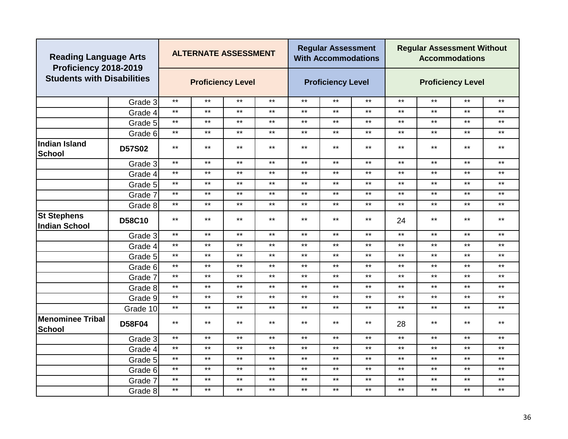| <b>Reading Language Arts</b><br>Proficiency 2018-2019 |               |              | <b>ALTERNATE ASSESSMENT</b> |              |              |       | <b>Regular Assessment</b><br><b>With Accommodations</b> |              |              | <b>Regular Assessment Without</b> | <b>Accommodations</b>    |              |
|-------------------------------------------------------|---------------|--------------|-----------------------------|--------------|--------------|-------|---------------------------------------------------------|--------------|--------------|-----------------------------------|--------------------------|--------------|
| <b>Students with Disabilities</b>                     |               |              | <b>Proficiency Level</b>    |              |              |       | <b>Proficiency Level</b>                                |              |              |                                   | <b>Proficiency Level</b> |              |
|                                                       | Grade 3       | $***$        | $\star\star$                | $***$        | $***$        | $***$ | $***$                                                   | $***$        | $***$        | $\star\star$                      | $***$                    | $***$        |
|                                                       | Grade 4       | $***$        | $\star\star$                | $***$        | $***$        | $***$ | $***$                                                   | $***$        | $***$        | $\star\star$                      | $***$                    | $***$        |
|                                                       | Grade 5       | $***$        | $***$                       | $***$        | $***$        | $***$ | $***$                                                   | $***$        | $***$        | $***$                             | $***$                    | $***$        |
|                                                       | Grade 6       | $***$        | $***$                       | $***$        | $***$        | $***$ | $***$                                                   | $***$        | $***$        | $***$                             | $***$                    | $***$        |
| <b>Indian Island</b><br>School                        | <b>D57S02</b> | $***$        | $***$                       | $***$        | $***$        | $***$ | $***$                                                   | $***$        | $***$        | $***$                             | $***$                    | $***$        |
|                                                       | Grade 3       | $***$        | $***$                       | $***$        | $***$        | $***$ | $***$                                                   | $***$        | $***$        | $***$                             | $\star\star$             | $***$        |
|                                                       | Grade 4       | $***$        | $***$                       | $***$        | $***$        | $***$ | $***$                                                   | $***$        | $***$        | $***$                             | $***$                    | $***$        |
|                                                       | Grade 5       | $***$        | $***$                       | $***$        | $***$        | $***$ | $***$                                                   | $***$        | $***$        | $***$                             | $***$                    | $***$        |
|                                                       | Grade 7       | $***$        | $\star\star$                | $***$        | $***$        | $***$ | $***$                                                   | $***$        | $\star\star$ | $\star\star$                      | $***$                    | $***$        |
|                                                       | Grade 8       | $***$        | $\star\star$                | $***$        | $***$        | $***$ | $***$                                                   | $***$        | $***$        | $***$                             | $***$                    | $***$        |
| <b>St Stephens</b><br>Indian School                   | <b>D58C10</b> | $***$        | $***$<br>$***$              |              | $***$        | $***$ | $***$                                                   | $***$        | 24           | $***$                             | $***$                    | $***$        |
|                                                       | Grade 3       | $***$        | $\star\star$                | $***$        | $***$        | $***$ | $***$                                                   | $***$        | $\star\star$ | $***$                             | $***$                    | $***$        |
|                                                       | Grade 4       | $***$        | $***$                       | $***$        | $***$        | $***$ | $***$                                                   | $***$        | $***$        | $***$                             | $***$                    | $***$        |
|                                                       | Grade 5       | $***$        | $***$                       | $***$        | $***$        | $***$ | $***$                                                   | $***$        | $***$        | $***$                             | $***$                    | $***$        |
|                                                       | Grade 6       | $***$        | $***$                       | $***$        | $***$        | $***$ | $***$                                                   | $***$        | $***$        | $***$                             | $***$                    | $***$        |
|                                                       | Grade 7       | $***$        | $***$                       | $***$        | $***$        | $***$ | $***$                                                   | $***$        | $***$        | $***$                             | $***$                    | $***$        |
|                                                       | Grade 8       | $***$        | $\star\star$                | $***$        | $***$        | $***$ | $***$                                                   | $***$        | $\star\star$ | $***$                             | $***$                    | $***$        |
|                                                       | Grade 9       | $***$        | $***$                       | $***$        | $***$        | $***$ | $***$                                                   | $***$        | $\star\star$ | $***$                             | $***$                    | $***$        |
|                                                       | Grade 10      | $***$        | $***$                       | $***$        | $***$        | $***$ | $***$                                                   | $***$        | $***$        | $***$                             | $***$                    | $***$        |
| Menominee Tribal<br>School                            | <b>D58F04</b> | $***$        | $***$                       | $***$        | $***$        | $***$ | $***$                                                   | $***$        | 28           | $***$                             | $***$                    | $***$        |
|                                                       | Grade 3       | $***$        | $***$                       | $***$        | $***$        | $***$ | $***$                                                   | $***$        | $***$        | $***$                             | $***$                    | $***$        |
|                                                       | Grade 4       | $***$        | $***$                       | $***$        | $***$        | $***$ | $***$                                                   | $***$        | $***$        | $***$                             | $***$                    | $***$        |
|                                                       | Grade 5       | $\star\star$ | $\star\star$                | $\star\star$ | $\star\star$ | $***$ | $***$                                                   | $\star\star$ | $***$        | $***$                             | $***$                    | $***$        |
|                                                       | Grade 6       | $***$        | $\star\star$                | $***$        | $***$        | $***$ | $***$                                                   | $***$        | $\star\star$ | $***$                             | $***$                    | $\star\star$ |
|                                                       | Grade 7       | $***$        | $\star\star$                | $***$        | $***$        | $***$ | $***$                                                   | $***$        | $***$        | $***$                             | $***$                    | $\star\star$ |
|                                                       | Grade 8       | $***$        | $***$                       | $***$        | $***$        | $***$ | $***$                                                   | $***$        | $***$        | $\star\star$                      | $***$                    | $\star\star$ |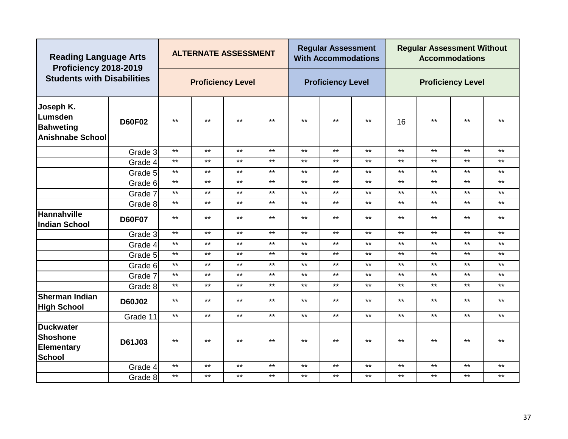| <b>Reading Language Arts</b><br>Proficiency 2018-2019               |               |              | <b>ALTERNATE ASSESSMENT</b> |       |              |       | <b>Regular Assessment</b><br><b>With Accommodations</b> |       | <b>Regular Assessment Without</b><br><b>Accommodations</b> |                          |       |       |  |
|---------------------------------------------------------------------|---------------|--------------|-----------------------------|-------|--------------|-------|---------------------------------------------------------|-------|------------------------------------------------------------|--------------------------|-------|-------|--|
| <b>Students with Disabilities</b>                                   |               |              | <b>Proficiency Level</b>    |       |              |       | <b>Proficiency Level</b>                                |       |                                                            | <b>Proficiency Level</b> |       |       |  |
| Joseph K.<br>Lumsden<br><b>Bahweting</b><br><b>Anishnabe School</b> | <b>D60F02</b> | $***$        | $***$                       | $***$ | $\star\star$ | $***$ | $***$                                                   | $***$ | 16                                                         | $\star\star$             | $***$ | $***$ |  |
|                                                                     | Grade 3       | $***$        | $***$                       | $***$ | $***$        | $***$ | $***$                                                   | $***$ | $***$                                                      | $***$                    | $***$ | $***$ |  |
|                                                                     | Grade 4       | $***$        | $***$                       | $***$ | $\star\star$ | $***$ | $***$                                                   | $***$ | $***$                                                      | $***$                    | $***$ | $***$ |  |
|                                                                     | Grade 5       | $***$        | $***$                       | $***$ | $***$        | $***$ | $***$                                                   | $***$ | $***$                                                      | $***$                    | $***$ | $***$ |  |
|                                                                     | Grade 6       | $***$        | $***$                       | $***$ | $\star\star$ | $***$ | $***$                                                   | $***$ | $***$                                                      | $***$                    | $***$ | $***$ |  |
|                                                                     | Grade 7       | $***$        | $\star\star$                | $***$ | $***$        | $***$ | $***$                                                   | $***$ | $***$                                                      | $***$                    | $***$ | $***$ |  |
|                                                                     | Grade 8       | $***$        | $***$                       | $***$ | $\star\star$ | $***$ | $***$                                                   | $***$ | $***$                                                      | $***$                    | $***$ | $***$ |  |
| <b>Hannahville</b><br><b>Indian School</b>                          | <b>D60F07</b> | $***$        | $***$                       | $***$ | $***$        | $***$ | $***$                                                   | $***$ | $***$                                                      | $***$                    | $***$ | $***$ |  |
|                                                                     | Grade 3       | $\star\star$ | $\star\star$                | $***$ | $***$        | $***$ | $***$                                                   | $***$ | $***$                                                      | $\star\star$             | $***$ | $***$ |  |
|                                                                     | Grade 4       | $***$        | $***$                       | $***$ | $\star\star$ | $***$ | $***$                                                   | $***$ | $***$                                                      | $***$                    | $***$ | $***$ |  |
|                                                                     | Grade 5       | $***$        | $***$                       | $***$ | $***$        | $***$ | $***$                                                   | $***$ | $***$                                                      | $\star\star$             | $***$ | $***$ |  |
|                                                                     | Grade 6       | $***$        | $***$                       | $***$ | $***$        | $***$ | $***$                                                   | $***$ | $***$                                                      | $***$                    | $***$ | $***$ |  |
|                                                                     | Grade 7       | $***$        | $***$                       | $***$ | $***$        | $***$ | $***$                                                   | $***$ | $***$                                                      | $\star\star$             | $***$ | $***$ |  |
|                                                                     | Grade 8       | $***$        | $***$                       | $***$ | $\star\star$ | $***$ | $***$                                                   | $***$ | $***$                                                      | $***$                    | $***$ | $***$ |  |
| <b>Sherman Indian</b><br><b>High School</b>                         | <b>D60J02</b> | $***$        | $***$                       | $***$ | $***$        | $***$ | $***$                                                   | $***$ | $***$                                                      | $\star\star$             | $***$ | $***$ |  |
|                                                                     | Grade 11      | $***$        | $***$                       | $***$ | $***$        | $***$ | $***$                                                   | $***$ | $***$                                                      | $***$                    | $***$ | $***$ |  |
| <b>Duckwater</b><br>Shoshone<br><b>Elementary</b><br><b>School</b>  | D61J03        | $***$        | $***$                       | $***$ | $***$        | $***$ | $***$                                                   | $***$ | $***$                                                      | $***$                    | $***$ | $***$ |  |
|                                                                     | Grade 4       | $***$        | $***$                       | $***$ | $\star\star$ | $***$ | $***$                                                   | $***$ | $***$                                                      | $\star\star$             | $***$ | $***$ |  |
|                                                                     | Grade 8       | $***$        | $***$                       | $***$ | $***$        | $***$ | $***$                                                   | $***$ | $***$                                                      | $\star\star$             | $***$ | $***$ |  |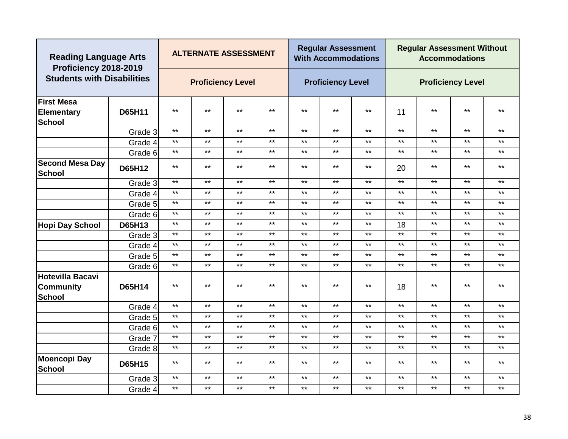| <b>Reading Language Arts</b><br>Proficiency 2018-2019   |               |              | <b>ALTERNATE ASSESSMENT</b> |       |              |       | <b>Regular Assessment</b><br><b>With Accommodations</b> |       | <b>Regular Assessment Without</b><br><b>Accommodations</b> |              |              |              |
|---------------------------------------------------------|---------------|--------------|-----------------------------|-------|--------------|-------|---------------------------------------------------------|-------|------------------------------------------------------------|--------------|--------------|--------------|
| <b>Students with Disabilities</b>                       |               |              | <b>Proficiency Level</b>    |       |              |       | <b>Proficiency Level</b>                                |       | <b>Proficiency Level</b>                                   |              |              |              |
| <b>First Mesa</b><br><b>Elementary</b><br><b>School</b> | D65H11        | $***$        | $***$                       | $***$ | $***$        | $***$ | $***$                                                   | $***$ | 11                                                         | $***$        | $***$        | $***$        |
|                                                         | Grade 3       | $\star\star$ | $***$                       | $***$ | $***$        | $***$ | $***$                                                   | $***$ | $***$                                                      | $***$        | $***$        | $***$        |
|                                                         | Grade 4       | $***$        | $***$                       | $***$ | $***$        | $***$ | $***$                                                   | $***$ | $***$                                                      | $***$        | $***$        | $***$        |
|                                                         | Grade 6       | $***$        | $***$                       | $***$ | $***$        | $***$ | $***$                                                   | $***$ | $***$                                                      | $***$        | $***$        | $***$        |
| <b>Second Mesa Day</b><br><b>School</b>                 | D65H12        | $***$        | $***$                       | $***$ | $***$        | $***$ | $***$                                                   | $***$ | 20                                                         | **           | $***$        | **           |
|                                                         | Grade 3       | $***$        | $***$                       | $***$ | $***$        | $***$ | $***$                                                   | $***$ | $***$                                                      | $***$        | $***$        | $***$        |
|                                                         | Grade 4       | $***$        | $***$                       | $***$ | $***$        | $***$ | $***$                                                   | $***$ | $***$                                                      | $***$        | $***$        | $***$        |
|                                                         | Grade 5       | $***$        | $***$                       | $***$ | $\star\star$ | $***$ | $***$                                                   | $***$ | $***$                                                      | $\star\star$ | $***$        | $***$        |
|                                                         | Grade 6       | $***$        | $***$                       | $***$ | $\star\star$ | $***$ | $***$                                                   | $***$ | $***$                                                      | $***$        | $***$        | $***$        |
| <b>Hopi Day School</b>                                  | D65H13        | $***$        | $***$                       | $***$ | $***$        | $***$ | $***$                                                   | $***$ | 18                                                         | $***$        | $***$        | $***$        |
|                                                         | Grade 3       | $***$        | $***$                       | $***$ | $***$        | $***$ | $***$                                                   | $***$ | $***$                                                      | $***$        | $***$        | $***$        |
|                                                         | Grade 4       | $***$        | $***$                       | $***$ | $***$        | $***$ | $***$                                                   | $***$ | $***$                                                      | $***$        | $***$        | $***$        |
|                                                         | Grade 5       | $***$        | $***$                       | $***$ | $\star\star$ | $***$ | $***$                                                   | $***$ | $***$                                                      | $***$        | $\star\star$ | $\star\star$ |
|                                                         | Grade 6       | $***$        | $***$                       | $***$ | $***$        | $***$ | $***$                                                   | $***$ | $***$                                                      | $***$        | $***$        | $***$        |
| <b>Hotevilla Bacavi</b><br><b>Community</b><br>School   | <b>D65H14</b> | $***$        | $***$                       | $***$ | $***$        | $***$ | $***$                                                   | $***$ | 18                                                         | $***$        | $***$        | $***$        |
|                                                         | Grade 4       | $***$        | $***$                       | $***$ | $***$        | $***$ | $***$                                                   | $***$ | $***$                                                      | $***$        | $***$        | $***$        |
|                                                         | Grade 5       | $***$        | $***$                       | $***$ | $***$        | $***$ | $***$                                                   | $***$ | $***$                                                      | $***$        | $***$        | $***$        |
|                                                         | Grade 6       | $***$        | $***$                       | $***$ | $\star\star$ | $***$ | $***$                                                   | $***$ | $***$                                                      | $***$        | $***$        | $\star\star$ |
|                                                         | Grade 7       | $***$        | $***$                       | $***$ | $***$        | $***$ | $\star\star$                                            | $***$ | $\star\star$                                               | $***$        | $***$        | $***$        |
|                                                         | Grade 8       | $***$        | $***$                       | $***$ | $***$        | $***$ | $***$                                                   | $***$ | $***$                                                      | $***$        | $***$        | $***$        |
| <b>Moencopi Day</b><br><b>School</b>                    | <b>D65H15</b> | $***$        | $***$                       | $***$ | $***$        | $***$ | $***$                                                   | $***$ | $***$                                                      | **           | $***$        | $***$        |
|                                                         | Grade 3       | $***$        | $***$                       | $***$ | $***$        | $***$ | $***$                                                   | $***$ | $***$                                                      | $***$        | $***$        | $***$        |
|                                                         | Grade 4       | $***$        | $***$                       | $***$ | $***$        | $***$ | $***$                                                   | $***$ | $***$                                                      | $***$        | $***$        | $***$        |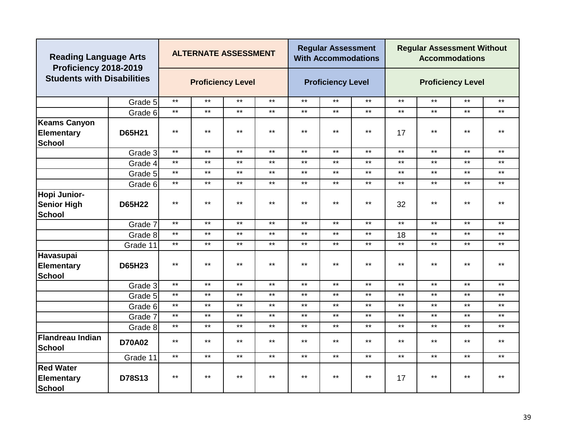| <b>Reading Language Arts</b><br>Proficiency 2018-2019     |               |       | <b>ALTERNATE ASSESSMENT</b> |       |              |       | <b>Regular Assessment</b><br><b>With Accommodations</b> |              | <b>Regular Assessment Without</b><br><b>Accommodations</b> |                          |       |              |
|-----------------------------------------------------------|---------------|-------|-----------------------------|-------|--------------|-------|---------------------------------------------------------|--------------|------------------------------------------------------------|--------------------------|-------|--------------|
| <b>Students with Disabilities</b>                         |               |       | <b>Proficiency Level</b>    |       |              |       | <b>Proficiency Level</b>                                |              |                                                            | <b>Proficiency Level</b> |       |              |
|                                                           | Grade 5       | $***$ | $***$                       | $***$ | $***$        | $***$ | $***$                                                   | $***$        | $***$                                                      | $***$                    | $***$ | $***$        |
|                                                           | Grade 6       | $***$ | $\star\star$                | $***$ | $***$        | $***$ | $***$                                                   | $\star\star$ | $***$                                                      | $***$                    | $***$ | $***$        |
| <b>Keams Canyon</b><br><b>Elementary</b><br><b>School</b> | D65H21        | $***$ | $***$                       | $***$ | $***$        | $***$ | $***$                                                   | $***$        | 17                                                         | $***$                    | $***$ | $***$        |
|                                                           | Grade 3       | $***$ | $***$                       | $***$ | $***$        | $***$ | $***$                                                   | $***$        | $***$                                                      | $***$                    | $***$ | $***$        |
|                                                           | Grade 4       | $***$ | $***$                       | $***$ | $***$        | $***$ | $***$                                                   | $***$        | $***$                                                      | $***$                    | $***$ | $***$        |
|                                                           | Grade 5       | $***$ | $***$                       | $***$ | $***$        | $***$ | $***$                                                   | $***$        | $***$                                                      | $***$                    | $***$ | $***$        |
|                                                           | Grade 6       | $***$ | $***$                       | $***$ | $\star\star$ | $***$ | $***$                                                   | $***$        | $***$                                                      | $***$                    | $***$ | $\star\star$ |
| Hopi Junior-<br><b>Senior High</b><br><b>School</b>       | <b>D65H22</b> | $***$ | $***$                       | $***$ | $***$        | $***$ | $***$                                                   | $***$        | 32                                                         | $***$                    | $***$ | $***$        |
|                                                           | Grade 7       | $***$ | $***$                       | $***$ | $***$        | $***$ | $***$                                                   | $***$        | $***$                                                      | $***$                    | $***$ | $***$        |
|                                                           | Grade 8       | $***$ | $***$                       | $***$ | $***$        | $***$ | $***$                                                   | $***$        | 18                                                         | $***$                    | $***$ | $***$        |
|                                                           | Grade 11      | $***$ | $***$                       | $***$ | $***$        | $***$ | $***$                                                   | $***$        | $***$                                                      | $***$                    | $***$ | $***$        |
| Havasupai<br><b>Elementary</b><br><b>School</b>           | <b>D65H23</b> | $***$ | $***$                       | $***$ | $\star\star$ | $***$ | $***$                                                   | $***$        | $\star\star$                                               | $***$                    | $***$ | $***$        |
|                                                           | Grade 3       | $***$ | $***$                       | $***$ | $***$        | $***$ | $***$                                                   | $***$        | $***$                                                      | $***$                    | $***$ | $***$        |
|                                                           | Grade 5       | $***$ | $***$                       | $***$ | $***$        | $***$ | $***$                                                   | $***$        | $***$                                                      | $***$                    | $***$ | $***$        |
|                                                           | Grade 6       | $***$ | $***$                       | $***$ | $\star\star$ | $***$ | $***$                                                   | $***$        | $***$                                                      | $***$                    | $***$ | $***$        |
|                                                           | Grade 7       | $***$ | $***$                       | $***$ | $***$        | $***$ | $***$                                                   | $***$        | $***$                                                      | $***$                    | $***$ | $***$        |
|                                                           | Grade 8       | $***$ | $***$                       | $***$ | $***$        | $***$ | $***$                                                   | $***$        | $***$                                                      | $***$                    | $***$ | $***$        |
| Flandreau Indian<br><b>School</b>                         | <b>D70A02</b> | $***$ | $***$                       | $***$ | $***$        | $***$ | $***$                                                   | $***$        | $***$                                                      | $***$                    | $***$ | $***$        |
|                                                           | Grade 11      | $***$ | $***$                       | $***$ | $***$        | $***$ | $***$                                                   | $***$        | $***$                                                      | $***$                    | $***$ | $***$        |
| <b>Red Water</b><br><b>Elementary</b><br>School           | D78S13        | $***$ | $***$                       | $***$ | $***$        | $***$ | $***$                                                   | $***$        | 17                                                         | $***$                    | $***$ | $***$        |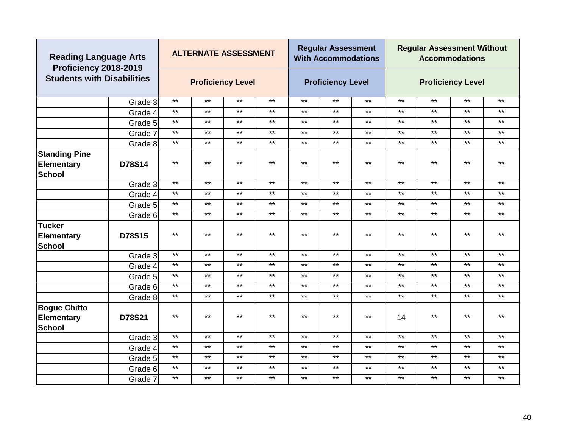| <b>Reading Language Arts</b><br>Proficiency 2018-2019 |                          |       | <b>ALTERNATE ASSESSMENT</b> |       |              |                          | <b>Regular Assessment</b><br><b>With Accommodations</b> |                          | <b>Regular Assessment Without</b><br><b>Accommodations</b> |              |       |              |  |
|-------------------------------------------------------|--------------------------|-------|-----------------------------|-------|--------------|--------------------------|---------------------------------------------------------|--------------------------|------------------------------------------------------------|--------------|-------|--------------|--|
| <b>Students with Disabilities</b>                     | <b>Proficiency Level</b> |       |                             |       |              | <b>Proficiency Level</b> |                                                         | <b>Proficiency Level</b> |                                                            |              |       |              |  |
|                                                       | Grade 3                  | $***$ | $\star\star$                | $***$ | $***$        | $***$                    | $***$                                                   | $***$                    | $\star\star$                                               | $\star\star$ | $***$ | $***$        |  |
|                                                       | Grade 4                  | $***$ | $\star\star$                | $***$ | $***$        | $***$                    | $***$                                                   | $***$                    | $\star\star$                                               | $***$        | $***$ | $***$        |  |
|                                                       | Grade 5                  | $***$ | $***$                       | $***$ | $***$        | $***$                    | $***$                                                   | $***$                    | $\star\star$                                               | $***$        | $***$ | $\star\star$ |  |
|                                                       | Grade 7                  | $***$ | $***$                       | $***$ | $***$        | $***$                    | $***$                                                   | $***$                    | $***$                                                      | $***$        | $***$ | $***$        |  |
|                                                       | Grade 8                  | $***$ | $***$                       | $***$ | $***$        | $***$                    | $***$                                                   | $***$                    | $***$                                                      | $***$        | $***$ | $***$        |  |
| <b>Standing Pine</b><br><b>Elementary</b><br>School   | D78S14                   | $***$ | $***$                       | $***$ | $***$        | $***$                    | $***$                                                   | $***$                    | $***$                                                      | $***$        | $***$ | $***$        |  |
|                                                       | Grade 3                  | $***$ | $***$                       | $***$ | $***$        | $***$                    | $***$                                                   | $***$                    | $***$                                                      | $***$        | $***$ | $***$        |  |
|                                                       | Grade 4                  | $***$ | $***$                       | $***$ | $***$        | $***$                    | $***$                                                   | $***$                    | $***$                                                      | $***$        | $***$ | $***$        |  |
|                                                       | Grade 5                  | $***$ | $***$                       | $***$ | $\star\star$ | $***$                    | $***$                                                   | $***$                    | $\star\star$                                               | $***$        | $***$ | $\star\star$ |  |
|                                                       | Grade 6                  | $***$ | $\star\star$                | $***$ | $***$        | $***$                    | $***$                                                   | $***$                    | $\star\star$                                               | $***$        | $***$ | $\star\star$ |  |
| <b>Tucker</b><br><b>Elementary</b><br>School          | D78S15                   | $***$ | $***$                       | $***$ | $***$        | $***$                    | $***$                                                   | $***$                    | $***$                                                      | $***$        | $***$ | $***$        |  |
|                                                       | Grade 3                  | $***$ | $***$                       | $***$ | $***$        | $***$                    | $***$                                                   | $***$                    | $***$                                                      | $***$        | $***$ | $***$        |  |
|                                                       | Grade 4                  | $***$ | $***$                       | $***$ | $***$        | $***$                    | $***$                                                   | $***$                    | $\star\star$                                               | $***$        | $***$ | $\star\star$ |  |
|                                                       | Grade 5                  | $***$ | $***$                       | $***$ | $***$        | $***$                    | $***$                                                   | $***$                    | $***$                                                      | $***$        | $***$ | $***$        |  |
|                                                       | Grade 6                  | $***$ | $***$                       | $***$ | $***$        | $***$                    | $***$                                                   | $***$                    | $***$                                                      | $***$        | $***$ | $***$        |  |
|                                                       | Grade 8                  | $***$ | $***$                       | $***$ | $***$        | $***$                    | $***$                                                   | $***$                    | $***$                                                      | $***$        | $***$ | $***$        |  |
| <b>Bogue Chitto</b><br><b>Elementary</b><br>School    | D78S21                   | $***$ | $***$                       | $***$ | $***$        | $***$                    | $***$                                                   | $***$                    | 14                                                         | $***$        | $***$ | $***$        |  |
|                                                       | Grade 3                  | $***$ | $\star\star$                | $***$ | $***$        | $***$                    | $***$                                                   | $***$                    | $\star\star$                                               | $***$        | $***$ | $\star\star$ |  |
|                                                       | Grade 4                  | $***$ | $\star\star$                | $***$ | $***$        | $***$                    | $***$                                                   | $***$                    | $\star\star$                                               | $***$        | $***$ | $\star\star$ |  |
|                                                       | Grade 5                  | $***$ | $***$                       | $***$ | $***$        | $***$                    | $***$                                                   | $***$                    | $***$                                                      | $\star\star$ | $***$ | $***$        |  |
|                                                       | Grade 6                  | $***$ | $\star\star$                | $***$ | $***$        | $***$                    | $***$                                                   | $***$                    | $\star\star$                                               | $***$        | $***$ | $***$        |  |
|                                                       | Grade 7                  | $***$ | $***$                       | $***$ | $***$        | $***$                    | $***$                                                   | $***$                    | $***$                                                      | $***$        | $***$ | $***$        |  |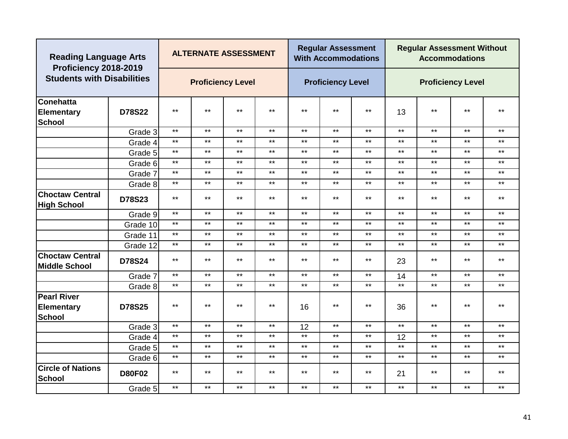| <b>Reading Language Arts</b><br>Proficiency 2018-2019    |               |       | <b>ALTERNATE ASSESSMENT</b> |              |              |       | <b>Regular Assessment</b><br><b>With Accommodations</b> |              | <b>Regular Assessment Without</b><br><b>Accommodations</b> |                          |              |       |
|----------------------------------------------------------|---------------|-------|-----------------------------|--------------|--------------|-------|---------------------------------------------------------|--------------|------------------------------------------------------------|--------------------------|--------------|-------|
| <b>Students with Disabilities</b>                        |               |       | <b>Proficiency Level</b>    |              |              |       | <b>Proficiency Level</b>                                |              |                                                            | <b>Proficiency Level</b> |              |       |
| <b>Conehatta</b><br><b>Elementary</b><br><b>School</b>   | D78S22        | $***$ | $***$                       | $***$        | $***$        | $***$ | $***$                                                   | $***$        | 13                                                         | $***$                    | $\star\star$ | $***$ |
|                                                          | Grade 3       | $***$ | $***$                       | $***$        | $***$        | $***$ | $***$                                                   | $***$        | $\star\star$                                               | $***$                    | $***$        | $***$ |
|                                                          | Grade 4       | $***$ | $***$                       | $***$        | $***$        | $***$ | $\star\star$                                            | $***$        | $***$                                                      | $***$                    | $***$        | $***$ |
|                                                          | Grade 5       | $***$ | $***$                       | $***$        | $***$        | $***$ | $\star\star$                                            | $***$        | $\star\star$                                               | $***$                    | $***$        | $***$ |
|                                                          | Grade 6       | $***$ | $***$                       | $***$        | $***$        | $***$ | $***$                                                   | $***$        | $***$                                                      | $***$                    | $***$        | $***$ |
|                                                          | Grade 7       | $***$ | $***$                       | $***$        | $***$        | $***$ | $***$                                                   | $***$        | $***$                                                      | $***$                    | $***$        | $***$ |
|                                                          | Grade 8       | $***$ | $\star\star$                | $\star\star$ | $\star\star$ | $***$ | $***$                                                   | $***$        | $***$                                                      | $***$                    | $***$        | $***$ |
| <b>Choctaw Central</b><br><b>High School</b>             | <b>D78S23</b> | $***$ | $***$                       | $***$        | $***$        | $***$ | $\star\star$                                            | $***$        | $***$                                                      | $***$                    | $***$        | $***$ |
|                                                          | Grade 9       | $***$ | $***$                       | $***$        | $***$        | $***$ | $***$                                                   | $***$        | $***$                                                      | $***$                    | $***$        | $***$ |
|                                                          | Grade 10      | $***$ | $***$                       | $***$        | $***$        | $***$ | $***$                                                   | $***$        | $***$                                                      | $***$                    | $***$        | $***$ |
|                                                          | Grade 11      | $***$ | $***$                       | $***$        | $\star\star$ | $***$ | $***$                                                   | $***$        | $***$                                                      | $***$                    | $***$        | $***$ |
|                                                          | Grade 12      | $***$ | $***$                       | $***$        | $***$        | $***$ | $***$                                                   | $***$        | $***$                                                      | $***$                    | $***$        | $***$ |
| <b>Choctaw Central</b><br><b>Middle School</b>           | <b>D78S24</b> | $***$ | $***$                       | $***$        | $***$        | $***$ | $***$                                                   | $***$        | 23                                                         | $***$                    | $***$        | $***$ |
|                                                          | Grade 7       | $***$ | $***$                       | $***$        | $***$        | $***$ | $***$                                                   | $***$        | 14                                                         | $***$                    | $***$        | $***$ |
|                                                          | Grade 8       | $***$ | $***$                       | $***$        | $***$        | $***$ | $***$                                                   | $***$        | $***$                                                      | $***$                    | $***$        | $***$ |
| <b>Pearl River</b><br><b>Elementary</b><br><b>School</b> | <b>D78S25</b> | $***$ | $***$                       | $***$        | $***$        | 16    | $***$                                                   | $***$        | 36                                                         | $***$                    | $***$        | $***$ |
|                                                          | Grade 3       | $***$ | $***$                       | $***$        | $***$        | 12    | $\star\star$                                            | $***$        | $***$                                                      | $***$                    | $\star\star$ | $***$ |
|                                                          | Grade 4       | $***$ | $***$                       | $\star\star$ | $***$        | $***$ | $\star\star$                                            | $\star\star$ | 12                                                         | $***$                    | $***$        | $***$ |
|                                                          | Grade 5       | $***$ | $***$                       | $***$        | $***$        | $***$ | $***$                                                   | $***$        | $***$                                                      | $***$                    | $***$        | $***$ |
|                                                          | Grade 6       | $***$ | $***$                       | $***$        | $***$        | $***$ | $***$                                                   | $***$        | $***$                                                      | $***$                    | $***$        | $***$ |
| <b>Circle of Nations</b><br><b>School</b>                | <b>D80F02</b> | $***$ | $***$                       | $***$        | $***$        | $***$ | $***$                                                   | $***$        | 21                                                         | $***$                    | $***$        | $***$ |
|                                                          | Grade 5       | $***$ | $\star\star$                | $***$        | $***$        | $***$ | $\star\star$                                            | $***$        | $***$                                                      | $***$                    | $\star\star$ | $***$ |